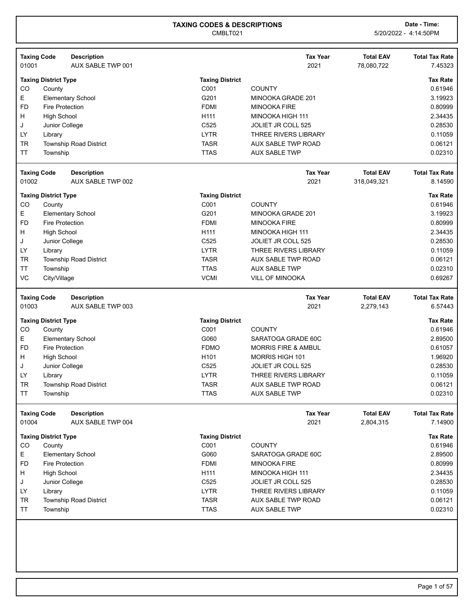| 01001                  | <b>Taxing Code</b><br><b>Description</b><br>AUX SABLE TWP 001 |                            | <b>Tax Year</b><br>2021                    | <b>Total EAV</b><br>78,080,722 | <b>Total Tax Rate</b><br>7.45323                                                                                                                                  |
|------------------------|---------------------------------------------------------------|----------------------------|--------------------------------------------|--------------------------------|-------------------------------------------------------------------------------------------------------------------------------------------------------------------|
|                        | <b>Taxing District Type</b>                                   | <b>Taxing District</b>     |                                            |                                | <b>Tax Rate</b>                                                                                                                                                   |
| CO                     | County                                                        | C001                       | <b>COUNTY</b>                              |                                | 0.61946                                                                                                                                                           |
| Е                      | <b>Elementary School</b>                                      | G201                       | MINOOKA GRADE 201                          |                                | 3.19923                                                                                                                                                           |
| <b>FD</b>              | <b>Fire Protection</b>                                        | <b>FDMI</b>                | <b>MINOOKA FIRE</b>                        |                                | 0.80999                                                                                                                                                           |
| H                      | <b>High School</b>                                            | H <sub>111</sub>           | MINOOKA HIGH 111                           |                                | 2.34435                                                                                                                                                           |
| J                      | Junior College                                                | C525                       | JOLIET JR COLL 525                         |                                | 0.28530                                                                                                                                                           |
| LY                     | Library                                                       | <b>LYTR</b>                | <b>THREE RIVERS LIBRARY</b>                |                                | 0.11059                                                                                                                                                           |
| <b>TR</b>              | Township Road District                                        | <b>TASR</b>                | <b>AUX SABLE TWP ROAD</b>                  |                                | 0.06121                                                                                                                                                           |
| <b>TT</b>              | Township                                                      | <b>TTAS</b>                | <b>AUX SABLE TWP</b>                       |                                | 0.02310                                                                                                                                                           |
|                        | <b>Taxing Code</b><br><b>Description</b>                      |                            | <b>Tax Year</b>                            | <b>Total EAV</b>               | <b>Total Tax Rate</b>                                                                                                                                             |
| 01002                  | AUX SABLE TWP 002                                             |                            | 2021                                       | 318,049,321                    | 8.14590                                                                                                                                                           |
|                        | <b>Taxing District Type</b>                                   | <b>Taxing District</b>     |                                            |                                | <b>Tax Rate</b>                                                                                                                                                   |
| CO                     | County                                                        | C001                       | <b>COUNTY</b>                              |                                | 0.61946                                                                                                                                                           |
| Е                      | <b>Elementary School</b>                                      | G201                       | MINOOKA GRADE 201                          |                                | 3.19923                                                                                                                                                           |
| <b>FD</b>              | <b>Fire Protection</b>                                        | <b>FDMI</b>                | <b>MINOOKA FIRE</b>                        |                                | 0.80999                                                                                                                                                           |
| н                      | <b>High School</b>                                            | H111                       | MINOOKA HIGH 111                           |                                | 2.34435                                                                                                                                                           |
| J                      | Junior College                                                | C525                       | JOLIET JR COLL 525                         |                                | 0.28530                                                                                                                                                           |
| LY                     | Library                                                       | <b>LYTR</b>                | THREE RIVERS LIBRARY                       |                                | 0.11059                                                                                                                                                           |
| <b>TR</b>              | <b>Township Road District</b>                                 | <b>TASR</b>                | AUX SABLE TWP ROAD                         |                                | 0.06121                                                                                                                                                           |
| <b>TT</b>              | Township                                                      | <b>TTAS</b>                | <b>AUX SABLE TWP</b>                       |                                | 0.02310                                                                                                                                                           |
| VC                     | City/Village                                                  | <b>VCMI</b>                | <b>VILL OF MINOOKA</b>                     |                                | 0.69267                                                                                                                                                           |
|                        |                                                               |                            | <b>Tax Year</b>                            | <b>Total EAV</b>               |                                                                                                                                                                   |
|                        | <b>Taxing Code</b><br><b>Description</b>                      |                            |                                            |                                | <b>Total Tax Rate</b>                                                                                                                                             |
| 01003                  | AUX SABLE TWP 003                                             |                            | 2021                                       | 2,279,143                      |                                                                                                                                                                   |
|                        | <b>Taxing District Type</b>                                   | <b>Taxing District</b>     |                                            |                                | <b>Tax Rate</b>                                                                                                                                                   |
| CO                     | County                                                        | C001                       | <b>COUNTY</b>                              |                                | 0.61946                                                                                                                                                           |
| Е                      | <b>Elementary School</b>                                      | G060                       | SARATOGA GRADE 60C                         |                                | 2.89500                                                                                                                                                           |
| <b>FD</b>              | <b>Fire Protection</b>                                        | <b>FDMO</b>                | <b>MORRIS FIRE &amp; AMBUL</b>             |                                | 0.61057                                                                                                                                                           |
| H                      | <b>High School</b>                                            | H <sub>101</sub>           | <b>MORRIS HIGH 101</b>                     |                                | 1.96920                                                                                                                                                           |
| J                      | Junior College                                                | C525                       | JOLIET JR COLL 525                         |                                | 0.28530                                                                                                                                                           |
| LY                     | Library                                                       | <b>LYTR</b>                | <b>THREE RIVERS LIBRARY</b>                |                                | 0.11059                                                                                                                                                           |
| TR                     | Township Road District                                        | <b>TASR</b>                | AUX SABLE TWP ROAD                         |                                | 0.06121                                                                                                                                                           |
| TT                     | Township                                                      | <b>TTAS</b>                | <b>AUX SABLE TWP</b>                       |                                |                                                                                                                                                                   |
|                        | <b>Taxing Code</b><br><b>Description</b>                      |                            | <b>Tax Year</b>                            | <b>Total EAV</b>               |                                                                                                                                                                   |
| 01004                  | AUX SABLE TWP 004                                             |                            | 2021                                       | 2,804,315                      |                                                                                                                                                                   |
|                        | <b>Taxing District Type</b>                                   | <b>Taxing District</b>     |                                            |                                |                                                                                                                                                                   |
| CO                     | County                                                        | C001                       | <b>COUNTY</b>                              |                                |                                                                                                                                                                   |
| E.                     | <b>Elementary School</b>                                      | G060                       | SARATOGA GRADE 60C                         |                                |                                                                                                                                                                   |
| <b>FD</b>              | <b>Fire Protection</b>                                        | <b>FDMI</b>                | <b>MINOOKA FIRE</b>                        |                                |                                                                                                                                                                   |
| H                      | <b>High School</b>                                            | H111                       | MINOOKA HIGH 111                           |                                |                                                                                                                                                                   |
| J                      | Junior College                                                | C525                       | JOLIET JR COLL 525                         |                                |                                                                                                                                                                   |
| LY                     | Library                                                       | <b>LYTR</b>                | THREE RIVERS LIBRARY                       |                                |                                                                                                                                                                   |
| <b>TR</b><br><b>TT</b> | <b>Township Road District</b><br>Township                     | <b>TASR</b><br><b>TTAS</b> | AUX SABLE TWP ROAD<br><b>AUX SABLE TWP</b> |                                | 6.57443<br>0.02310<br><b>Total Tax Rate</b><br>7.14900<br><b>Tax Rate</b><br>0.61946<br>2.89500<br>0.80999<br>2.34435<br>0.28530<br>0.11059<br>0.06121<br>0.02310 |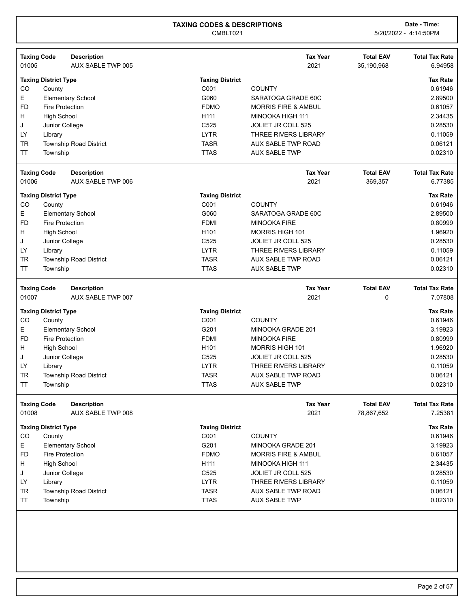| <b>Taxing Code</b> |                             | <b>Description</b>            |                        | <b>Tax Year</b>                | <b>Total EAV</b> | <b>Total Tax Rate</b> |
|--------------------|-----------------------------|-------------------------------|------------------------|--------------------------------|------------------|-----------------------|
| 01005              |                             | AUX SABLE TWP 005             |                        | 2021                           | 35,190,968       | 6.94958               |
|                    | <b>Taxing District Type</b> |                               | <b>Taxing District</b> |                                |                  | <b>Tax Rate</b>       |
| CO                 | County                      |                               | C001                   | <b>COUNTY</b>                  |                  | 0.61946               |
| Е                  |                             | <b>Elementary School</b>      | G060                   | SARATOGA GRADE 60C             |                  | 2.89500               |
| <b>FD</b>          | <b>Fire Protection</b>      |                               | <b>FDMO</b>            | <b>MORRIS FIRE &amp; AMBUL</b> |                  | 0.61057               |
| н                  | <b>High School</b>          |                               | H111                   | MINOOKA HIGH 111               |                  | 2.34435               |
| J                  | Junior College              |                               | C525                   | JOLIET JR COLL 525             |                  | 0.28530               |
| LY                 | Library                     |                               | <b>LYTR</b>            | THREE RIVERS LIBRARY           |                  | 0.11059               |
| <b>TR</b>          |                             | <b>Township Road District</b> | <b>TASR</b>            | AUX SABLE TWP ROAD             |                  | 0.06121               |
| <b>TT</b>          | Township                    |                               | <b>TTAS</b>            | <b>AUX SABLE TWP</b>           |                  | 0.02310               |
| <b>Taxing Code</b> |                             | <b>Description</b>            |                        | <b>Tax Year</b>                | <b>Total EAV</b> | <b>Total Tax Rate</b> |
| 01006              |                             | AUX SABLE TWP 006             |                        | 2021                           | 369,357          | 6.77385               |
|                    | <b>Taxing District Type</b> |                               | <b>Taxing District</b> |                                |                  | <b>Tax Rate</b>       |
| CO                 | County                      |                               | C001                   | <b>COUNTY</b>                  |                  | 0.61946               |
| E                  |                             | Elementary School             | G060                   | SARATOGA GRADE 60C             |                  | 2.89500               |
| <b>FD</b>          | <b>Fire Protection</b>      |                               | <b>FDMI</b>            | <b>MINOOKA FIRE</b>            |                  | 0.80999               |
| н                  | <b>High School</b>          |                               | H <sub>101</sub>       | MORRIS HIGH 101                |                  | 1.96920               |
| J                  | Junior College              |                               | C525                   | JOLIET JR COLL 525             |                  | 0.28530               |
| LY                 | Library                     |                               | <b>LYTR</b>            | THREE RIVERS LIBRARY           |                  | 0.11059               |
| <b>TR</b>          |                             | <b>Township Road District</b> | <b>TASR</b>            | AUX SABLE TWP ROAD             |                  | 0.06121               |
| <b>TT</b>          | Township                    |                               | <b>TTAS</b>            | <b>AUX SABLE TWP</b>           |                  | 0.02310               |
| <b>Taxing Code</b> |                             | <b>Description</b>            |                        | <b>Tax Year</b>                | <b>Total EAV</b> | <b>Total Tax Rate</b> |
| 01007              |                             | AUX SABLE TWP 007             |                        | 2021                           | 0                | 7.07808               |
|                    | <b>Taxing District Type</b> |                               | <b>Taxing District</b> |                                |                  | <b>Tax Rate</b>       |
| CO                 | County                      |                               | C001                   | <b>COUNTY</b>                  |                  | 0.61946               |
| E                  |                             | <b>Elementary School</b>      | G201                   | MINOOKA GRADE 201              |                  | 3.19923               |
| <b>FD</b>          | <b>Fire Protection</b>      |                               | <b>FDMI</b>            | <b>MINOOKA FIRE</b>            |                  | 0.80999               |
| Н                  | <b>High School</b>          |                               | H <sub>101</sub>       | <b>MORRIS HIGH 101</b>         |                  | 1.96920               |
| J                  |                             |                               |                        |                                |                  |                       |
|                    | Junior College              |                               | C525                   | <b>JOLIET JR COLL 525</b>      |                  | 0.28530               |
| LY                 | Library                     |                               | <b>LYTR</b>            | THREE RIVERS LIBRARY           |                  | 0.11059               |
| <b>TR</b>          |                             | <b>Township Road District</b> | <b>TASR</b>            | AUX SABLE TWP ROAD             |                  | 0.06121               |
| <b>TT</b>          | Township                    |                               | <b>TTAS</b>            | <b>AUX SABLE TWP</b>           |                  | 0.02310               |
| <b>Taxing Code</b> |                             | <b>Description</b>            |                        | <b>Tax Year</b>                | <b>Total EAV</b> | <b>Total Tax Rate</b> |
| 01008              |                             | AUX SABLE TWP 008             |                        | 2021                           | 78,867,652       | 7.25381               |
|                    | <b>Taxing District Type</b> |                               | <b>Taxing District</b> |                                |                  | <b>Tax Rate</b>       |
| CO                 | County                      |                               | C001                   | <b>COUNTY</b>                  |                  | 0.61946               |
| E                  |                             | <b>Elementary School</b>      | G201                   | MINOOKA GRADE 201              |                  | 3.19923               |
| <b>FD</b>          | <b>Fire Protection</b>      |                               | <b>FDMO</b>            | <b>MORRIS FIRE &amp; AMBUL</b> |                  | 0.61057               |
| H                  | <b>High School</b>          |                               | H111                   | MINOOKA HIGH 111               |                  | 2.34435               |
| J                  | Junior College              |                               | C525                   | JOLIET JR COLL 525             |                  | 0.28530               |
| <b>LY</b>          | Library                     |                               | <b>LYTR</b>            | <b>THREE RIVERS LIBRARY</b>    |                  | 0.11059               |
| <b>TR</b>          |                             | Township Road District        | <b>TASR</b>            | AUX SABLE TWP ROAD             |                  | 0.06121               |
| <b>TT</b>          | Township                    |                               | <b>TTAS</b>            | <b>AUX SABLE TWP</b>           |                  | 0.02310               |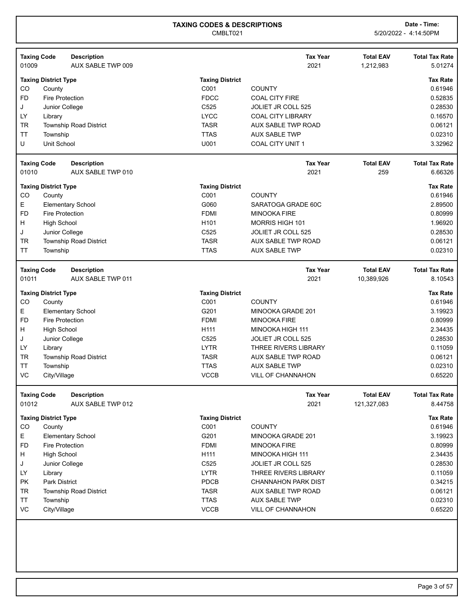| <b>Taxing Code</b> |                             | <b>Description</b>            |                        | <b>Tax Year</b>            | <b>Total EAV</b> | <b>Total Tax Rate</b> |
|--------------------|-----------------------------|-------------------------------|------------------------|----------------------------|------------------|-----------------------|
| 01009              |                             | AUX SABLE TWP 009             |                        | 2021                       | 1,212,983        | 5.01274               |
|                    | <b>Taxing District Type</b> |                               | <b>Taxing District</b> |                            |                  | <b>Tax Rate</b>       |
| CO                 | County                      |                               | C001                   | <b>COUNTY</b>              |                  | 0.61946               |
| <b>FD</b>          | <b>Fire Protection</b>      |                               | <b>FDCC</b>            | <b>COAL CITY FIRE</b>      |                  | 0.52835               |
| J                  | Junior College              |                               | C <sub>525</sub>       | <b>JOLIET JR COLL 525</b>  |                  | 0.28530               |
| LY                 | Library                     |                               | <b>LYCC</b>            | <b>COAL CITY LIBRARY</b>   |                  | 0.16570               |
| <b>TR</b>          |                             | <b>Township Road District</b> | <b>TASR</b>            | AUX SABLE TWP ROAD         |                  | 0.06121               |
| <b>TT</b>          | Township                    |                               | <b>TTAS</b>            | <b>AUX SABLE TWP</b>       |                  | 0.02310               |
| U                  | Unit School                 |                               | U001                   | <b>COAL CITY UNIT 1</b>    |                  | 3.32962               |
| <b>Taxing Code</b> |                             | <b>Description</b>            |                        | <b>Tax Year</b>            | <b>Total EAV</b> | <b>Total Tax Rate</b> |
| 01010              |                             | AUX SABLE TWP 010             |                        | 2021                       | 259              | 6.66326               |
|                    | <b>Taxing District Type</b> |                               | <b>Taxing District</b> |                            |                  | <b>Tax Rate</b>       |
| CO                 | County                      |                               | C001                   | <b>COUNTY</b>              |                  | 0.61946               |
| E                  |                             | <b>Elementary School</b>      | G060                   | SARATOGA GRADE 60C         |                  | 2.89500               |
| <b>FD</b>          | <b>Fire Protection</b>      |                               | <b>FDMI</b>            | <b>MINOOKA FIRE</b>        |                  | 0.80999               |
| н                  | <b>High School</b>          |                               | H <sub>101</sub>       | <b>MORRIS HIGH 101</b>     |                  | 1.96920               |
| J                  | Junior College              |                               | C <sub>525</sub>       | <b>JOLIET JR COLL 525</b>  |                  | 0.28530               |
| <b>TR</b>          |                             | <b>Township Road District</b> | <b>TASR</b>            | AUX SABLE TWP ROAD         |                  | 0.06121               |
| TT                 | Township                    |                               | <b>TTAS</b>            | <b>AUX SABLE TWP</b>       |                  | 0.02310               |
| <b>Taxing Code</b> |                             | <b>Description</b>            |                        | <b>Tax Year</b>            | <b>Total EAV</b> | <b>Total Tax Rate</b> |
| 01011              |                             | <b>AUX SABLE TWP 011</b>      |                        | 2021                       | 10,389,926       | 8.10543               |
|                    | <b>Taxing District Type</b> |                               | <b>Taxing District</b> |                            |                  | <b>Tax Rate</b>       |
| CO                 | County                      |                               | C001                   | <b>COUNTY</b>              |                  | 0.61946               |
| Е                  |                             | <b>Elementary School</b>      | G201                   | MINOOKA GRADE 201          |                  | 3.19923               |
| <b>FD</b>          | <b>Fire Protection</b>      |                               | <b>FDMI</b>            | <b>MINOOKA FIRE</b>        |                  | 0.80999               |
| H                  | <b>High School</b>          |                               | H111                   | MINOOKA HIGH 111           |                  | 2.34435               |
| J                  | Junior College              |                               | C525                   | <b>JOLIET JR COLL 525</b>  |                  | 0.28530               |
| LY                 | Library                     |                               | <b>LYTR</b>            | THREE RIVERS LIBRARY       |                  | 0.11059               |
| <b>TR</b>          |                             | Township Road District        | <b>TASR</b>            | <b>AUX SABLE TWP ROAD</b>  |                  | 0.06121               |
| <b>TT</b>          | Township                    |                               | <b>TTAS</b>            | <b>AUX SABLE TWP</b>       |                  | 0.02310               |
| VC                 | City/Village                |                               | <b>VCCB</b>            | <b>VILL OF CHANNAHON</b>   |                  | 0.65220               |
| <b>Taxing Code</b> |                             | <b>Description</b>            |                        | <b>Tax Year</b>            | <b>Total EAV</b> | <b>Total Tax Rate</b> |
| 01012              |                             | AUX SABLE TWP 012             |                        | 2021                       | 121,327,083      | 8.44758               |
|                    | <b>Taxing District Type</b> |                               | <b>Taxing District</b> |                            |                  | <b>Tax Rate</b>       |
| CO                 | County                      |                               | C001                   | <b>COUNTY</b>              |                  | 0.61946               |
| Е                  |                             | <b>Elementary School</b>      | G201                   | MINOOKA GRADE 201          |                  | 3.19923               |
| <b>FD</b>          | Fire Protection             |                               | <b>FDMI</b>            | <b>MINOOKA FIRE</b>        |                  | 0.80999               |
| H                  | <b>High School</b>          |                               | H111                   | MINOOKA HIGH 111           |                  | 2.34435               |
| J                  | Junior College              |                               | C525                   | JOLIET JR COLL 525         |                  | 0.28530               |
| LY                 | Library                     |                               | <b>LYTR</b>            | THREE RIVERS LIBRARY       |                  | 0.11059               |
| <b>PK</b>          | <b>Park District</b>        |                               | PDCB                   | <b>CHANNAHON PARK DIST</b> |                  | 0.34215               |
| TR                 |                             | <b>Township Road District</b> | <b>TASR</b>            | AUX SABLE TWP ROAD         |                  | 0.06121               |
| <b>TT</b>          | Township                    |                               | <b>TTAS</b>            | <b>AUX SABLE TWP</b>       |                  | 0.02310               |
| VC                 | City/Village                |                               | <b>VCCB</b>            | VILL OF CHANNAHON          |                  | 0.65220               |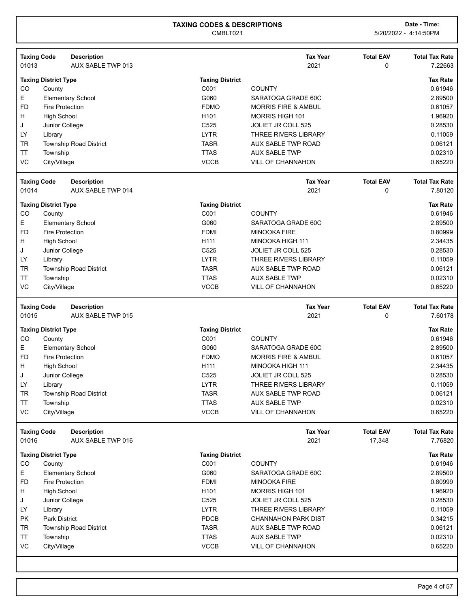| 01013           | <b>Taxing Code</b>          | <b>Description</b><br>AUX SABLE TWP 013 |                            | <b>Tax Year</b><br>2021                   | <b>Total EAV</b><br>0 | <b>Total Tax Rate</b><br>7.22663         |
|-----------------|-----------------------------|-----------------------------------------|----------------------------|-------------------------------------------|-----------------------|------------------------------------------|
|                 | <b>Taxing District Type</b> |                                         | <b>Taxing District</b>     |                                           |                       | <b>Tax Rate</b>                          |
| CO              | County                      |                                         | C001                       | <b>COUNTY</b>                             |                       | 0.61946                                  |
| E               |                             | <b>Elementary School</b>                | G060                       | SARATOGA GRADE 60C                        |                       | 2.89500                                  |
| <b>FD</b>       | <b>Fire Protection</b>      |                                         | <b>FDMO</b>                | <b>MORRIS FIRE &amp; AMBUL</b>            |                       | 0.61057                                  |
| H               | <b>High School</b>          |                                         | H <sub>101</sub>           | MORRIS HIGH 101                           |                       | 1.96920                                  |
| J               | Junior College              |                                         | C525                       | <b>JOLIET JR COLL 525</b>                 |                       | 0.28530                                  |
| LY              | Library                     |                                         | <b>LYTR</b>                | <b>THREE RIVERS LIBRARY</b>               |                       | 0.11059                                  |
| <b>TR</b>       |                             | <b>Township Road District</b>           | <b>TASR</b>                | <b>AUX SABLE TWP ROAD</b>                 |                       | 0.06121                                  |
| <b>TT</b>       | Township                    |                                         | <b>TTAS</b>                | <b>AUX SABLE TWP</b>                      |                       | 0.02310                                  |
| VC              | City/Village                |                                         | <b>VCCB</b>                | <b>VILL OF CHANNAHON</b>                  |                       | 0.65220                                  |
|                 | <b>Taxing Code</b>          | <b>Description</b>                      |                            | <b>Tax Year</b>                           | <b>Total EAV</b>      | <b>Total Tax Rate</b>                    |
| 01014           |                             | AUX SABLE TWP 014                       |                            | 2021                                      | 0                     | 7.80120                                  |
|                 | <b>Taxing District Type</b> |                                         | <b>Taxing District</b>     |                                           |                       | <b>Tax Rate</b>                          |
| CO              | County                      |                                         | C001                       | <b>COUNTY</b>                             |                       | 0.61946                                  |
| E               |                             | <b>Elementary School</b>                | G060                       | SARATOGA GRADE 60C                        |                       | 2.89500                                  |
| <b>FD</b>       | <b>Fire Protection</b>      |                                         | <b>FDMI</b>                | <b>MINOOKA FIRE</b>                       |                       | 0.80999                                  |
| H               | <b>High School</b>          |                                         | H111                       | MINOOKA HIGH 111                          |                       | 2.34435                                  |
| J               | Junior College              |                                         | C525                       | <b>JOLIET JR COLL 525</b>                 |                       | 0.28530                                  |
| LY              | Library                     |                                         | <b>LYTR</b>                | THREE RIVERS LIBRARY                      |                       | 0.11059                                  |
| <b>TR</b>       |                             | Township Road District                  | <b>TASR</b>                | <b>AUX SABLE TWP ROAD</b>                 |                       | 0.06121                                  |
| <b>TT</b><br>VC | Township                    |                                         | <b>TTAS</b><br><b>VCCB</b> | <b>AUX SABLE TWP</b>                      |                       | 0.02310<br>0.65220                       |
|                 | City/Village                |                                         |                            | VILL OF CHANNAHON                         |                       |                                          |
|                 | <b>Taxing Code</b>          | <b>Description</b>                      |                            | <b>Tax Year</b>                           | <b>Total EAV</b>      | <b>Total Tax Rate</b>                    |
| 01015           |                             | AUX SABLE TWP 015                       |                            | 2021                                      | 0                     | 7.60178                                  |
|                 | <b>Taxing District Type</b> |                                         | <b>Taxing District</b>     |                                           |                       | <b>Tax Rate</b>                          |
| CO              | County                      |                                         | C001                       | <b>COUNTY</b>                             |                       | 0.61946                                  |
| Е               |                             | <b>Elementary School</b>                | G060                       | SARATOGA GRADE 60C                        |                       | 2.89500                                  |
| <b>FD</b>       | <b>Fire Protection</b>      |                                         | <b>FDMO</b>                | <b>MORRIS FIRE &amp; AMBUL</b>            |                       | 0.61057                                  |
| H               | <b>High School</b>          |                                         | H111                       | MINOOKA HIGH 111                          |                       | 2.34435                                  |
| J               | Junior College              |                                         | C525                       | JOLIET JR COLL 525                        |                       | 0.28530                                  |
| LY              | Library                     |                                         | <b>LYTR</b>                | <b>THREE RIVERS LIBRARY</b>               |                       | 0.11059                                  |
| <b>TR</b>       |                             | Township Road District                  | <b>TASR</b>                | AUX SABLE TWP ROAD                        |                       | 0.06121                                  |
| ΤT              | Township                    |                                         | <b>TTAS</b>                | <b>AUX SABLE TWP</b>                      |                       | 0.02310                                  |
| VC              | City/Village                |                                         | <b>VCCB</b>                | <b>VILL OF CHANNAHON</b>                  |                       | 0.65220                                  |
|                 | <b>Taxing Code</b>          | <b>Description</b>                      |                            | <b>Tax Year</b>                           | <b>Total EAV</b>      | <b>Total Tax Rate</b>                    |
| 01016           |                             | AUX SABLE TWP 016                       |                            | 2021                                      | 17,348                | 7.76820                                  |
|                 | <b>Taxing District Type</b> |                                         | <b>Taxing District</b>     |                                           |                       | <b>Tax Rate</b>                          |
| CO              | County                      |                                         | C001                       | <b>COUNTY</b>                             |                       | 0.61946                                  |
| E               |                             | <b>Elementary School</b>                | G060                       | SARATOGA GRADE 60C                        |                       | 2.89500                                  |
| <b>FD</b>       | Fire Protection             |                                         | <b>FDMI</b>                | <b>MINOOKA FIRE</b>                       |                       | 0.80999                                  |
| H               | <b>High School</b>          |                                         | H101                       | <b>MORRIS HIGH 101</b>                    |                       | 1.96920                                  |
|                 |                             | Junior College                          | C525                       | JOLIET JR COLL 525                        |                       | 0.28530                                  |
| J               |                             |                                         | <b>LYTR</b>                | <b>THREE RIVERS LIBRARY</b>               |                       | 0.11059                                  |
| LY              | Library                     |                                         |                            |                                           |                       |                                          |
| PK              | <b>Park District</b>        |                                         | PDCB                       | <b>CHANNAHON PARK DIST</b>                |                       |                                          |
| TR              |                             | <b>Township Road District</b>           | <b>TASR</b>                | AUX SABLE TWP ROAD                        |                       |                                          |
| TT<br>VC        | Township<br>City/Village    |                                         | <b>TTAS</b><br><b>VCCB</b> | <b>AUX SABLE TWP</b><br>VILL OF CHANNAHON |                       | 0.34215<br>0.06121<br>0.02310<br>0.65220 |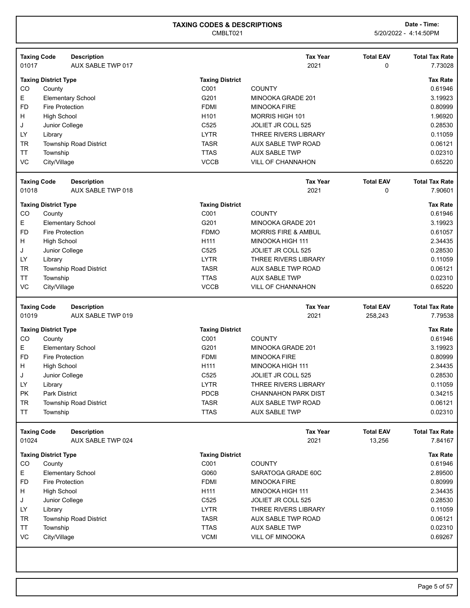| 01017           | <b>Taxing Code</b>          | <b>Description</b><br>AUX SABLE TWP 017 |                        | <b>Tax Year</b><br>2021        | <b>Total EAV</b><br>0 | <b>Total Tax Rate</b><br>7.73028 |
|-----------------|-----------------------------|-----------------------------------------|------------------------|--------------------------------|-----------------------|----------------------------------|
|                 | <b>Taxing District Type</b> |                                         | <b>Taxing District</b> |                                |                       | <b>Tax Rate</b>                  |
| CO              | County                      |                                         | C001                   | <b>COUNTY</b>                  |                       | 0.61946                          |
| Е               |                             | <b>Elementary School</b>                | G201                   | MINOOKA GRADE 201              |                       | 3.19923                          |
| <b>FD</b>       | <b>Fire Protection</b>      |                                         | <b>FDMI</b>            | <b>MINOOKA FIRE</b>            |                       | 0.80999                          |
| н               | <b>High School</b>          |                                         | H <sub>101</sub>       | MORRIS HIGH 101                |                       | 1.96920                          |
| J               | Junior College              |                                         | C525                   | JOLIET JR COLL 525             |                       | 0.28530                          |
| LY              | Library                     |                                         | <b>LYTR</b>            | <b>THREE RIVERS LIBRARY</b>    |                       | 0.11059                          |
| <b>TR</b>       |                             | Township Road District                  | <b>TASR</b>            | AUX SABLE TWP ROAD             |                       | 0.06121                          |
| TT              | Township                    |                                         | <b>TTAS</b>            | <b>AUX SABLE TWP</b>           |                       | 0.02310                          |
| VC              | City/Village                |                                         | <b>VCCB</b>            | <b>VILL OF CHANNAHON</b>       |                       | 0.65220                          |
|                 | <b>Taxing Code</b>          | <b>Description</b>                      |                        | <b>Tax Year</b>                | <b>Total EAV</b>      | <b>Total Tax Rate</b>            |
| 01018           |                             | AUX SABLE TWP 018                       |                        | 2021                           | 0                     | 7.90601                          |
|                 | <b>Taxing District Type</b> |                                         | <b>Taxing District</b> |                                |                       | <b>Tax Rate</b>                  |
| CO              | County                      |                                         | C001                   | <b>COUNTY</b>                  |                       | 0.61946                          |
| Е               |                             | <b>Elementary School</b>                | G201                   | MINOOKA GRADE 201              |                       | 3.19923                          |
| <b>FD</b>       | <b>Fire Protection</b>      |                                         | <b>FDMO</b>            | <b>MORRIS FIRE &amp; AMBUL</b> |                       | 0.61057                          |
| H               | <b>High School</b>          |                                         | H111                   | MINOOKA HIGH 111               |                       | 2.34435                          |
| J               | Junior College              |                                         | C525                   | JOLIET JR COLL 525             |                       | 0.28530                          |
| LY              | Library                     |                                         | <b>LYTR</b>            | <b>THREE RIVERS LIBRARY</b>    |                       | 0.11059                          |
| <b>TR</b>       |                             | <b>Township Road District</b>           | <b>TASR</b>            | AUX SABLE TWP ROAD             |                       | 0.06121                          |
| <b>TT</b>       | Township                    |                                         | <b>TTAS</b>            | <b>AUX SABLE TWP</b>           |                       | 0.02310                          |
| VC              | City/Village                |                                         | <b>VCCB</b>            | <b>VILL OF CHANNAHON</b>       |                       | 0.65220                          |
|                 | <b>Taxing Code</b>          | <b>Description</b>                      |                        | <b>Tax Year</b>                | <b>Total EAV</b>      | <b>Total Tax Rate</b>            |
| 01019           |                             | AUX SABLE TWP 019                       |                        | 2021                           | 258,243               | 7.79538                          |
|                 | <b>Taxing District Type</b> |                                         | <b>Taxing District</b> |                                |                       | <b>Tax Rate</b>                  |
| CO              | County                      |                                         | C001                   | <b>COUNTY</b>                  |                       | 0.61946                          |
| Е               |                             | <b>Elementary School</b>                | G201                   | MINOOKA GRADE 201              |                       | 3.19923                          |
| <b>FD</b>       | <b>Fire Protection</b>      |                                         | <b>FDMI</b>            | <b>MINOOKA FIRE</b>            |                       | 0.80999                          |
| H               | <b>High School</b>          |                                         | H111                   | <b>MINOOKA HIGH 111</b>        |                       | 2.34435                          |
| J               | Junior College              |                                         | C525                   | JOLIET JR COLL 525             |                       | 0.28530                          |
| LY              | Library                     |                                         | <b>LYTR</b>            | <b>THREE RIVERS LIBRARY</b>    |                       | 0.11059                          |
| PK              | <b>Park District</b>        |                                         | PDCB                   | CHANNAHON PARK DIST            |                       | 0.34215                          |
| <b>TR</b>       |                             | Township Road District                  | <b>TASR</b>            | AUX SABLE TWP ROAD             |                       | 0.06121                          |
| <b>TT</b>       | Township                    |                                         | <b>TTAS</b>            | <b>AUX SABLE TWP</b>           |                       | 0.02310                          |
|                 | <b>Taxing Code</b>          | <b>Description</b>                      |                        | <b>Tax Year</b>                | <b>Total EAV</b>      | <b>Total Tax Rate</b>            |
| 01024           |                             | AUX SABLE TWP 024                       |                        | 2021                           | 13,256                | 7.84167                          |
|                 | <b>Taxing District Type</b> |                                         | <b>Taxing District</b> |                                |                       | <b>Tax Rate</b>                  |
| CO              | County                      |                                         | C001                   | <b>COUNTY</b>                  |                       | 0.61946                          |
| Е               |                             | <b>Elementary School</b>                | G060                   | SARATOGA GRADE 60C             |                       | 2.89500                          |
| <b>FD</b>       | <b>Fire Protection</b>      |                                         | <b>FDMI</b>            | <b>MINOOKA FIRE</b>            |                       | 0.80999                          |
| H               | <b>High School</b>          |                                         | H111                   | MINOOKA HIGH 111               |                       | 2.34435                          |
| J               | Junior College              |                                         | C525                   | JOLIET JR COLL 525             |                       | 0.28530                          |
| <b>LY</b>       | Library                     |                                         | <b>LYTR</b>            | THREE RIVERS LIBRARY           |                       | 0.11059                          |
|                 |                             | Township Road District                  | <b>TASR</b>            | AUX SABLE TWP ROAD             |                       | 0.06121                          |
| <b>TR</b>       |                             |                                         | <b>TTAS</b>            | <b>AUX SABLE TWP</b>           |                       | 0.02310                          |
| <b>TT</b><br>VC | Township                    |                                         | <b>VCMI</b>            |                                |                       |                                  |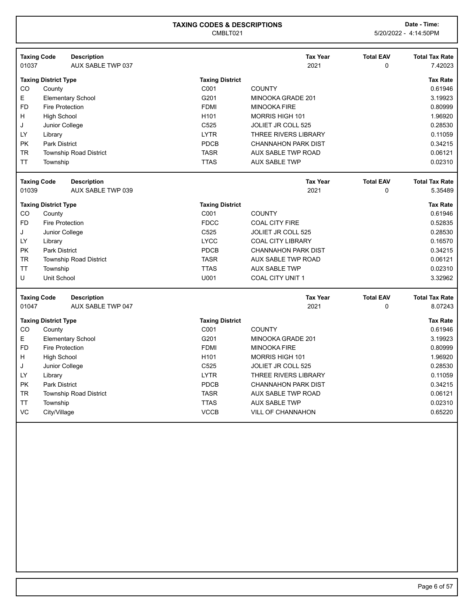|           | <b>Taxing Code</b><br><b>Description</b> |                        | <b>Tax Year</b>             | <b>Total EAV</b> | <b>Total Tax Rate</b> |
|-----------|------------------------------------------|------------------------|-----------------------------|------------------|-----------------------|
| 01037     | AUX SABLE TWP 037                        |                        | 2021                        | 0                | 7.42023               |
|           | <b>Taxing District Type</b>              | <b>Taxing District</b> |                             |                  | <b>Tax Rate</b>       |
| CO        | County                                   | C <sub>001</sub>       | <b>COUNTY</b>               |                  | 0.61946               |
| E         | <b>Elementary School</b>                 | G201                   | MINOOKA GRADE 201           |                  | 3.19923               |
| <b>FD</b> | <b>Fire Protection</b>                   | <b>FDMI</b>            | <b>MINOOKA FIRE</b>         |                  | 0.80999               |
| H         | <b>High School</b>                       | H <sub>101</sub>       | <b>MORRIS HIGH 101</b>      |                  | 1.96920               |
| J         | Junior College                           | C <sub>525</sub>       | JOLIET JR COLL 525          |                  | 0.28530               |
| LY        | Library                                  | <b>LYTR</b>            | <b>THREE RIVERS LIBRARY</b> |                  | 0.11059               |
| <b>PK</b> | <b>Park District</b>                     | <b>PDCB</b>            | <b>CHANNAHON PARK DIST</b>  |                  | 0.34215               |
| <b>TR</b> | <b>Township Road District</b>            | <b>TASR</b>            | AUX SABLE TWP ROAD          |                  | 0.06121               |
| <b>TT</b> | Township                                 | <b>TTAS</b>            | <b>AUX SABLE TWP</b>        |                  | 0.02310               |
|           |                                          |                        |                             |                  |                       |
|           | <b>Taxing Code</b><br><b>Description</b> |                        | <b>Tax Year</b>             | <b>Total EAV</b> | <b>Total Tax Rate</b> |
| 01039     | AUX SABLE TWP 039                        |                        | 2021                        | 0                | 5.35489               |
|           | <b>Taxing District Type</b>              | <b>Taxing District</b> |                             |                  | <b>Tax Rate</b>       |
| CO        | County                                   | C <sub>001</sub>       | <b>COUNTY</b>               |                  | 0.61946               |
| <b>FD</b> | <b>Fire Protection</b>                   | <b>FDCC</b>            | <b>COAL CITY FIRE</b>       |                  | 0.52835               |
| J         | Junior College                           | C <sub>525</sub>       | <b>JOLIET JR COLL 525</b>   |                  | 0.28530               |
| LY        | Library                                  | <b>LYCC</b>            | <b>COAL CITY LIBRARY</b>    |                  | 0.16570               |
| <b>PK</b> | <b>Park District</b>                     | <b>PDCB</b>            | <b>CHANNAHON PARK DIST</b>  |                  | 0.34215               |
| <b>TR</b> | <b>Township Road District</b>            | <b>TASR</b>            | <b>AUX SABLE TWP ROAD</b>   |                  | 0.06121               |
| <b>TT</b> | Township                                 | <b>TTAS</b>            | <b>AUX SABLE TWP</b>        |                  | 0.02310               |
|           |                                          |                        |                             |                  |                       |
| U         | Unit School                              | U001                   | <b>COAL CITY UNIT 1</b>     |                  | 3.32962               |

| <b>Taxing Code</b><br>01047 |                             | <b>Description</b><br>AUX SABLE TWP 047 |                        | <b>Tax Year</b><br>2021    | <b>Total EAV</b><br>0 | <b>Total Tax Rate</b><br>8.07243 |
|-----------------------------|-----------------------------|-----------------------------------------|------------------------|----------------------------|-----------------------|----------------------------------|
|                             | <b>Taxing District Type</b> |                                         | <b>Taxing District</b> |                            |                       | <b>Tax Rate</b>                  |
| CO                          | County                      |                                         | C <sub>001</sub>       | <b>COUNTY</b>              |                       | 0.61946                          |
| Е                           |                             | <b>Elementary School</b>                | G201                   | MINOOKA GRADE 201          |                       | 3.19923                          |
| FD.                         | Fire Protection             |                                         | <b>FDMI</b>            | MINOOKA FIRE               |                       | 0.80999                          |
| H                           | <b>High School</b>          |                                         | H <sub>101</sub>       | <b>MORRIS HIGH 101</b>     |                       | 1.96920                          |
| J                           | Junior College              |                                         | C <sub>525</sub>       | JOLIET JR COLL 525         |                       | 0.28530                          |
| LY                          | Library                     |                                         | <b>LYTR</b>            | THREE RIVERS LIBRARY       |                       | 0.11059                          |
| <b>PK</b>                   | <b>Park District</b>        |                                         | <b>PDCB</b>            | <b>CHANNAHON PARK DIST</b> |                       | 0.34215                          |
| <b>TR</b>                   |                             | <b>Township Road District</b>           | <b>TASR</b>            | AUX SABLE TWP ROAD         |                       | 0.06121                          |
| <b>TT</b>                   | Township                    |                                         | <b>TTAS</b>            | <b>AUX SABLE TWP</b>       |                       | 0.02310                          |
| VC                          | City/Village                |                                         | <b>VCCB</b>            | <b>VILL OF CHANNAHON</b>   |                       | 0.65220                          |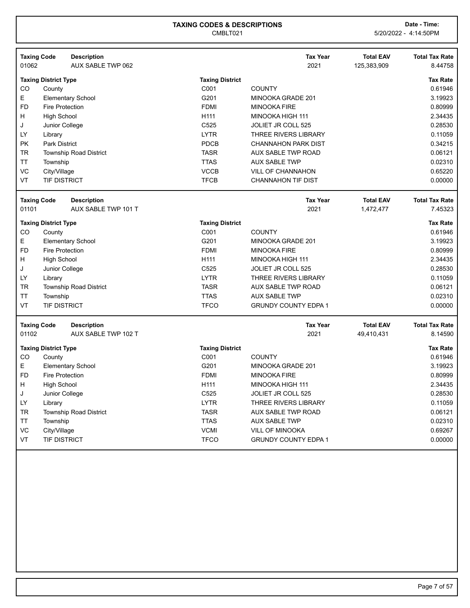CMBLT021 5/20/2022 - 4:14:50PM

|           | <b>Taxing Code</b>          | <b>Description</b>            |                        | <b>Tax Year</b>             | <b>Total EAV</b> | <b>Total Tax Rate</b> |
|-----------|-----------------------------|-------------------------------|------------------------|-----------------------------|------------------|-----------------------|
| 01062     |                             | AUX SABLE TWP 062             |                        | 2021                        | 125,383,909      | 8.44758               |
|           | <b>Taxing District Type</b> |                               | <b>Taxing District</b> |                             |                  | <b>Tax Rate</b>       |
| CO        | County                      |                               | C001                   | <b>COUNTY</b>               |                  | 0.61946               |
| E         |                             | <b>Elementary School</b>      | G201                   | MINOOKA GRADE 201           |                  | 3.19923               |
| <b>FD</b> | <b>Fire Protection</b>      |                               | <b>FDMI</b>            | <b>MINOOKA FIRE</b>         |                  | 0.80999               |
| н         | <b>High School</b>          |                               | H111                   | <b>MINOOKA HIGH 111</b>     |                  | 2.34435               |
| J         | Junior College              |                               | C525                   | JOLIET JR COLL 525          |                  | 0.28530               |
| LY        | Library                     |                               | <b>LYTR</b>            | THREE RIVERS LIBRARY        |                  | 0.11059               |
| <b>PK</b> | <b>Park District</b>        |                               | PDCB                   | <b>CHANNAHON PARK DIST</b>  |                  | 0.34215               |
| <b>TR</b> |                             | <b>Township Road District</b> | <b>TASR</b>            | <b>AUX SABLE TWP ROAD</b>   |                  | 0.06121               |
| <b>TT</b> | Township                    |                               | <b>TTAS</b>            | <b>AUX SABLE TWP</b>        |                  | 0.02310               |
| VC        | City/Village                |                               | <b>VCCB</b>            | VILL OF CHANNAHON           |                  | 0.65220               |
| VT        | <b>TIF DISTRICT</b>         |                               | <b>TFCB</b>            | <b>CHANNAHON TIF DIST</b>   |                  | 0.00000               |
|           | <b>Taxing Code</b>          | <b>Description</b>            |                        | <b>Tax Year</b>             | <b>Total EAV</b> | <b>Total Tax Rate</b> |
| 01101     |                             | AUX SABLE TWP 101 T           |                        | 2021                        | 1,472,477        | 7.45323               |
|           | <b>Taxing District Type</b> |                               | <b>Taxing District</b> |                             |                  | <b>Tax Rate</b>       |
| CO        | County                      |                               | C001                   | <b>COUNTY</b>               |                  | 0.61946               |
| Е         |                             | <b>Elementary School</b>      | G201                   | MINOOKA GRADE 201           |                  | 3.19923               |
| <b>FD</b> | <b>Fire Protection</b>      |                               | <b>FDMI</b>            | <b>MINOOKA FIRE</b>         |                  | 0.80999               |
| н         | <b>High School</b>          |                               | H111                   | MINOOKA HIGH 111            |                  | 2.34435               |
| J         | Junior College              |                               | C <sub>525</sub>       | JOLIET JR COLL 525          |                  | 0.28530               |
| LY        | Library                     |                               | <b>LYTR</b>            | <b>THREE RIVERS LIBRARY</b> |                  | 0.11059               |
| <b>TR</b> |                             | <b>Township Road District</b> | <b>TASR</b>            | AUX SABLE TWP ROAD          |                  | 0.06121               |
| <b>TT</b> | Township                    |                               | <b>TTAS</b>            | <b>AUX SABLE TWP</b>        |                  | 0.02310               |
| VT        | <b>TIF DISTRICT</b>         |                               | <b>TFCO</b>            | <b>GRUNDY COUNTY EDPA 1</b> |                  | 0.00000               |
|           | <b>Taxing Code</b>          | <b>Description</b>            |                        | <b>Tax Year</b>             | <b>Total EAV</b> | <b>Total Tax Rate</b> |
| 01102     |                             | AUX SABLE TWP 102 T           |                        | 2021                        | 49,410,431       | 8.14590               |
|           | <b>Taxing District Type</b> |                               | <b>Taxing District</b> |                             |                  | <b>Tax Rate</b>       |
| CO        | County                      |                               | C001                   | <b>COUNTY</b>               |                  | 0.61946               |
| Е         |                             | <b>Elementary School</b>      | G201                   | MINOOKA GRADE 201           |                  | 3.19923               |
| <b>FD</b> | <b>Fire Protection</b>      |                               | <b>FDMI</b>            | <b>MINOOKA FIRE</b>         |                  | 0.80999               |

H High School 2.34435 J Junior College C525 JOLIET JR COLL 525 0.28530 LY Library **Definition Contract Contract Contract Contract Contract Contract Contract Contract Contract Contract Contract Contract Contract Contract Contract Contract Contract Contract Contract Contract Contract Contract C** TR Township Road District **TASR** AUX SABLE TWP ROAD **1.006121** 0.06121 TT Township **THAS** AUX SABLE TWP **THAS** AUX SABLE TWP **1.1** Township **0.02310** VC City/Village 0.69267 VT TIF DISTRICT CONSUMING THE CONSUMING THE OCCUNTY COUNTY EDPA 1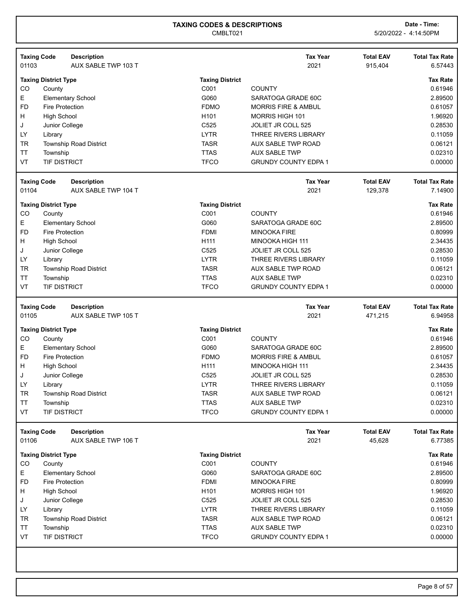| 01103     | <b>Taxing Code</b><br><b>Description</b><br>AUX SABLE TWP 103 T |                        | <b>Tax Year</b><br>2021        | <b>Total EAV</b><br>915,404 | <b>Total Tax Rate</b><br>6.57443 |
|-----------|-----------------------------------------------------------------|------------------------|--------------------------------|-----------------------------|----------------------------------|
|           | <b>Taxing District Type</b>                                     | <b>Taxing District</b> |                                |                             | <b>Tax Rate</b>                  |
| CO        | County                                                          | C001                   | <b>COUNTY</b>                  |                             | 0.61946                          |
| Ε         | <b>Elementary School</b>                                        | G060                   | SARATOGA GRADE 60C             |                             | 2.89500                          |
| <b>FD</b> | <b>Fire Protection</b>                                          | <b>FDMO</b>            | <b>MORRIS FIRE &amp; AMBUL</b> |                             | 0.61057                          |
| н         | <b>High School</b>                                              | H101                   | MORRIS HIGH 101                |                             | 1.96920                          |
| J         | Junior College                                                  | C525                   | <b>JOLIET JR COLL 525</b>      |                             | 0.28530                          |
| LY        | Library                                                         | <b>LYTR</b>            | THREE RIVERS LIBRARY           |                             | 0.11059                          |
| <b>TR</b> | Township Road District                                          | <b>TASR</b>            | AUX SABLE TWP ROAD             |                             | 0.06121                          |
| <b>TT</b> | Township                                                        | <b>TTAS</b>            | <b>AUX SABLE TWP</b>           |                             | 0.02310                          |
| VT        | <b>TIF DISTRICT</b>                                             | <b>TFCO</b>            | <b>GRUNDY COUNTY EDPA 1</b>    |                             | 0.00000                          |
|           | <b>Taxing Code</b><br><b>Description</b>                        |                        | <b>Tax Year</b>                | <b>Total EAV</b>            | <b>Total Tax Rate</b>            |
| 01104     | AUX SABLE TWP 104 T                                             |                        | 2021                           | 129,378                     | 7.14900                          |
|           | <b>Taxing District Type</b>                                     | <b>Taxing District</b> |                                |                             | <b>Tax Rate</b>                  |
| CO        | County                                                          | C001                   | <b>COUNTY</b>                  |                             | 0.61946                          |
| E         | <b>Elementary School</b>                                        | G060                   | SARATOGA GRADE 60C             |                             | 2.89500                          |
| <b>FD</b> | <b>Fire Protection</b>                                          | <b>FDMI</b>            | <b>MINOOKA FIRE</b>            |                             | 0.80999                          |
| н         | <b>High School</b>                                              | H111                   | MINOOKA HIGH 111               |                             | 2.34435                          |
| J         | Junior College                                                  | C525                   | JOLIET JR COLL 525             |                             | 0.28530                          |
| LY        | Library                                                         | <b>LYTR</b>            | <b>THREE RIVERS LIBRARY</b>    |                             | 0.11059                          |
| <b>TR</b> | <b>Township Road District</b>                                   | <b>TASR</b>            | AUX SABLE TWP ROAD             |                             | 0.06121                          |
| TT        | Township                                                        | <b>TTAS</b>            | <b>AUX SABLE TWP</b>           |                             | 0.02310                          |
| VT        | <b>TIF DISTRICT</b>                                             | <b>TFCO</b>            | <b>GRUNDY COUNTY EDPA 1</b>    |                             | 0.00000                          |
| 01105     | <b>Taxing Code</b><br><b>Description</b><br>AUX SABLE TWP 105 T |                        | <b>Tax Year</b><br>2021        | <b>Total EAV</b><br>471,215 | <b>Total Tax Rate</b><br>6.94958 |
|           |                                                                 |                        |                                |                             |                                  |
|           | <b>Taxing District Type</b>                                     | <b>Taxing District</b> |                                |                             | <b>Tax Rate</b>                  |
| CO        | County                                                          | C001                   | <b>COUNTY</b>                  |                             | 0.61946                          |
| Ε         | <b>Elementary School</b>                                        | G060                   | SARATOGA GRADE 60C             |                             | 2.89500                          |
|           |                                                                 |                        | <b>MORRIS FIRE &amp; AMBUL</b> |                             | 0.61057                          |
| <b>FD</b> | <b>Fire Protection</b>                                          | <b>FDMO</b>            |                                |                             |                                  |
| н         | <b>High School</b>                                              | H111                   | MINOOKA HIGH 111               |                             | 2.34435                          |
| J         | Junior College                                                  | C525                   | JOLIET JR COLL 525             |                             | 0.28530                          |
| LY        | Library                                                         | <b>LYTR</b>            | THREE RIVERS LIBRARY           |                             | 0.11059                          |
| TR        | Township Road District                                          | <b>TASR</b>            | <b>AUX SABLE TWP ROAD</b>      |                             | 0.06121                          |
| TT        | Township                                                        | <b>TTAS</b>            | <b>AUX SABLE TWP</b>           |                             | 0.02310                          |
| VT        | TIF DISTRICT                                                    | <b>TFCO</b>            | <b>GRUNDY COUNTY EDPA 1</b>    |                             | 0.00000                          |
|           | <b>Taxing Code</b><br><b>Description</b>                        |                        | <b>Tax Year</b>                | <b>Total EAV</b>            | <b>Total Tax Rate</b>            |
| 01106     | AUX SABLE TWP 106 T                                             |                        | 2021                           | 45,628                      | 6.77385                          |
|           | <b>Taxing District Type</b>                                     | <b>Taxing District</b> |                                |                             | <b>Tax Rate</b>                  |
| CO        | County                                                          | C001                   | <b>COUNTY</b>                  |                             | 0.61946                          |
| E         | <b>Elementary School</b>                                        | G060                   | SARATOGA GRADE 60C             |                             | 2.89500                          |
| <b>FD</b> | <b>Fire Protection</b>                                          | <b>FDMI</b>            | <b>MINOOKA FIRE</b>            |                             | 0.80999                          |
| н         | <b>High School</b>                                              | H <sub>101</sub>       | <b>MORRIS HIGH 101</b>         |                             | 1.96920                          |
| J         | Junior College                                                  | C525                   | JOLIET JR COLL 525             |                             | 0.28530                          |
| LY        | Library                                                         | <b>LYTR</b>            | <b>THREE RIVERS LIBRARY</b>    |                             |                                  |
| <b>TR</b> | Township Road District                                          | <b>TASR</b>            | AUX SABLE TWP ROAD             |                             | 0.11059<br>0.06121               |
| TT        | Township                                                        | <b>TTAS</b>            | <b>AUX SABLE TWP</b>           |                             | 0.02310                          |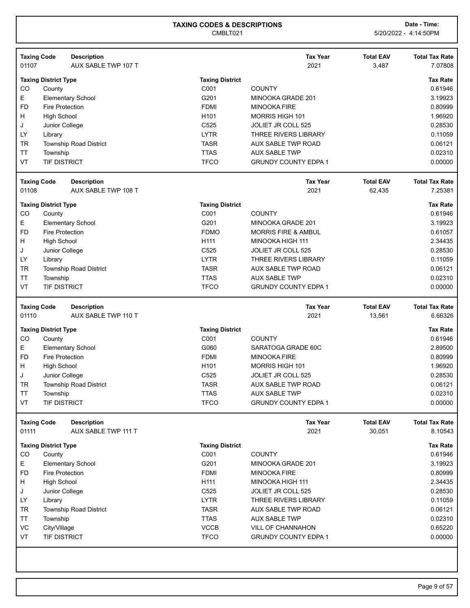| 01107                              | <b>Description</b><br>AUX SABLE TWP 107 T          |                            | <b>Tax Year</b><br>2021                             | <b>Total EAV</b><br>3,487  | <b>Total Tax Rate</b><br>7.07808                                                                                                                       |
|------------------------------------|----------------------------------------------------|----------------------------|-----------------------------------------------------|----------------------------|--------------------------------------------------------------------------------------------------------------------------------------------------------|
| <b>Taxing District Type</b>        |                                                    | <b>Taxing District</b>     |                                                     |                            | <b>Tax Rate</b>                                                                                                                                        |
| CO<br>County                       |                                                    | C001                       | <b>COUNTY</b>                                       |                            | 0.61946                                                                                                                                                |
| E                                  | <b>Elementary School</b>                           | G201                       | MINOOKA GRADE 201                                   |                            | 3.19923                                                                                                                                                |
| <b>FD</b>                          | Fire Protection                                    | <b>FDMI</b>                | <b>MINOOKA FIRE</b>                                 |                            | 0.80999                                                                                                                                                |
| H<br><b>High School</b>            |                                                    | H101                       | MORRIS HIGH 101                                     |                            | 1.96920                                                                                                                                                |
| J                                  | Junior College                                     | C525                       | JOLIET JR COLL 525                                  |                            | 0.28530                                                                                                                                                |
| LY<br>Library                      |                                                    | <b>LYTR</b>                | <b>THREE RIVERS LIBRARY</b>                         |                            | 0.11059                                                                                                                                                |
| <b>TR</b>                          | <b>Township Road District</b>                      | <b>TASR</b>                | AUX SABLE TWP ROAD                                  |                            | 0.06121                                                                                                                                                |
| <b>TT</b><br>Township              |                                                    | <b>TTAS</b>                | <b>AUX SABLE TWP</b>                                |                            | 0.02310                                                                                                                                                |
| VT                                 | <b>TIF DISTRICT</b>                                | <b>TFCO</b>                | <b>GRUNDY COUNTY EDPA 1</b>                         |                            | 0.00000                                                                                                                                                |
| <b>Taxing Code</b>                 | <b>Description</b>                                 |                            | <b>Tax Year</b>                                     | <b>Total EAV</b>           | <b>Total Tax Rate</b>                                                                                                                                  |
| 01108                              | AUX SABLE TWP 108 T                                |                            | 2021                                                | 62,435                     | 7.25381                                                                                                                                                |
| <b>Taxing District Type</b>        |                                                    | <b>Taxing District</b>     |                                                     |                            | <b>Tax Rate</b>                                                                                                                                        |
| CO<br>County                       |                                                    | C001                       | <b>COUNTY</b>                                       |                            | 0.61946                                                                                                                                                |
| E                                  | <b>Elementary School</b>                           | G201                       | MINOOKA GRADE 201                                   |                            | 3.19923                                                                                                                                                |
| <b>FD</b>                          | <b>Fire Protection</b>                             | <b>FDMO</b>                | <b>MORRIS FIRE &amp; AMBUL</b>                      |                            | 0.61057                                                                                                                                                |
| H<br><b>High School</b>            |                                                    | H111                       | MINOOKA HIGH 111                                    |                            | 2.34435                                                                                                                                                |
| J                                  | Junior College                                     | C525                       | JOLIET JR COLL 525                                  |                            | 0.28530                                                                                                                                                |
| LY<br>Library                      |                                                    | <b>LYTR</b>                | THREE RIVERS LIBRARY                                |                            | 0.11059                                                                                                                                                |
| <b>TR</b>                          | <b>Township Road District</b>                      | <b>TASR</b>                | AUX SABLE TWP ROAD                                  |                            | 0.06121                                                                                                                                                |
| <b>TT</b><br>Township<br><b>VT</b> | <b>TIF DISTRICT</b>                                | <b>TTAS</b><br><b>TFCO</b> | <b>AUX SABLE TWP</b><br><b>GRUNDY COUNTY EDPA 1</b> |                            | 0.02310<br>0.00000                                                                                                                                     |
| <b>Taxing Code</b><br>01110        | <b>Description</b><br>AUX SABLE TWP 110 T          |                            | <b>Tax Year</b><br>2021                             | <b>Total EAV</b><br>13,561 | <b>Total Tax Rate</b><br>6.66326                                                                                                                       |
| <b>Taxing District Type</b>        |                                                    | <b>Taxing District</b>     |                                                     |                            | <b>Tax Rate</b>                                                                                                                                        |
| CO<br>County                       |                                                    | C001                       | <b>COUNTY</b>                                       |                            | 0.61946                                                                                                                                                |
|                                    |                                                    |                            |                                                     |                            |                                                                                                                                                        |
| Е                                  |                                                    | G060                       | SARATOGA GRADE 60C                                  |                            |                                                                                                                                                        |
| <b>FD</b>                          | <b>Elementary School</b><br><b>Fire Protection</b> | <b>FDMI</b>                | <b>MINOOKA FIRE</b>                                 |                            |                                                                                                                                                        |
| H                                  |                                                    | H101                       | <b>MORRIS HIGH 101</b>                              |                            |                                                                                                                                                        |
| <b>High School</b><br>J            |                                                    | C525                       | JOLIET JR COLL 525                                  |                            |                                                                                                                                                        |
| <b>TR</b>                          | Junior College<br><b>Township Road District</b>    | <b>TASR</b>                | AUX SABLE TWP ROAD                                  |                            |                                                                                                                                                        |
| <b>TT</b><br>Township              |                                                    | <b>TTAS</b>                | <b>AUX SABLE TWP</b>                                |                            |                                                                                                                                                        |
| VT                                 | <b>TIF DISTRICT</b>                                | <b>TFCO</b>                | <b>GRUNDY COUNTY EDPA 1</b>                         |                            | 2.89500<br>0.80999<br>1.96920<br>0.28530<br>0.06121<br>0.02310<br>0.00000                                                                              |
| <b>Taxing Code</b>                 | <b>Description</b>                                 |                            | <b>Tax Year</b>                                     | <b>Total EAV</b>           |                                                                                                                                                        |
| 01111                              | AUX SABLE TWP 111 T                                |                            | 2021                                                | 30,051                     |                                                                                                                                                        |
| <b>Taxing District Type</b>        |                                                    | <b>Taxing District</b>     |                                                     |                            |                                                                                                                                                        |
| CO<br>County                       |                                                    | C001                       | <b>COUNTY</b>                                       |                            |                                                                                                                                                        |
| Е                                  | <b>Elementary School</b>                           | G201                       | MINOOKA GRADE 201                                   |                            |                                                                                                                                                        |
| <b>FD</b>                          | <b>Fire Protection</b>                             | <b>FDMI</b>                | <b>MINOOKA FIRE</b>                                 |                            |                                                                                                                                                        |
| H<br><b>High School</b>            |                                                    | H111                       | MINOOKA HIGH 111                                    |                            |                                                                                                                                                        |
| J                                  | Junior College                                     | C525                       | JOLIET JR COLL 525                                  |                            |                                                                                                                                                        |
| LY<br>Library                      |                                                    | <b>LYTR</b>                | THREE RIVERS LIBRARY                                |                            |                                                                                                                                                        |
| <b>TR</b>                          | <b>Township Road District</b>                      | <b>TASR</b>                | AUX SABLE TWP ROAD                                  |                            |                                                                                                                                                        |
| TT<br>Township                     |                                                    | <b>TTAS</b>                | <b>AUX SABLE TWP</b>                                |                            |                                                                                                                                                        |
| VC<br>City/Village                 |                                                    | <b>VCCB</b>                | <b>VILL OF CHANNAHON</b>                            |                            | <b>Total Tax Rate</b><br>8.10543<br><b>Tax Rate</b><br>0.61946<br>3.19923<br>0.80999<br>2.34435<br>0.28530<br>0.11059<br>0.06121<br>0.02310<br>0.65220 |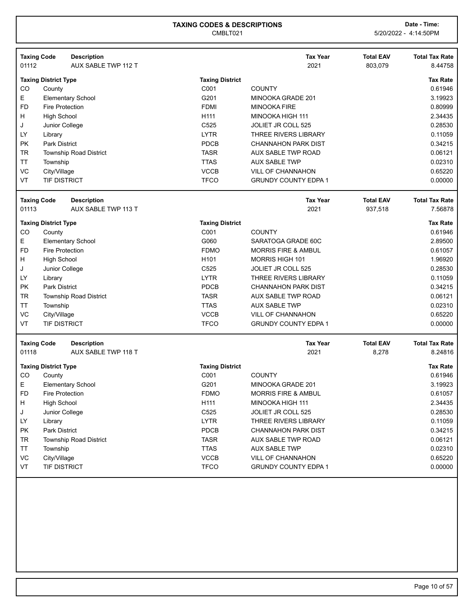| <b>Taxing Code</b><br>01112 | <b>Description</b><br>AUX SABLE TWP 112 T |                        | <b>Tax Year</b><br>2021        | <b>Total EAV</b><br>803,079 | <b>Total Tax Rate</b><br>8.44758 |
|-----------------------------|-------------------------------------------|------------------------|--------------------------------|-----------------------------|----------------------------------|
|                             |                                           |                        |                                |                             |                                  |
|                             | <b>Taxing District Type</b>               | <b>Taxing District</b> |                                |                             | <b>Tax Rate</b>                  |
| CO                          | County                                    | C001                   | <b>COUNTY</b>                  |                             | 0.61946                          |
| Е                           | <b>Elementary School</b>                  | G201                   | MINOOKA GRADE 201              |                             | 3.19923                          |
| <b>FD</b>                   | <b>Fire Protection</b>                    | <b>FDMI</b>            | <b>MINOOKA FIRE</b>            |                             | 0.80999                          |
| н                           | <b>High School</b>                        | H111                   | MINOOKA HIGH 111               |                             | 2.34435                          |
| J                           | Junior College                            | C525                   | <b>JOLIET JR COLL 525</b>      |                             | 0.28530                          |
| LY                          | Library                                   | <b>LYTR</b>            | <b>THREE RIVERS LIBRARY</b>    |                             | 0.11059                          |
| <b>PK</b>                   | <b>Park District</b>                      | PDCB                   | <b>CHANNAHON PARK DIST</b>     |                             | 0.34215                          |
| TR                          | <b>Township Road District</b>             | <b>TASR</b>            | <b>AUX SABLE TWP ROAD</b>      |                             | 0.06121                          |
| ΤT                          | Township                                  | <b>TTAS</b>            | <b>AUX SABLE TWP</b>           |                             | 0.02310                          |
| VC                          | City/Village                              | <b>VCCB</b>            | <b>VILL OF CHANNAHON</b>       |                             | 0.65220                          |
| VT                          | TIF DISTRICT                              | <b>TFCO</b>            | <b>GRUNDY COUNTY EDPA 1</b>    |                             | 0.00000                          |
| <b>Taxing Code</b>          | <b>Description</b>                        |                        | <b>Tax Year</b>                | <b>Total EAV</b>            | <b>Total Tax Rate</b>            |
| 01113                       | AUX SABLE TWP 113 T                       |                        | 2021                           | 937,518                     | 7.56878                          |
|                             | <b>Taxing District Type</b>               | <b>Taxing District</b> |                                |                             | <b>Tax Rate</b>                  |
| CO                          | County                                    | C001                   | <b>COUNTY</b>                  |                             | 0.61946                          |
| Е                           | <b>Elementary School</b>                  | G060                   | SARATOGA GRADE 60C             |                             | 2.89500                          |
| <b>FD</b>                   | <b>Fire Protection</b>                    | <b>FDMO</b>            | <b>MORRIS FIRE &amp; AMBUL</b> |                             | 0.61057                          |
| н                           | <b>High School</b>                        | H <sub>101</sub>       | MORRIS HIGH 101                |                             | 1.96920                          |
| J                           | Junior College                            | C525                   | JOLIET JR COLL 525             |                             | 0.28530                          |
| LY                          | Library                                   | <b>LYTR</b>            | THREE RIVERS LIBRARY           |                             | 0.11059                          |
| <b>PK</b>                   | <b>Park District</b>                      | PDCB                   | <b>CHANNAHON PARK DIST</b>     |                             | 0.34215                          |
| <b>TR</b>                   | <b>Township Road District</b>             | <b>TASR</b>            | AUX SABLE TWP ROAD             |                             | 0.06121                          |
| <b>TT</b>                   | Township                                  | <b>TTAS</b>            | <b>AUX SABLE TWP</b>           |                             | 0.02310                          |
| VC                          | City/Village                              | <b>VCCB</b>            | <b>VILL OF CHANNAHON</b>       |                             | 0.65220                          |
| VT                          | TIF DISTRICT                              | <b>TFCO</b>            | <b>GRUNDY COUNTY EDPA 1</b>    |                             | 0.00000                          |
|                             |                                           |                        |                                |                             |                                  |
| <b>Taxing Code</b>          | <b>Description</b>                        |                        | <b>Tax Year</b>                | <b>Total EAV</b>            | <b>Total Tax Rate</b>            |
| 01118                       | AUX SABLE TWP 118 T                       |                        | 2021                           | 8,278                       | 8.24816                          |
|                             | <b>Taxing District Type</b>               | <b>Taxing District</b> |                                |                             | <b>Tax Rate</b>                  |
| CO                          | County                                    | C001                   | <b>COUNTY</b>                  |                             | 0.61946                          |
| E.                          | <b>Elementary School</b>                  | G201                   | MINOOKA GRADE 201              |                             | 3.19923                          |
| FD                          | <b>Fire Protection</b>                    | <b>FDMO</b>            | <b>MORRIS FIRE &amp; AMBUL</b> |                             | 0.61057                          |
| н                           | <b>High School</b>                        | H111                   | MINOOKA HIGH 111               |                             | 2.34435                          |
| J                           | Junior College                            | C525                   | <b>JOLIET JR COLL 525</b>      |                             | 0.28530                          |
| LY                          | Library                                   | <b>LYTR</b>            | THREE RIVERS LIBRARY           |                             | 0.11059                          |
| PK                          | <b>Park District</b>                      | PDCB                   | <b>CHANNAHON PARK DIST</b>     |                             | 0.34215                          |
| TR                          | <b>Township Road District</b>             | <b>TASR</b>            | AUX SABLE TWP ROAD             |                             | 0.06121                          |
| TT                          | Township                                  | <b>TTAS</b>            | <b>AUX SABLE TWP</b>           |                             | 0.02310                          |
| VC                          | City/Village                              | <b>VCCB</b>            | <b>VILL OF CHANNAHON</b>       |                             | 0.65220                          |
| VT                          | TIF DISTRICT                              | <b>TFCO</b>            | <b>GRUNDY COUNTY EDPA 1</b>    |                             | 0.00000                          |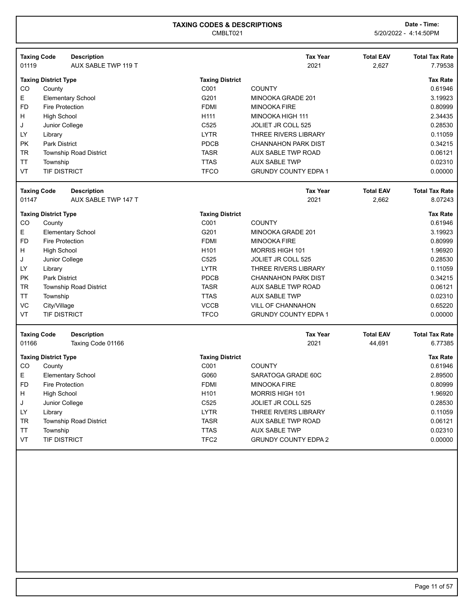|           | <b>Taxing Code</b>          | <b>Description</b>            |                        | <b>Tax Year</b>             | <b>Total EAV</b> | <b>Total Tax Rate</b> |
|-----------|-----------------------------|-------------------------------|------------------------|-----------------------------|------------------|-----------------------|
| 01119     |                             | AUX SABLE TWP 119 T           |                        | 2021                        | 2,627            | 7.79538               |
|           | <b>Taxing District Type</b> |                               | <b>Taxing District</b> |                             |                  | <b>Tax Rate</b>       |
| CO        | County                      |                               | C001                   | <b>COUNTY</b>               |                  | 0.61946               |
| E.        |                             | <b>Elementary School</b>      | G201                   | MINOOKA GRADE 201           |                  | 3.19923               |
| <b>FD</b> | <b>Fire Protection</b>      |                               | <b>FDMI</b>            | <b>MINOOKA FIRE</b>         |                  | 0.80999               |
| H         | <b>High School</b>          |                               | H111                   | MINOOKA HIGH 111            |                  | 2.34435               |
| J         | Junior College              |                               | C525                   | <b>JOLIET JR COLL 525</b>   |                  | 0.28530               |
| LY        | Library                     |                               | <b>LYTR</b>            | THREE RIVERS LIBRARY        |                  | 0.11059               |
| <b>PK</b> | <b>Park District</b>        |                               | PDCB                   | <b>CHANNAHON PARK DIST</b>  |                  | 0.34215               |
| TR        |                             | <b>Township Road District</b> | <b>TASR</b>            | AUX SABLE TWP ROAD          |                  | 0.06121               |
| <b>TT</b> | Township                    |                               | <b>TTAS</b>            | <b>AUX SABLE TWP</b>        |                  | 0.02310               |
| VT        | <b>TIF DISTRICT</b>         |                               | <b>TFCO</b>            | <b>GRUNDY COUNTY EDPA 1</b> |                  | 0.00000               |
|           | <b>Taxing Code</b>          | <b>Description</b>            |                        | <b>Tax Year</b>             | <b>Total EAV</b> | <b>Total Tax Rate</b> |
| 01147     |                             | AUX SABLE TWP 147 T           |                        | 2021                        | 2,662            | 8.07243               |
|           | <b>Taxing District Type</b> |                               | <b>Taxing District</b> |                             |                  | <b>Tax Rate</b>       |
| CO        | County                      |                               | C001                   | <b>COUNTY</b>               |                  | 0.61946               |
| Е         |                             | <b>Elementary School</b>      | G201                   | MINOOKA GRADE 201           |                  | 3.19923               |
| <b>FD</b> | <b>Fire Protection</b>      |                               | <b>FDMI</b>            | <b>MINOOKA FIRE</b>         |                  | 0.80999               |
| H         | <b>High School</b>          |                               | H <sub>101</sub>       | <b>MORRIS HIGH 101</b>      |                  | 1.96920               |
| J         | Junior College              |                               | C <sub>525</sub>       | JOLIET JR COLL 525          |                  | 0.28530               |
| LY        | Library                     |                               | <b>LYTR</b>            | THREE RIVERS LIBRARY        |                  | 0.11059               |
| <b>PK</b> | <b>Park District</b>        |                               | PDCB                   | <b>CHANNAHON PARK DIST</b>  |                  | 0.34215               |
| <b>TR</b> |                             | Township Road District        | <b>TASR</b>            | <b>AUX SABLE TWP ROAD</b>   |                  | 0.06121               |
| <b>TT</b> | Township                    |                               | <b>TTAS</b>            | <b>AUX SABLE TWP</b>        |                  | 0.02310               |
| VC        | City/Village                |                               | <b>VCCB</b>            | <b>VILL OF CHANNAHON</b>    |                  | 0.65220               |
| VT        | <b>TIF DISTRICT</b>         |                               | <b>TFCO</b>            | <b>GRUNDY COUNTY EDPA 1</b> |                  | 0.00000               |
|           | <b>Taxing Code</b>          | <b>Description</b>            |                        | <b>Tax Year</b>             | <b>Total EAV</b> | <b>Total Tax Rate</b> |
| 01166     |                             | Taxing Code 01166             |                        | 2021                        | 44,691           | 6.77385               |
|           | <b>Taxing District Type</b> |                               | <b>Taxing District</b> |                             |                  | <b>Tax Rate</b>       |
| CO        | County                      |                               | C001                   | <b>COUNTY</b>               |                  | 0.61946               |
| E         |                             | <b>Elementary School</b>      | G060                   | SARATOGA GRADE 60C          |                  | 2.89500               |
| <b>FD</b> | <b>Fire Protection</b>      |                               | <b>FDMI</b>            | <b>MINOOKA FIRE</b>         |                  | 0.80999               |
| H.        | <b>High School</b>          |                               | H <sub>101</sub>       | <b>MORRIS HIGH 101</b>      |                  | 1.96920               |
| J         | Junior College              |                               | C525                   | JOLIET JR COLL 525          |                  | 0.28530               |
| LY.       | Library                     |                               | <b>LYTR</b>            | <b>THREE RIVERS LIBRARY</b> |                  | 0.11059               |
| TR        |                             | Township Road District        | <b>TASR</b>            | AUX SABLE TWP ROAD          |                  | 0.06121               |
| <b>TT</b> | Township                    |                               | <b>TTAS</b>            | <b>AUX SABLE TWP</b>        |                  | 0.02310               |
| VT        | <b>TIF DISTRICT</b>         |                               | TFC <sub>2</sub>       | <b>GRUNDY COUNTY EDPA 2</b> |                  | 0.00000               |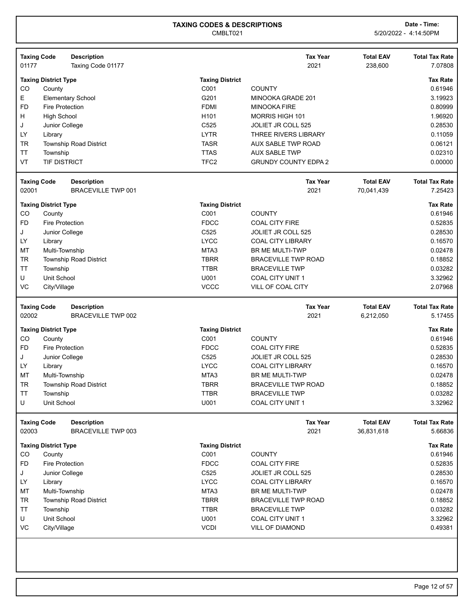| <b>Taxing Code</b> | <b>Description</b>            |                        | <b>Tax Year</b>             | <b>Total EAV</b> | <b>Total Tax Rate</b> |
|--------------------|-------------------------------|------------------------|-----------------------------|------------------|-----------------------|
| 01177              | Taxing Code 01177             |                        | 2021                        | 238,600          | 7.07808               |
|                    | <b>Taxing District Type</b>   | <b>Taxing District</b> |                             |                  | <b>Tax Rate</b>       |
| CO                 | County                        | C001                   | <b>COUNTY</b>               |                  | 0.61946               |
| Е                  | <b>Elementary School</b>      | G201                   | MINOOKA GRADE 201           |                  | 3.19923               |
| <b>FD</b>          | <b>Fire Protection</b>        | <b>FDMI</b>            | <b>MINOOKA FIRE</b>         |                  | 0.80999               |
| Н                  | <b>High School</b>            | H101                   | <b>MORRIS HIGH 101</b>      |                  | 1.96920               |
| J                  | Junior College                | C525                   | JOLIET JR COLL 525          |                  | 0.28530               |
| LY                 | Library                       | <b>LYTR</b>            | <b>THREE RIVERS LIBRARY</b> |                  | 0.11059               |
| <b>TR</b>          | <b>Township Road District</b> | <b>TASR</b>            | AUX SABLE TWP ROAD          |                  | 0.06121               |
| <b>TT</b>          | Township                      | <b>TTAS</b>            | <b>AUX SABLE TWP</b>        |                  | 0.02310               |
| VT                 | <b>TIF DISTRICT</b>           | TFC <sub>2</sub>       | <b>GRUNDY COUNTY EDPA 2</b> |                  | 0.00000               |
| <b>Taxing Code</b> | <b>Description</b>            |                        | <b>Tax Year</b>             | <b>Total EAV</b> | <b>Total Tax Rate</b> |
| 02001              | <b>BRACEVILLE TWP 001</b>     |                        | 2021                        | 70,041,439       | 7.25423               |
|                    | <b>Taxing District Type</b>   | <b>Taxing District</b> |                             |                  | <b>Tax Rate</b>       |
| CO                 | County                        | C001                   | <b>COUNTY</b>               |                  | 0.61946               |
| <b>FD</b>          | <b>Fire Protection</b>        | <b>FDCC</b>            | <b>COAL CITY FIRE</b>       |                  | 0.52835               |
| J                  | Junior College                | C525                   | JOLIET JR COLL 525          |                  | 0.28530               |
| LY                 | Library                       | <b>LYCC</b>            | <b>COAL CITY LIBRARY</b>    |                  | 0.16570               |
| MT                 | Multi-Township                | MTA3                   | <b>BR ME MULTI-TWP</b>      |                  | 0.02478               |
| <b>TR</b>          | <b>Township Road District</b> | <b>TBRR</b>            | <b>BRACEVILLE TWP ROAD</b>  |                  | 0.18852               |
| <b>TT</b>          | Township                      | <b>TTBR</b>            | <b>BRACEVILLE TWP</b>       |                  | 0.03282               |
| U                  | Unit School                   | U001                   | <b>COAL CITY UNIT 1</b>     |                  | 3.32962               |
| VC                 | City/Village                  | <b>VCCC</b>            | VILL OF COAL CITY           |                  | 2.07968               |
| <b>Taxing Code</b> | <b>Description</b>            |                        | <b>Tax Year</b>             | <b>Total EAV</b> | <b>Total Tax Rate</b> |
| 02002              | <b>BRACEVILLE TWP 002</b>     |                        | 2021                        | 6,212,050        | 5.17455               |
|                    | <b>Taxing District Type</b>   | <b>Taxing District</b> |                             |                  | <b>Tax Rate</b>       |
| CO                 | County                        | C001                   | <b>COUNTY</b>               |                  | 0.61946               |
| <b>FD</b>          | Fire Protection               | <b>FDCC</b>            | <b>COAL CITY FIRE</b>       |                  | 0.52835               |
| J                  | Junior College                | C525                   | <b>JOLIET JR COLL 525</b>   |                  | 0.28530               |
| LY                 | Library                       | <b>LYCC</b>            | <b>COAL CITY LIBRARY</b>    |                  | 0.16570               |
| MT                 | Multi-Township                | MTA3                   | BR ME MULTI-TWP             |                  | 0.02478               |
| <b>TR</b>          | Township Road District        | <b>TBRR</b>            | <b>BRACEVILLE TWP ROAD</b>  |                  | 0.18852               |
| <b>TT</b>          | Township                      | <b>TTBR</b>            | <b>BRACEVILLE TWP</b>       |                  | 0.03282               |
| U                  | Unit School                   | U001                   | COAL CITY UNIT 1            |                  | 3.32962               |
| <b>Taxing Code</b> | <b>Description</b>            |                        | <b>Tax Year</b>             | <b>Total EAV</b> | <b>Total Tax Rate</b> |
| 02003              | <b>BRACEVILLE TWP 003</b>     |                        | 2021                        | 36,831,618       | 5.66836               |
|                    | <b>Taxing District Type</b>   | <b>Taxing District</b> |                             |                  | <b>Tax Rate</b>       |
| CO                 | County                        | C001                   | <b>COUNTY</b>               |                  | 0.61946               |
| <b>FD</b>          | Fire Protection               | <b>FDCC</b>            | <b>COAL CITY FIRE</b>       |                  | 0.52835               |
| J                  | Junior College                | C525                   | JOLIET JR COLL 525          |                  | 0.28530               |
| LY                 | Library                       | <b>LYCC</b>            | <b>COAL CITY LIBRARY</b>    |                  | 0.16570               |
| MT                 | Multi-Township                | MTA3                   | <b>BR ME MULTI-TWP</b>      |                  | 0.02478               |
| <b>TR</b>          | <b>Township Road District</b> | <b>TBRR</b>            | <b>BRACEVILLE TWP ROAD</b>  |                  | 0.18852               |
| <b>TT</b>          | Township                      | <b>TTBR</b>            | <b>BRACEVILLE TWP</b>       |                  | 0.03282               |
| U                  | Unit School                   | U001                   | COAL CITY UNIT 1            |                  | 3.32962               |
| VC                 | City/Village                  | <b>VCDI</b>            | <b>VILL OF DIAMOND</b>      |                  | 0.49381               |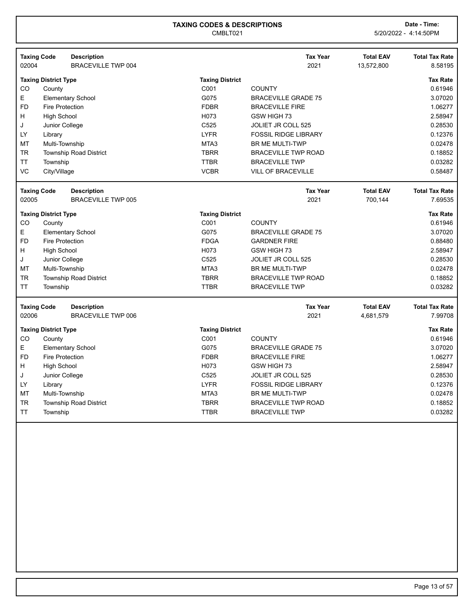| 02004     | <b>Taxing Code</b>          | <b>Description</b><br><b>BRACEVILLE TWP 004</b> |                        | <b>Tax Year</b><br>2021     | <b>Total EAV</b><br>13,572,800 | <b>Total Tax Rate</b><br>8.58195 |
|-----------|-----------------------------|-------------------------------------------------|------------------------|-----------------------------|--------------------------------|----------------------------------|
|           |                             |                                                 |                        |                             |                                |                                  |
|           | <b>Taxing District Type</b> |                                                 | <b>Taxing District</b> |                             |                                | <b>Tax Rate</b>                  |
| CO        | County                      |                                                 | C001                   | <b>COUNTY</b>               |                                | 0.61946                          |
| E         |                             | <b>Elementary School</b>                        | G075                   | <b>BRACEVILLE GRADE 75</b>  |                                | 3.07020                          |
| FD        | <b>Fire Protection</b>      |                                                 | <b>FDBR</b>            | <b>BRACEVILLE FIRE</b>      |                                | 1.06277                          |
| н         | <b>High School</b>          |                                                 | H073                   | GSW HIGH 73                 |                                | 2.58947                          |
| J         | Junior College              |                                                 | C525                   | JOLIET JR COLL 525          |                                | 0.28530                          |
| LY        | Library                     |                                                 | <b>LYFR</b>            | <b>FOSSIL RIDGE LIBRARY</b> |                                | 0.12376                          |
| MT        | Multi-Township              |                                                 | MTA3                   | <b>BR ME MULTI-TWP</b>      |                                | 0.02478                          |
| <b>TR</b> |                             | <b>Township Road District</b>                   | <b>TBRR</b>            | <b>BRACEVILLE TWP ROAD</b>  |                                | 0.18852                          |
| ТT        | Township                    |                                                 | <b>TTBR</b>            | <b>BRACEVILLE TWP</b>       |                                | 0.03282                          |
| VC        | City/Village                |                                                 | <b>VCBR</b>            | VILL OF BRACEVILLE          |                                | 0.58487                          |
|           | <b>Taxing Code</b>          | <b>Description</b>                              |                        | <b>Tax Year</b>             | <b>Total EAV</b>               | <b>Total Tax Rate</b>            |
| 02005     |                             | <b>BRACEVILLE TWP 005</b>                       |                        | 2021                        | 700,144                        | 7.69535                          |
|           | <b>Taxing District Type</b> |                                                 | <b>Taxing District</b> |                             |                                | <b>Tax Rate</b>                  |
| CO        | County                      |                                                 | C001                   | <b>COUNTY</b>               |                                | 0.61946                          |
| E         |                             | <b>Elementary School</b>                        | G075                   | <b>BRACEVILLE GRADE 75</b>  |                                | 3.07020                          |
| <b>FD</b> | <b>Fire Protection</b>      |                                                 | <b>FDGA</b>            | <b>GARDNER FIRE</b>         |                                | 0.88480                          |
| н         | <b>High School</b>          |                                                 | H073                   | GSW HIGH 73                 |                                | 2.58947                          |
| J         | Junior College              |                                                 | C525                   | JOLIET JR COLL 525          |                                | 0.28530                          |
| MT        | Multi-Township              |                                                 | MTA3                   | <b>BR ME MULTI-TWP</b>      |                                | 0.02478                          |
| TR        |                             | <b>Township Road District</b>                   | <b>TBRR</b>            | <b>BRACEVILLE TWP ROAD</b>  |                                | 0.18852                          |
| <b>TT</b> | Township                    |                                                 | <b>TTBR</b>            | <b>BRACEVILLE TWP</b>       |                                | 0.03282                          |
|           | <b>Taxing Code</b>          | <b>Description</b>                              |                        | <b>Tax Year</b>             | <b>Total EAV</b>               | <b>Total Tax Rate</b>            |
| 02006     |                             | <b>BRACEVILLE TWP 006</b>                       |                        | 2021                        | 4,681,579                      | 7.99708                          |
|           | <b>Taxing District Type</b> |                                                 | <b>Taxing District</b> |                             |                                | <b>Tax Rate</b>                  |
| CO        | County                      |                                                 | C001                   | <b>COUNTY</b>               |                                | 0.61946                          |
| E         |                             | <b>Elementary School</b>                        | G075                   | <b>BRACEVILLE GRADE 75</b>  |                                | 3.07020                          |
| FD        | <b>Fire Protection</b>      |                                                 | <b>FDBR</b>            | <b>BRACEVILLE FIRE</b>      |                                | 1.06277                          |
| н         | <b>High School</b>          |                                                 | H073                   | GSW HIGH 73                 |                                | 2.58947                          |
| J         | Junior College              |                                                 | C525                   | JOLIET JR COLL 525          |                                | 0.28530                          |
| LY        | Library                     |                                                 | <b>LYFR</b>            | <b>FOSSIL RIDGE LIBRARY</b> |                                | 0.12376                          |
| MT        | Multi-Township              |                                                 | MTA3                   | <b>BR ME MULTI-TWP</b>      |                                | 0.02478                          |
| TR        |                             | <b>Township Road District</b>                   | <b>TBRR</b>            | <b>BRACEVILLE TWP ROAD</b>  |                                | 0.18852                          |
| TT        | Township                    |                                                 | <b>TTBR</b>            | <b>BRACEVILLE TWP</b>       |                                | 0.03282                          |
|           |                             |                                                 |                        |                             |                                |                                  |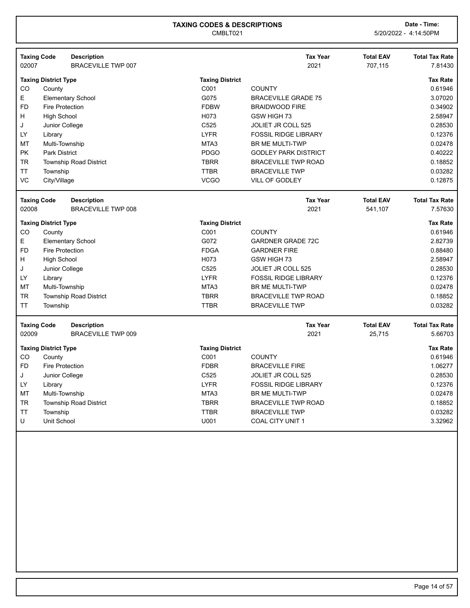|                             | <b>Taxing Code</b>          | <b>Description</b>            |                        | <b>Tax Year</b>             | <b>Total EAV</b> | <b>Total Tax Rate</b> |
|-----------------------------|-----------------------------|-------------------------------|------------------------|-----------------------------|------------------|-----------------------|
| 02007                       |                             | <b>BRACEVILLE TWP 007</b>     |                        | 2021                        | 707,115          | 7.81430               |
|                             | <b>Taxing District Type</b> |                               | <b>Taxing District</b> |                             |                  | <b>Tax Rate</b>       |
| CO                          | County                      |                               | C001                   | <b>COUNTY</b>               |                  | 0.61946               |
| E                           |                             | <b>Elementary School</b>      | G075                   | <b>BRACEVILLE GRADE 75</b>  |                  | 3.07020               |
| <b>FD</b>                   | <b>Fire Protection</b>      |                               | <b>FDBW</b>            | <b>BRAIDWOOD FIRE</b>       |                  | 0.34902               |
| н                           | <b>High School</b>          |                               | H073                   | GSW HIGH 73                 |                  | 2.58947               |
| J                           | Junior College              |                               | C525                   | <b>JOLIET JR COLL 525</b>   |                  | 0.28530               |
| LY.                         | Library                     |                               | <b>LYFR</b>            | <b>FOSSIL RIDGE LIBRARY</b> |                  | 0.12376               |
| МT                          | Multi-Township              |                               | MTA <sub>3</sub>       | BR ME MULTI-TWP             |                  | 0.02478               |
| PK                          | <b>Park District</b>        |                               | <b>PDGO</b>            | <b>GODLEY PARK DISTRICT</b> |                  | 0.40222               |
| <b>TR</b>                   |                             | <b>Township Road District</b> | <b>TBRR</b>            | <b>BRACEVILLE TWP ROAD</b>  |                  | 0.18852               |
| TΤ                          | Township                    |                               | <b>TTBR</b>            | <b>BRACEVILLE TWP</b>       |                  | 0.03282               |
| VC                          | City/Village                |                               | <b>VCGO</b>            | <b>VILL OF GODLEY</b>       |                  | 0.12875               |
|                             | <b>Taxing Code</b>          | <b>Description</b>            |                        | <b>Tax Year</b>             | <b>Total EAV</b> | <b>Total Tax Rate</b> |
| 02008                       |                             | <b>BRACEVILLE TWP 008</b>     |                        | 2021                        | 541,107          | 7.57630               |
| <b>Taxing District Type</b> |                             |                               | <b>Taxing District</b> |                             |                  | <b>Tax Rate</b>       |
| CO                          | County                      |                               | C001                   | <b>COUNTY</b>               |                  | 0.61946               |
| E                           |                             | <b>Elementary School</b>      | G072                   | <b>GARDNER GRADE 72C</b>    |                  | 2.82739               |
| <b>FD</b>                   | <b>Fire Protection</b>      |                               | <b>FDGA</b>            | <b>GARDNER FIRE</b>         |                  | 0.88480               |
| н                           | <b>High School</b>          |                               | H073                   | GSW HIGH 73                 |                  | 2.58947               |
| J                           | Junior College              |                               | C525                   | JOLIET JR COLL 525          |                  | 0.28530               |
| LY                          | Library                     |                               | <b>LYFR</b>            | <b>FOSSIL RIDGE LIBRARY</b> |                  | 0.12376               |
| МT                          | Multi-Township              |                               | MTA3                   | BR ME MULTI-TWP             |                  | 0.02478               |
| TR                          |                             | <b>Township Road District</b> | <b>TBRR</b>            | <b>BRACEVILLE TWP ROAD</b>  |                  | 0.18852               |
| <b>TT</b>                   | Township                    |                               | <b>TTBR</b>            | <b>BRACEVILLE TWP</b>       |                  | 0.03282               |
|                             | <b>Taxing Code</b>          | <b>Description</b>            |                        | <b>Tax Year</b>             | <b>Total EAV</b> | <b>Total Tax Rate</b> |
| 02009                       |                             | <b>BRACEVILLE TWP 009</b>     |                        | 2021                        | 25,715           | 5.66703               |
|                             | <b>Taxing District Type</b> |                               | <b>Taxing District</b> |                             |                  | <b>Tax Rate</b>       |
| CO                          | County                      |                               | C001                   | <b>COUNTY</b>               |                  | 0.61946               |
| <b>FD</b>                   | <b>Fire Protection</b>      |                               | <b>FDBR</b>            | <b>BRACEVILLE FIRE</b>      |                  | 1.06277               |
| J                           | Junior College              |                               | C525                   | <b>JOLIET JR COLL 525</b>   |                  | 0.28530               |
| LY                          | Library                     |                               | <b>LYFR</b>            | <b>FOSSIL RIDGE LIBRARY</b> |                  | 0.12376               |
| MT                          | Multi-Township              |                               | MTA3                   | <b>BR ME MULTI-TWP</b>      |                  | 0.02478               |
| <b>TR</b>                   |                             | <b>Township Road District</b> | <b>TBRR</b>            | <b>BRACEVILLE TWP ROAD</b>  |                  | 0.18852               |
| ΤT                          | Township                    |                               | <b>TTBR</b>            | <b>BRACEVILLE TWP</b>       |                  | 0.03282               |
| U                           | <b>Unit School</b>          |                               | U001                   | <b>COAL CITY UNIT 1</b>     |                  | 3.32962               |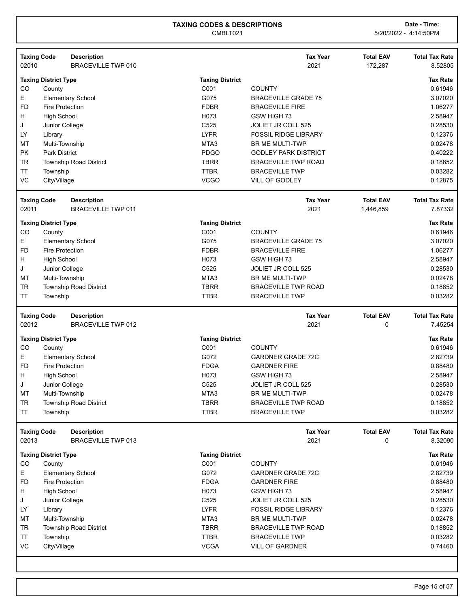| 02010     | <b>Taxing Code</b>          | <b>Description</b><br><b>BRACEVILLE TWP 010</b> |                        | <b>Tax Year</b><br>2021     | <b>Total EAV</b><br>172,287 | <b>Total Tax Rate</b><br>8.52805 |
|-----------|-----------------------------|-------------------------------------------------|------------------------|-----------------------------|-----------------------------|----------------------------------|
|           | <b>Taxing District Type</b> |                                                 | <b>Taxing District</b> |                             |                             | <b>Tax Rate</b>                  |
| CO        | County                      |                                                 | C001                   | <b>COUNTY</b>               |                             | 0.61946                          |
| Е         |                             | <b>Elementary School</b>                        | G075                   | <b>BRACEVILLE GRADE 75</b>  |                             | 3.07020                          |
| <b>FD</b> | <b>Fire Protection</b>      |                                                 | <b>FDBR</b>            | <b>BRACEVILLE FIRE</b>      |                             | 1.06277                          |
| н         | <b>High School</b>          |                                                 | H073                   | GSW HIGH 73                 |                             | 2.58947                          |
| J         | Junior College              |                                                 | C525                   | <b>JOLIET JR COLL 525</b>   |                             | 0.28530                          |
| LY        | Library                     |                                                 | <b>LYFR</b>            | <b>FOSSIL RIDGE LIBRARY</b> |                             | 0.12376                          |
| <b>MT</b> | Multi-Township              |                                                 | MTA3                   | <b>BR ME MULTI-TWP</b>      |                             | 0.02478                          |
| PK        | <b>Park District</b>        |                                                 | <b>PDGO</b>            | <b>GODLEY PARK DISTRICT</b> |                             | 0.40222                          |
| <b>TR</b> |                             | <b>Township Road District</b>                   | <b>TBRR</b>            | <b>BRACEVILLE TWP ROAD</b>  |                             | 0.18852                          |
| <b>TT</b> | Township                    |                                                 | <b>TTBR</b>            | <b>BRACEVILLE TWP</b>       |                             | 0.03282                          |
| VC        | City/Village                |                                                 | <b>VCGO</b>            | VILL OF GODLEY              |                             | 0.12875                          |
|           | <b>Taxing Code</b>          | <b>Description</b>                              |                        | <b>Tax Year</b>             | <b>Total EAV</b>            | <b>Total Tax Rate</b>            |
| 02011     |                             | <b>BRACEVILLE TWP 011</b>                       |                        | 2021                        | 1,446,859                   | 7.87332                          |
|           | <b>Taxing District Type</b> |                                                 | <b>Taxing District</b> |                             |                             | <b>Tax Rate</b>                  |
| CO        | County                      |                                                 | C001                   | <b>COUNTY</b>               |                             | 0.61946                          |
| E.        |                             | <b>Elementary School</b>                        | G075                   | <b>BRACEVILLE GRADE 75</b>  |                             | 3.07020                          |
| <b>FD</b> | <b>Fire Protection</b>      |                                                 | <b>FDBR</b>            | <b>BRACEVILLE FIRE</b>      |                             | 1.06277                          |
| н         | <b>High School</b>          |                                                 | H073                   | GSW HIGH 73                 |                             | 2.58947                          |
| J         | Junior College              |                                                 | C525                   | JOLIET JR COLL 525          |                             | 0.28530                          |
| MT        | Multi-Township              |                                                 | MTA3                   | BR ME MULTI-TWP             |                             | 0.02478                          |
| <b>TR</b> |                             | Township Road District                          | <b>TBRR</b>            | <b>BRACEVILLE TWP ROAD</b>  |                             | 0.18852                          |
| <b>TT</b> | Township                    |                                                 | <b>TTBR</b>            | <b>BRACEVILLE TWP</b>       |                             | 0.03282                          |
|           |                             |                                                 |                        |                             |                             |                                  |
|           | <b>Taxing Code</b>          | <b>Description</b>                              |                        | <b>Tax Year</b>             | <b>Total EAV</b>            | <b>Total Tax Rate</b>            |
| 02012     |                             | <b>BRACEVILLE TWP 012</b>                       |                        | 2021                        | 0                           | 7.45254                          |
|           | <b>Taxing District Type</b> |                                                 | <b>Taxing District</b> |                             |                             | <b>Tax Rate</b>                  |
| CO        | County                      |                                                 | C001                   | <b>COUNTY</b>               |                             | 0.61946                          |
| E.        |                             | <b>Elementary School</b>                        | G072                   | <b>GARDNER GRADE 72C</b>    |                             | 2.82739                          |
| <b>FD</b> | <b>Fire Protection</b>      |                                                 | <b>FDGA</b>            | <b>GARDNER FIRE</b>         |                             | 0.88480                          |
| н         | <b>High School</b>          |                                                 | H073                   | GSW HIGH 73                 |                             | 2.58947                          |
| J         | Junior College              |                                                 | C525                   | <b>JOLIET JR COLL 525</b>   |                             | 0.28530                          |
| МT        | Multi-Township              |                                                 | MTA3                   | BR ME MULTI-TWP             |                             | 0.02478                          |
| TR        |                             | <b>Township Road District</b>                   | <b>TBRR</b>            | <b>BRACEVILLE TWP ROAD</b>  |                             | 0.18852                          |
| <b>TT</b> | Township                    |                                                 | <b>TTBR</b>            | <b>BRACEVILLE TWP</b>       |                             | 0.03282                          |
|           | <b>Taxing Code</b>          | <b>Description</b>                              |                        | <b>Tax Year</b>             | <b>Total EAV</b>            | <b>Total Tax Rate</b>            |
| 02013     |                             | <b>BRACEVILLE TWP 013</b>                       |                        | 2021                        | 0                           | 8.32090                          |
|           | <b>Taxing District Type</b> |                                                 | <b>Taxing District</b> |                             |                             | <b>Tax Rate</b>                  |
| CO        | County                      |                                                 | C001                   | <b>COUNTY</b>               |                             | 0.61946                          |
| E         |                             | <b>Elementary School</b>                        | G072                   | <b>GARDNER GRADE 72C</b>    |                             | 2.82739                          |
| <b>FD</b> | <b>Fire Protection</b>      |                                                 | <b>FDGA</b>            | <b>GARDNER FIRE</b>         |                             | 0.88480                          |
| H         | <b>High School</b>          |                                                 | H073                   | GSW HIGH 73                 |                             | 2.58947                          |
| J         | Junior College              |                                                 | C525                   | JOLIET JR COLL 525          |                             | 0.28530                          |
| LY.       | Library                     |                                                 | <b>LYFR</b>            | <b>FOSSIL RIDGE LIBRARY</b> |                             | 0.12376                          |
| MT        | Multi-Township              |                                                 | MTA3                   | <b>BR ME MULTI-TWP</b>      |                             | 0.02478                          |
| <b>TR</b> |                             | Township Road District                          | <b>TBRR</b>            | <b>BRACEVILLE TWP ROAD</b>  |                             | 0.18852                          |
| <b>TT</b> | Township                    |                                                 | <b>TTBR</b>            | <b>BRACEVILLE TWP</b>       |                             | 0.03282                          |
| VC        | City/Village                |                                                 | <b>VCGA</b>            | <b>VILL OF GARDNER</b>      |                             | 0.74460                          |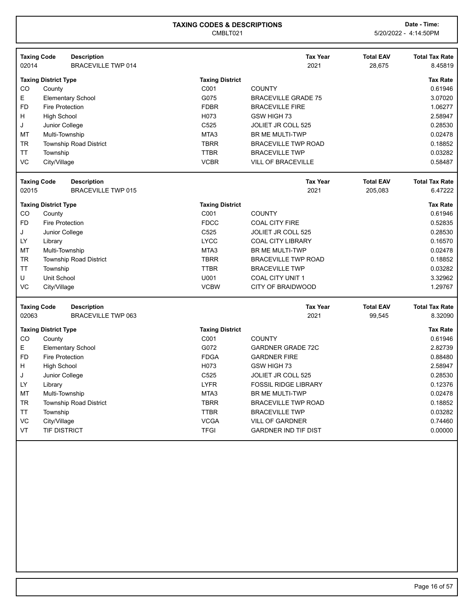CMBLT021 5/20/2022 - 4:14:50PM

| <b>Taxing Code</b>          |                             | <b>Description</b>                       |                        | <b>Tax Year</b>             | <b>Total EAV</b>            | <b>Total Tax Rate</b>            |
|-----------------------------|-----------------------------|------------------------------------------|------------------------|-----------------------------|-----------------------------|----------------------------------|
| 02014                       |                             | <b>BRACEVILLE TWP 014</b>                |                        | 2021                        | 28,675                      | 8.45819                          |
|                             | <b>Taxing District Type</b> |                                          | <b>Taxing District</b> |                             |                             | <b>Tax Rate</b>                  |
| CO                          | County                      |                                          | C001                   | <b>COUNTY</b>               |                             | 0.61946                          |
| E                           |                             | <b>Elementary School</b>                 | G075                   | <b>BRACEVILLE GRADE 75</b>  |                             | 3.07020                          |
| <b>FD</b>                   | <b>Fire Protection</b>      |                                          | <b>FDBR</b>            | <b>BRACEVILLE FIRE</b>      |                             | 1.06277                          |
| Н                           | <b>High School</b>          |                                          | H073                   | GSW HIGH 73                 |                             | 2.58947                          |
| J                           | Junior College              |                                          | C525                   | JOLIET JR COLL 525          |                             | 0.28530                          |
| MT                          | Multi-Township              |                                          | MTA3                   | <b>BR ME MULTI-TWP</b>      |                             | 0.02478                          |
| <b>TR</b>                   |                             | <b>Township Road District</b>            | <b>TBRR</b>            | <b>BRACEVILLE TWP ROAD</b>  |                             | 0.18852                          |
| <b>TT</b>                   | Township                    |                                          | <b>TTBR</b>            | <b>BRACEVILLE TWP</b>       |                             | 0.03282                          |
| VC                          | City/Village                |                                          | <b>VCBR</b>            | <b>VILL OF BRACEVILLE</b>   |                             | 0.58487                          |
| <b>Taxing Code</b><br>02015 |                             | <b>Description</b><br>BRACEVILLE TWP 015 |                        | <b>Tax Year</b><br>2021     | <b>Total EAV</b><br>205,083 | <b>Total Tax Rate</b><br>6.47222 |
|                             |                             |                                          |                        |                             |                             |                                  |
|                             | <b>Taxing District Type</b> |                                          | <b>Taxing District</b> |                             |                             | <b>Tax Rate</b>                  |
| CO                          | County                      |                                          | C001                   | <b>COUNTY</b>               |                             | 0.61946                          |
| <b>FD</b>                   | <b>Fire Protection</b>      |                                          | <b>FDCC</b>            | <b>COAL CITY FIRE</b>       |                             | 0.52835                          |
| J                           | Junior College              |                                          | C525                   | <b>JOLIET JR COLL 525</b>   |                             | 0.28530                          |
| LY                          | Library                     |                                          | <b>LYCC</b>            | <b>COAL CITY LIBRARY</b>    |                             | 0.16570                          |
| MT                          | Multi-Township              |                                          | MTA3                   | BR ME MULTI-TWP             |                             | 0.02478                          |
| <b>TR</b>                   |                             | <b>Township Road District</b>            | <b>TBRR</b>            | <b>BRACEVILLE TWP ROAD</b>  |                             | 0.18852                          |
| <b>TT</b>                   | Township                    |                                          | <b>TTBR</b>            | <b>BRACEVILLE TWP</b>       |                             | 0.03282                          |
| U                           | Unit School                 |                                          | U001                   | COAL CITY UNIT 1            |                             | 3.32962                          |
| VC                          | City/Village                |                                          | <b>VCBW</b>            | <b>CITY OF BRAIDWOOD</b>    |                             | 1.29767                          |
| <b>Taxing Code</b>          |                             | <b>Description</b>                       |                        | <b>Tax Year</b>             | <b>Total EAV</b>            | <b>Total Tax Rate</b>            |
| 02063                       |                             | <b>BRACEVILLE TWP 063</b>                |                        | 2021                        | 99,545                      | 8.32090                          |
|                             | <b>Taxing District Type</b> |                                          | <b>Taxing District</b> |                             |                             | <b>Tax Rate</b>                  |
| CO                          | County                      |                                          | C001                   | <b>COUNTY</b>               |                             | 0.61946                          |
| E                           |                             | <b>Elementary School</b>                 | G072                   | <b>GARDNER GRADE 72C</b>    |                             | 2.82739                          |
| <b>FD</b>                   | <b>Fire Protection</b>      |                                          | <b>FDGA</b>            | <b>GARDNER FIRE</b>         |                             | 0.88480                          |
| H                           | <b>High School</b>          |                                          | H073                   | GSW HIGH 73                 |                             | 2.58947                          |
| J                           | Junior College              |                                          | C <sub>525</sub>       | <b>JOLIET JR COLL 525</b>   |                             | 0.28530                          |
| LY                          | Library                     |                                          | <b>LYFR</b>            | <b>FOSSIL RIDGE LIBRARY</b> |                             | 0.12376                          |
| MT                          | Multi-Township              |                                          | MTA3                   | BR ME MULTI-TWP             |                             | 0.02478                          |
| <b>TR</b>                   |                             | <b>Township Road District</b>            | <b>TBRR</b>            | <b>BRACEVILLE TWP ROAD</b>  |                             | 0.18852                          |
| <b>TT</b>                   | Township                    |                                          | <b>TTBR</b>            | <b>BRACEVILLE TWP</b>       |                             | 0.03282                          |
| VC                          | City/Village                |                                          | <b>VCGA</b>            | <b>VILL OF GARDNER</b>      |                             | 0.74460                          |
| VT                          | <b>TIF DISTRICT</b>         |                                          | <b>TFGI</b>            | <b>GARDNER IND TIF DIST</b> |                             | 0.00000                          |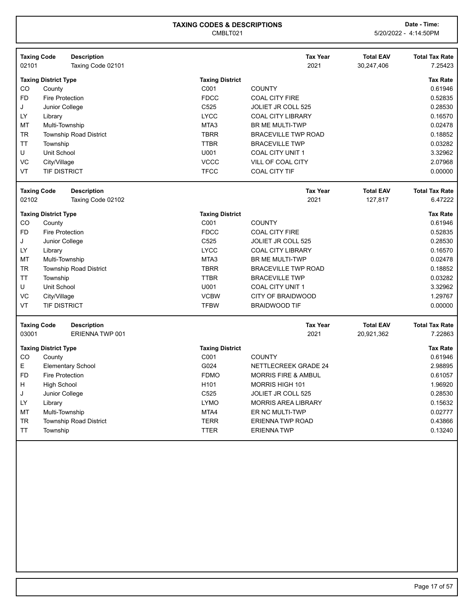| <b>Taxing Code</b>          |                             | <b>Description</b>                           |                        | <b>Tax Year</b>                | <b>Total EAV</b>               | <b>Total Tax Rate</b>            |
|-----------------------------|-----------------------------|----------------------------------------------|------------------------|--------------------------------|--------------------------------|----------------------------------|
| 02101                       |                             | Taxing Code 02101                            |                        | 2021                           | 30,247,406                     | 7.25423                          |
|                             | <b>Taxing District Type</b> |                                              | <b>Taxing District</b> |                                |                                | <b>Tax Rate</b>                  |
| CO                          | County                      |                                              | C001                   | <b>COUNTY</b>                  |                                | 0.61946                          |
| <b>FD</b>                   | <b>Fire Protection</b>      |                                              | <b>FDCC</b>            | <b>COAL CITY FIRE</b>          |                                | 0.52835                          |
| J                           | Junior College              |                                              | C525                   | JOLIET JR COLL 525             |                                | 0.28530                          |
| LY                          | Library                     |                                              | <b>LYCC</b>            | <b>COAL CITY LIBRARY</b>       |                                | 0.16570                          |
| MT                          | Multi-Township              |                                              | MTA3                   | <b>BR ME MULTI-TWP</b>         |                                | 0.02478                          |
| <b>TR</b>                   |                             | <b>Township Road District</b>                | <b>TBRR</b>            | <b>BRACEVILLE TWP ROAD</b>     |                                | 0.18852                          |
| TT                          | Township                    |                                              | <b>TTBR</b>            | <b>BRACEVILLE TWP</b>          |                                | 0.03282                          |
| U                           | Unit School                 |                                              | U001                   | <b>COAL CITY UNIT 1</b>        |                                | 3.32962                          |
| VC                          | City/Village                |                                              | <b>VCCC</b>            | <b>VILL OF COAL CITY</b>       |                                | 2.07968                          |
| VT                          | <b>TIF DISTRICT</b>         |                                              | <b>TFCC</b>            | <b>COAL CITY TIF</b>           |                                | 0.00000                          |
| <b>Taxing Code</b>          |                             | <b>Description</b>                           |                        | <b>Tax Year</b>                | <b>Total EAV</b>               | <b>Total Tax Rate</b>            |
| 02102                       |                             | Taxing Code 02102                            |                        | 2021                           | 127,817                        | 6.47222                          |
|                             | <b>Taxing District Type</b> |                                              | <b>Taxing District</b> |                                |                                | <b>Tax Rate</b>                  |
| CO.                         | County                      |                                              | C001                   | <b>COUNTY</b>                  |                                | 0.61946                          |
| <b>FD</b>                   | <b>Fire Protection</b>      |                                              | <b>FDCC</b>            | <b>COAL CITY FIRE</b>          |                                | 0.52835                          |
| J                           | Junior College              |                                              | C <sub>525</sub>       | JOLIET JR COLL 525             |                                | 0.28530                          |
| LY                          | Library                     |                                              | <b>LYCC</b>            | <b>COAL CITY LIBRARY</b>       |                                | 0.16570                          |
| МT                          | Multi-Township              |                                              | MTA3                   | <b>BR ME MULTI-TWP</b>         |                                | 0.02478                          |
| <b>TR</b>                   |                             | <b>Township Road District</b>                | <b>TBRR</b>            | <b>BRACEVILLE TWP ROAD</b>     |                                | 0.18852                          |
| <b>TT</b>                   | Township                    |                                              | <b>TTBR</b>            | <b>BRACEVILLE TWP</b>          |                                | 0.03282                          |
| U                           | Unit School                 |                                              | U001                   | <b>COAL CITY UNIT 1</b>        |                                | 3.32962                          |
| VC                          | City/Village                |                                              | <b>VCBW</b>            | <b>CITY OF BRAIDWOOD</b>       |                                | 1.29767                          |
| VT                          | <b>TIF DISTRICT</b>         |                                              | <b>TFBW</b>            | <b>BRAIDWOOD TIF</b>           |                                | 0.00000                          |
|                             |                             |                                              |                        |                                |                                |                                  |
| <b>Taxing Code</b><br>03001 |                             | <b>Description</b><br><b>ERIENNA TWP 001</b> |                        | <b>Tax Year</b><br>2021        | <b>Total EAV</b><br>20,921,362 | <b>Total Tax Rate</b><br>7.22863 |
|                             |                             |                                              |                        |                                |                                |                                  |
|                             | <b>Taxing District Type</b> |                                              | <b>Taxing District</b> |                                |                                | <b>Tax Rate</b>                  |
| CO                          | County                      |                                              | C001                   | <b>COUNTY</b>                  |                                | 0.61946                          |
| E.                          |                             | <b>Elementary School</b>                     | G024                   | <b>NETTLECREEK GRADE 24</b>    |                                | 2.98895                          |
| FD                          | Fire Protection             |                                              | <b>FDMO</b>            | <b>MORRIS FIRE &amp; AMBUL</b> |                                | 0.61057                          |
| н                           | <b>High School</b>          |                                              | H <sub>101</sub>       | <b>MORRIS HIGH 101</b>         |                                | 1.96920                          |
| J                           | Junior College              |                                              | C <sub>525</sub>       | <b>JOLIET JR COLL 525</b>      |                                | 0.28530                          |
| LY                          | Library                     |                                              | <b>LYMO</b>            | <b>MORRIS AREA LIBRARY</b>     |                                | 0.15632                          |
| MT                          | Multi-Township              |                                              | MTA4                   | ER NC MULTI-TWP                |                                | 0.02777                          |
| TR                          |                             | <b>Township Road District</b>                | <b>TERR</b>            | <b>ERIENNA TWP ROAD</b>        |                                | 0.43866                          |
| <b>TT</b>                   | Township                    |                                              | <b>TTER</b>            | <b>ERIENNATWP</b>              |                                | 0.13240                          |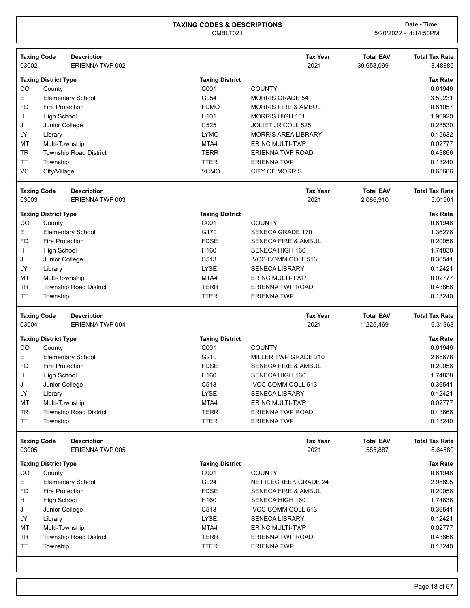|                 | <b>Taxing Code</b>          | <b>Description</b>            |                            | <b>Tax Year</b>                              | <b>Total EAV</b> | <b>Total Tax Rate</b> |
|-----------------|-----------------------------|-------------------------------|----------------------------|----------------------------------------------|------------------|-----------------------|
| 03002           |                             | ERIENNA TWP 002               |                            | 2021                                         | 39,653,099       | 8.48885               |
|                 | <b>Taxing District Type</b> |                               | <b>Taxing District</b>     |                                              |                  | <b>Tax Rate</b>       |
| CO              | County                      |                               | C001                       | <b>COUNTY</b>                                |                  | 0.61946               |
| Е               |                             | <b>Elementary School</b>      | G054                       | <b>MORRIS GRADE 54</b>                       |                  | 3.59231               |
| <b>FD</b>       | Fire Protection             |                               | <b>FDMO</b>                | <b>MORRIS FIRE &amp; AMBUL</b>               |                  | 0.61057               |
| H               | <b>High School</b>          |                               | H101                       | MORRIS HIGH 101                              |                  | 1.96920               |
| J               | Junior College              |                               | C525                       | JOLIET JR COLL 525                           |                  | 0.28530               |
| LY              | Library                     |                               | <b>LYMO</b>                | <b>MORRIS AREA LIBRARY</b>                   |                  | 0.15632               |
| MT              | Multi-Township              |                               | MTA4                       | ER NC MULTI-TWP                              |                  | 0.02777               |
| <b>TR</b>       |                             | <b>Township Road District</b> | <b>TERR</b>                | <b>ERIENNA TWP ROAD</b>                      |                  | 0.43866               |
| <b>TT</b>       | Township                    |                               | <b>TTER</b>                | <b>ERIENNA TWP</b>                           |                  | 0.13240               |
| VC              | City/Village                |                               | <b>VCMO</b>                | <b>CITY OF MORRIS</b>                        |                  | 0.65686               |
|                 | <b>Taxing Code</b>          | <b>Description</b>            |                            | <b>Tax Year</b>                              | <b>Total EAV</b> | <b>Total Tax Rate</b> |
| 03003           |                             | ERIENNA TWP 003               |                            | 2021                                         | 2,086,910        | 5.01961               |
|                 | <b>Taxing District Type</b> |                               | <b>Taxing District</b>     |                                              |                  | <b>Tax Rate</b>       |
| CO              | County                      |                               | C001                       | <b>COUNTY</b>                                |                  | 0.61946               |
| E               |                             | <b>Elementary School</b>      | G170                       | <b>SENECA GRADE 170</b>                      |                  | 1.36276               |
| <b>FD</b>       | <b>Fire Protection</b>      |                               | <b>FDSE</b>                | <b>SENECA FIRE &amp; AMBUL</b>               |                  | 0.20056               |
| H               | <b>High School</b>          |                               | H160                       | SENECA HIGH 160                              |                  | 1.74838               |
| J               | Junior College              |                               | C513                       | <b>IVCC COMM COLL 513</b>                    |                  | 0.36541               |
| LY              | Library                     |                               | LYSE                       | <b>SENECA LIBRARY</b>                        |                  | 0.12421               |
| MT              | Multi-Township              |                               | MTA4                       | ER NC MULTI-TWP                              |                  | 0.02777               |
| <b>TR</b>       |                             | <b>Township Road District</b> | <b>TERR</b>                | <b>ERIENNA TWP ROAD</b>                      |                  | 0.43866               |
| <b>TT</b>       | Township                    |                               | <b>TTER</b>                | <b>ERIENNATWP</b>                            |                  | 0.13240               |
|                 |                             |                               |                            |                                              |                  |                       |
|                 | <b>Taxing Code</b>          | <b>Description</b>            |                            | <b>Tax Year</b>                              | <b>Total EAV</b> | <b>Total Tax Rate</b> |
| 03004           |                             | ERIENNA TWP 004               |                            | 2021                                         | 1,225,469        | 6.31363               |
|                 | <b>Taxing District Type</b> |                               | <b>Taxing District</b>     |                                              |                  | <b>Tax Rate</b>       |
| CO              | County                      |                               | C001                       | <b>COUNTY</b>                                |                  | 0.61946               |
| Е               |                             | <b>Elementary School</b>      | G210                       | MILLER TWP GRADE 210                         |                  | 2.65678               |
| <b>FD</b>       | <b>Fire Protection</b>      |                               | <b>FDSE</b>                | SENECA FIRE & AMBUL                          |                  | 0.20056               |
| н               | <b>High School</b>          |                               | H160                       | SENECA HIGH 160                              |                  | 1.74838               |
| J               | Junior College              |                               | C513                       | IVCC COMM COLL 513                           |                  | 0.36541               |
| LY              | Library                     |                               | LYSE                       | <b>SENECA LIBRARY</b>                        |                  | 0.12421               |
| MT              | Multi-Township              |                               | MTA4                       | ER NC MULTI-TWP                              |                  | 0.02777               |
| TR              |                             | Township Road District        | <b>TERR</b>                | <b>ERIENNA TWP ROAD</b>                      |                  | 0.43866               |
| <b>TT</b>       | Township                    |                               | <b>TTER</b>                | <b>ERIENNATWP</b>                            |                  | 0.13240               |
|                 | <b>Taxing Code</b>          | <b>Description</b>            |                            | <b>Tax Year</b>                              | <b>Total EAV</b> | <b>Total Tax Rate</b> |
| 03005           |                             | ERIENNA TWP 005               |                            | 2021                                         | 585,887          | 6.64580               |
|                 | <b>Taxing District Type</b> |                               | <b>Taxing District</b>     |                                              |                  | <b>Tax Rate</b>       |
| CO              | County                      |                               | C001                       | <b>COUNTY</b>                                |                  | 0.61946               |
| Е               |                             | <b>Elementary School</b>      | G024                       | NETTLECREEK GRADE 24                         |                  | 2.98895               |
| <b>FD</b>       | <b>Fire Protection</b>      |                               | <b>FDSE</b>                | <b>SENECA FIRE &amp; AMBUL</b>               |                  | 0.20056               |
| H               | <b>High School</b>          |                               | H160                       | SENECA HIGH 160                              |                  | 1.74838               |
| J               | Junior College              |                               | C513                       | IVCC COMM COLL 513                           |                  | 0.36541               |
| LY              | Library                     |                               | <b>LYSE</b>                | <b>SENECA LIBRARY</b>                        |                  | 0.12421               |
| MT              | Multi-Township              |                               | MTA4                       | ER NC MULTI-TWP                              |                  | 0.02777               |
| <b>TR</b><br>TT | Township                    | <b>Township Road District</b> | <b>TERR</b><br><b>TTER</b> | <b>ERIENNA TWP ROAD</b><br><b>ERIENNATWP</b> |                  | 0.43866<br>0.13240    |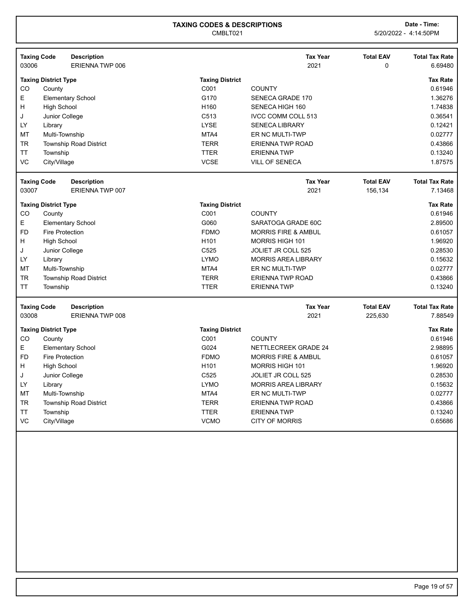|           | <b>Taxing Code</b>          | <b>Description</b>            |                        | <b>Tax Year</b>                | <b>Total EAV</b> | <b>Total Tax Rate</b> |
|-----------|-----------------------------|-------------------------------|------------------------|--------------------------------|------------------|-----------------------|
| 03006     |                             | ERIENNA TWP 006               |                        | 2021                           | 0                | 6.69480               |
|           | <b>Taxing District Type</b> |                               | <b>Taxing District</b> |                                |                  | <b>Tax Rate</b>       |
| CO        | County                      |                               | C001                   | <b>COUNTY</b>                  |                  | 0.61946               |
| E         |                             | <b>Elementary School</b>      | G170                   | SENECA GRADE 170               |                  | 1.36276               |
| H         | <b>High School</b>          |                               | H <sub>160</sub>       | SENECA HIGH 160                |                  | 1.74838               |
| J         | Junior College              |                               | C513                   | <b>IVCC COMM COLL 513</b>      |                  | 0.36541               |
| <b>LY</b> | Library                     |                               | <b>LYSE</b>            | <b>SENECA LIBRARY</b>          |                  | 0.12421               |
| MT        | Multi-Township              |                               | MTA4                   | ER NC MULTI-TWP                |                  | 0.02777               |
| <b>TR</b> |                             | <b>Township Road District</b> | <b>TERR</b>            | <b>ERIENNA TWP ROAD</b>        |                  | 0.43866               |
| <b>TT</b> | Township                    |                               | <b>TTER</b>            | <b>ERIENNATWP</b>              |                  | 0.13240               |
| VC        | City/Village                |                               | <b>VCSE</b>            | <b>VILL OF SENECA</b>          |                  | 1.87575               |
|           | <b>Taxing Code</b>          | <b>Description</b>            |                        | <b>Tax Year</b>                | <b>Total EAV</b> | <b>Total Tax Rate</b> |
| 03007     |                             | ERIENNA TWP 007               |                        | 2021                           | 156,134          | 7.13468               |
|           | <b>Taxing District Type</b> |                               | <b>Taxing District</b> |                                |                  | <b>Tax Rate</b>       |
| CO        | County                      |                               | C001                   | <b>COUNTY</b>                  |                  | 0.61946               |
| E         |                             | <b>Elementary School</b>      | G060                   | SARATOGA GRADE 60C             |                  | 2.89500               |
| <b>FD</b> | Fire Protection             |                               | <b>FDMO</b>            | <b>MORRIS FIRE &amp; AMBUL</b> |                  | 0.61057               |
| н         | <b>High School</b>          |                               | H <sub>101</sub>       | <b>MORRIS HIGH 101</b>         |                  | 1.96920               |
| J         | Junior College              |                               | C525                   | <b>JOLIET JR COLL 525</b>      |                  | 0.28530               |
| <b>LY</b> | Library                     |                               | <b>LYMO</b>            | <b>MORRIS AREA LIBRARY</b>     |                  | 0.15632               |
| MT        | Multi-Township              |                               | MTA4                   | ER NC MULTI-TWP                |                  | 0.02777               |
| TR        |                             | <b>Township Road District</b> | <b>TERR</b>            | <b>ERIENNA TWP ROAD</b>        |                  | 0.43866               |
| <b>TT</b> | Township                    |                               | <b>TTER</b>            | <b>ERIENNATWP</b>              |                  | 0.13240               |
|           | <b>Taxing Code</b>          | <b>Description</b>            |                        | <b>Tax Year</b>                | <b>Total EAV</b> | <b>Total Tax Rate</b> |
| 03008     |                             | ERIENNA TWP 008               |                        | 2021                           | 225,630          | 7.88549               |
|           | <b>Taxing District Type</b> |                               | <b>Taxing District</b> |                                |                  | <b>Tax Rate</b>       |
| CO        | County                      |                               | C001                   | <b>COUNTY</b>                  |                  | 0.61946               |
| E         |                             | <b>Elementary School</b>      | G024                   | <b>NETTLECREEK GRADE 24</b>    |                  | 2.98895               |
| <b>FD</b> | <b>Fire Protection</b>      |                               | <b>FDMO</b>            | <b>MORRIS FIRE &amp; AMBUL</b> |                  | 0.61057               |
| H         | <b>High School</b>          |                               | H <sub>101</sub>       | <b>MORRIS HIGH 101</b>         |                  | 1.96920               |
| J         | Junior College              |                               | C <sub>525</sub>       | <b>JOLIET JR COLL 525</b>      |                  | 0.28530               |
| LY        | Library                     |                               | <b>LYMO</b>            | <b>MORRIS AREA LIBRARY</b>     |                  | 0.15632               |
| MT        | Multi-Township              |                               | MTA4                   | ER NC MULTI-TWP                |                  | 0.02777               |
| <b>TR</b> |                             | <b>Township Road District</b> | <b>TERR</b>            | <b>ERIENNA TWP ROAD</b>        |                  | 0.43866               |
| <b>TT</b> | Township                    |                               | <b>TTER</b>            | <b>ERIENNATWP</b>              |                  | 0.13240               |
| VC        | City/Village                |                               | <b>VCMO</b>            | <b>CITY OF MORRIS</b>          |                  | 0.65686               |
|           |                             |                               |                        |                                |                  |                       |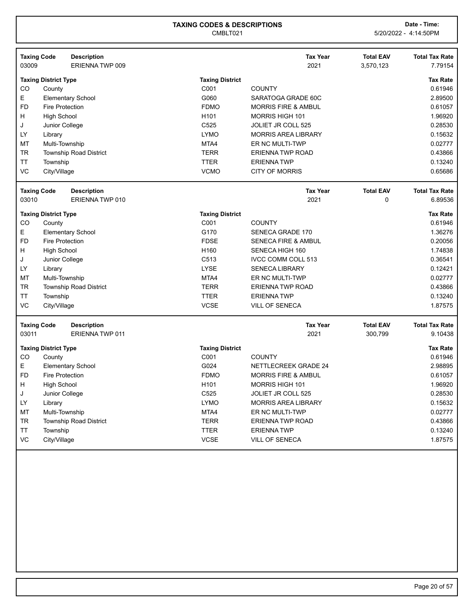| <b>Taxing Code</b> |                             | <b>Description</b>            |                        | <b>Tax Year</b>                | <b>Total EAV</b> | <b>Total Tax Rate</b> |
|--------------------|-----------------------------|-------------------------------|------------------------|--------------------------------|------------------|-----------------------|
| 03009              |                             | ERIENNA TWP 009               |                        | 2021                           | 3,570,123        | 7.79154               |
|                    | <b>Taxing District Type</b> |                               | <b>Taxing District</b> |                                |                  | <b>Tax Rate</b>       |
| CO                 | County                      |                               | C001                   | <b>COUNTY</b>                  |                  | 0.61946               |
| Е                  |                             | <b>Elementary School</b>      | G060                   | SARATOGA GRADE 60C             |                  | 2.89500               |
| <b>FD</b>          | <b>Fire Protection</b>      |                               | <b>FDMO</b>            | <b>MORRIS FIRE &amp; AMBUL</b> |                  | 0.61057               |
| н                  | <b>High School</b>          |                               | H <sub>101</sub>       | <b>MORRIS HIGH 101</b>         |                  | 1.96920               |
| J                  | Junior College              |                               | C525                   | JOLIET JR COLL 525             |                  | 0.28530               |
| LY                 | Library                     |                               | <b>LYMO</b>            | <b>MORRIS AREA LIBRARY</b>     |                  | 0.15632               |
| MT                 | Multi-Township              |                               | MTA4                   | ER NC MULTI-TWP                |                  | 0.02777               |
| <b>TR</b>          |                             | Township Road District        | <b>TERR</b>            | <b>ERIENNA TWP ROAD</b>        |                  | 0.43866               |
| <b>TT</b>          | Township                    |                               | <b>TTER</b>            | <b>ERIENNATWP</b>              |                  | 0.13240               |
| VC                 | City/Village                |                               | <b>VCMO</b>            | <b>CITY OF MORRIS</b>          |                  | 0.65686               |
| <b>Taxing Code</b> |                             | <b>Description</b>            |                        | <b>Tax Year</b>                | <b>Total EAV</b> | <b>Total Tax Rate</b> |
| 03010              |                             | ERIENNA TWP 010               |                        | 2021                           | 0                | 6.89536               |
|                    |                             |                               |                        |                                |                  |                       |
|                    | <b>Taxing District Type</b> |                               | <b>Taxing District</b> |                                |                  | <b>Tax Rate</b>       |
| CO                 | County                      |                               | C001                   | <b>COUNTY</b>                  |                  | 0.61946               |
| Е                  |                             | <b>Elementary School</b>      | G170                   | SENECA GRADE 170               |                  | 1.36276               |
| <b>FD</b>          | <b>Fire Protection</b>      |                               | <b>FDSE</b>            | <b>SENECA FIRE &amp; AMBUL</b> |                  | 0.20056               |
| н                  | <b>High School</b>          |                               | H160                   | SENECA HIGH 160                |                  | 1.74838               |
| J                  | Junior College              |                               | C513                   | IVCC COMM COLL 513             |                  | 0.36541               |
| LY                 | Library                     |                               | <b>LYSE</b>            | <b>SENECA LIBRARY</b>          |                  | 0.12421               |
| MT                 | Multi-Township              |                               | MTA4                   | ER NC MULTI-TWP                |                  | 0.02777               |
| <b>TR</b>          |                             | Township Road District        | <b>TERR</b>            | <b>ERIENNA TWP ROAD</b>        |                  | 0.43866               |
| <b>TT</b>          | Township                    |                               | <b>TTER</b>            | <b>ERIENNATWP</b>              |                  | 0.13240               |
| VC                 | City/Village                |                               | <b>VCSE</b>            | <b>VILL OF SENECA</b>          |                  | 1.87575               |
| <b>Taxing Code</b> |                             | <b>Description</b>            |                        | <b>Tax Year</b>                | <b>Total EAV</b> | <b>Total Tax Rate</b> |
| 03011              |                             | ERIENNA TWP 011               |                        | 2021                           | 300,799          | 9.10438               |
|                    |                             |                               |                        |                                |                  |                       |
|                    | <b>Taxing District Type</b> |                               | <b>Taxing District</b> |                                |                  | <b>Tax Rate</b>       |
| CO                 | County                      |                               | C001                   | <b>COUNTY</b>                  |                  | 0.61946               |
| E.                 |                             | <b>Elementary School</b>      | G024                   | NETTLECREEK GRADE 24           |                  | 2.98895               |
| <b>FD</b>          | <b>Fire Protection</b>      |                               | <b>FDMO</b>            | <b>MORRIS FIRE &amp; AMBUL</b> |                  | 0.61057               |
| Н                  | <b>High School</b>          |                               | H <sub>101</sub>       | <b>MORRIS HIGH 101</b>         |                  | 1.96920               |
| J                  | Junior College              |                               | C525                   | JOLIET JR COLL 525             |                  | 0.28530               |
| LY                 | Library                     |                               | <b>LYMO</b>            | <b>MORRIS AREA LIBRARY</b>     |                  | 0.15632               |
| МT                 | Multi-Township              |                               | MTA4                   | ER NC MULTI-TWP                |                  | 0.02777               |
| TR                 |                             | <b>Township Road District</b> | <b>TERR</b>            | <b>ERIENNA TWP ROAD</b>        |                  | 0.43866               |
| TT                 | Township                    |                               | <b>TTER</b>            | <b>ERIENNATWP</b>              |                  | 0.13240               |
| VC                 | City/Village                |                               | VCSE                   | <b>VILL OF SENECA</b>          |                  | 1.87575               |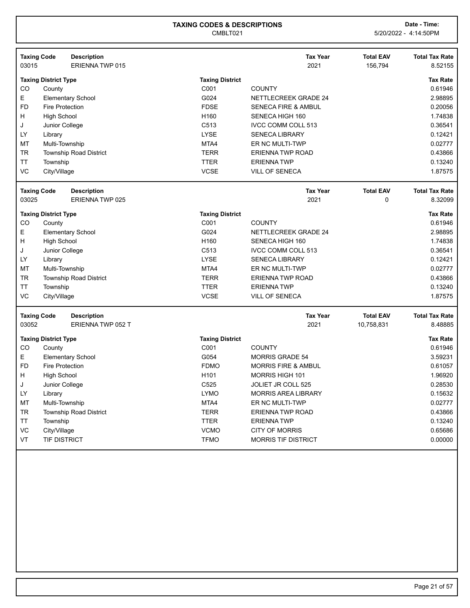| <b>Taxing District</b><br><b>Tax Rate</b><br><b>Taxing District Type</b><br>C001<br>CO<br>County<br><b>COUNTY</b><br>0.61946<br>E<br>G024<br><b>Elementary School</b><br>2.98895<br>NETTLECREEK GRADE 24<br><b>FD</b><br><b>FDSE</b><br>0.20056<br><b>Fire Protection</b><br><b>SENECA FIRE &amp; AMBUL</b><br>Н<br>H <sub>160</sub><br>1.74838<br><b>High School</b><br>SENECA HIGH 160<br>C513<br><b>IVCC COMM COLL 513</b><br>0.36541<br>J<br>Junior College<br>LY<br><b>LYSE</b><br>0.12421<br><b>SENECA LIBRARY</b><br>Library<br>MT<br>0.02777<br>Multi-Township<br>MTA4<br>ER NC MULTI-TWP<br><b>TR</b><br><b>TERR</b><br>0.43866<br><b>Township Road District</b><br><b>ERIENNA TWP ROAD</b><br><b>TT</b><br><b>TTER</b><br><b>ERIENNATWP</b><br>0.13240<br>Township<br>VC<br><b>VCSE</b><br>City/Village<br><b>VILL OF SENECA</b><br>1.87575<br><b>Total EAV</b><br><b>Taxing Code</b><br><b>Description</b><br><b>Tax Year</b><br><b>Total Tax Rate</b><br>03025<br>2021<br><b>ERIENNA TWP 025</b><br>0<br>8.32099<br><b>Tax Rate</b><br><b>Taxing District Type</b><br><b>Taxing District</b><br>CO<br>C001<br><b>COUNTY</b><br>0.61946<br>County<br>E<br>G024<br>NETTLECREEK GRADE 24<br>2.98895<br><b>Elementary School</b><br>Η<br>H160<br>1.74838<br><b>High School</b><br>SENECA HIGH 160<br>C513<br>0.36541<br>J<br><b>IVCC COMM COLL 513</b><br>Junior College<br>LY<br><b>LYSE</b><br><b>SENECA LIBRARY</b><br>0.12421<br>Library<br>0.02777<br>MT<br>MTA4<br>Multi-Township<br>ER NC MULTI-TWP<br><b>TR</b><br><b>TERR</b><br>0.43866<br><b>Township Road District</b><br><b>ERIENNA TWP ROAD</b><br>TT<br><b>TTER</b><br><b>ERIENNATWP</b><br>0.13240<br>Township<br>VC<br><b>VCSE</b><br>1.87575<br>City/Village<br><b>VILL OF SENECA</b><br><b>Taxing Code</b><br><b>Description</b><br><b>Tax Year</b><br><b>Total EAV</b><br><b>Total Tax Rate</b><br>03052<br>ERIENNA TWP 052 T<br>2021<br>10,758,831<br><b>Tax Rate</b><br><b>Taxing District Type</b><br><b>Taxing District</b><br>C001<br>CO<br><b>COUNTY</b><br>0.61946<br>County<br>E<br>G054<br>3.59231<br><b>Elementary School</b><br><b>MORRIS GRADE 54</b><br><b>FD</b><br><b>FDMO</b><br><b>Fire Protection</b><br><b>MORRIS FIRE &amp; AMBUL</b><br>0.61057<br>1.96920<br>н<br>H <sub>101</sub><br><b>MORRIS HIGH 101</b><br><b>High School</b><br>C525<br>0.28530<br>J<br>Junior College<br><b>JOLIET JR COLL 525</b><br>LY<br><b>LYMO</b><br>0.15632<br>Library<br><b>MORRIS AREA LIBRARY</b><br>0.02777<br>MT<br>MTA4<br>Multi-Township<br>ER NC MULTI-TWP<br><b>TR</b><br>0.43866<br><b>Township Road District</b><br><b>TERR</b><br><b>ERIENNA TWP ROAD</b><br><b>TT</b><br><b>TTER</b><br>0.13240<br>Township<br><b>ERIENNATWP</b><br>VC<br>City/Village<br><b>VCMO</b><br><b>CITY OF MORRIS</b><br>0.65686<br>VT<br><b>TIF DISTRICT</b><br><b>TFMO</b><br><b>MORRIS TIF DISTRICT</b><br>0.00000 | 03015 | <b>Taxing Code</b> | <b>Description</b><br>ERIENNA TWP 015 | <b>Tax Year</b><br>2021 | <b>Total EAV</b><br>156,794 | <b>Total Tax Rate</b><br>8.52155 |
|---------------------------------------------------------------------------------------------------------------------------------------------------------------------------------------------------------------------------------------------------------------------------------------------------------------------------------------------------------------------------------------------------------------------------------------------------------------------------------------------------------------------------------------------------------------------------------------------------------------------------------------------------------------------------------------------------------------------------------------------------------------------------------------------------------------------------------------------------------------------------------------------------------------------------------------------------------------------------------------------------------------------------------------------------------------------------------------------------------------------------------------------------------------------------------------------------------------------------------------------------------------------------------------------------------------------------------------------------------------------------------------------------------------------------------------------------------------------------------------------------------------------------------------------------------------------------------------------------------------------------------------------------------------------------------------------------------------------------------------------------------------------------------------------------------------------------------------------------------------------------------------------------------------------------------------------------------------------------------------------------------------------------------------------------------------------------------------------------------------------------------------------------------------------------------------------------------------------------------------------------------------------------------------------------------------------------------------------------------------------------------------------------------------------------------------------------------------------------------------------------------------------------------------------------------------------------------------------------------------------------------------------------------------------------------------------------------------------------------------------------------------------------------------------------------------------------------------------------------------------------------------------|-------|--------------------|---------------------------------------|-------------------------|-----------------------------|----------------------------------|
|                                                                                                                                                                                                                                                                                                                                                                                                                                                                                                                                                                                                                                                                                                                                                                                                                                                                                                                                                                                                                                                                                                                                                                                                                                                                                                                                                                                                                                                                                                                                                                                                                                                                                                                                                                                                                                                                                                                                                                                                                                                                                                                                                                                                                                                                                                                                                                                                                                                                                                                                                                                                                                                                                                                                                                                                                                                                                             |       |                    |                                       |                         |                             |                                  |
|                                                                                                                                                                                                                                                                                                                                                                                                                                                                                                                                                                                                                                                                                                                                                                                                                                                                                                                                                                                                                                                                                                                                                                                                                                                                                                                                                                                                                                                                                                                                                                                                                                                                                                                                                                                                                                                                                                                                                                                                                                                                                                                                                                                                                                                                                                                                                                                                                                                                                                                                                                                                                                                                                                                                                                                                                                                                                             |       |                    |                                       |                         |                             |                                  |
|                                                                                                                                                                                                                                                                                                                                                                                                                                                                                                                                                                                                                                                                                                                                                                                                                                                                                                                                                                                                                                                                                                                                                                                                                                                                                                                                                                                                                                                                                                                                                                                                                                                                                                                                                                                                                                                                                                                                                                                                                                                                                                                                                                                                                                                                                                                                                                                                                                                                                                                                                                                                                                                                                                                                                                                                                                                                                             |       |                    |                                       |                         |                             |                                  |
|                                                                                                                                                                                                                                                                                                                                                                                                                                                                                                                                                                                                                                                                                                                                                                                                                                                                                                                                                                                                                                                                                                                                                                                                                                                                                                                                                                                                                                                                                                                                                                                                                                                                                                                                                                                                                                                                                                                                                                                                                                                                                                                                                                                                                                                                                                                                                                                                                                                                                                                                                                                                                                                                                                                                                                                                                                                                                             |       |                    |                                       |                         |                             |                                  |
|                                                                                                                                                                                                                                                                                                                                                                                                                                                                                                                                                                                                                                                                                                                                                                                                                                                                                                                                                                                                                                                                                                                                                                                                                                                                                                                                                                                                                                                                                                                                                                                                                                                                                                                                                                                                                                                                                                                                                                                                                                                                                                                                                                                                                                                                                                                                                                                                                                                                                                                                                                                                                                                                                                                                                                                                                                                                                             |       |                    |                                       |                         |                             |                                  |
|                                                                                                                                                                                                                                                                                                                                                                                                                                                                                                                                                                                                                                                                                                                                                                                                                                                                                                                                                                                                                                                                                                                                                                                                                                                                                                                                                                                                                                                                                                                                                                                                                                                                                                                                                                                                                                                                                                                                                                                                                                                                                                                                                                                                                                                                                                                                                                                                                                                                                                                                                                                                                                                                                                                                                                                                                                                                                             |       |                    |                                       |                         |                             |                                  |
|                                                                                                                                                                                                                                                                                                                                                                                                                                                                                                                                                                                                                                                                                                                                                                                                                                                                                                                                                                                                                                                                                                                                                                                                                                                                                                                                                                                                                                                                                                                                                                                                                                                                                                                                                                                                                                                                                                                                                                                                                                                                                                                                                                                                                                                                                                                                                                                                                                                                                                                                                                                                                                                                                                                                                                                                                                                                                             |       |                    |                                       |                         |                             |                                  |
|                                                                                                                                                                                                                                                                                                                                                                                                                                                                                                                                                                                                                                                                                                                                                                                                                                                                                                                                                                                                                                                                                                                                                                                                                                                                                                                                                                                                                                                                                                                                                                                                                                                                                                                                                                                                                                                                                                                                                                                                                                                                                                                                                                                                                                                                                                                                                                                                                                                                                                                                                                                                                                                                                                                                                                                                                                                                                             |       |                    |                                       |                         |                             |                                  |
|                                                                                                                                                                                                                                                                                                                                                                                                                                                                                                                                                                                                                                                                                                                                                                                                                                                                                                                                                                                                                                                                                                                                                                                                                                                                                                                                                                                                                                                                                                                                                                                                                                                                                                                                                                                                                                                                                                                                                                                                                                                                                                                                                                                                                                                                                                                                                                                                                                                                                                                                                                                                                                                                                                                                                                                                                                                                                             |       |                    |                                       |                         |                             |                                  |
|                                                                                                                                                                                                                                                                                                                                                                                                                                                                                                                                                                                                                                                                                                                                                                                                                                                                                                                                                                                                                                                                                                                                                                                                                                                                                                                                                                                                                                                                                                                                                                                                                                                                                                                                                                                                                                                                                                                                                                                                                                                                                                                                                                                                                                                                                                                                                                                                                                                                                                                                                                                                                                                                                                                                                                                                                                                                                             |       |                    |                                       |                         |                             |                                  |
|                                                                                                                                                                                                                                                                                                                                                                                                                                                                                                                                                                                                                                                                                                                                                                                                                                                                                                                                                                                                                                                                                                                                                                                                                                                                                                                                                                                                                                                                                                                                                                                                                                                                                                                                                                                                                                                                                                                                                                                                                                                                                                                                                                                                                                                                                                                                                                                                                                                                                                                                                                                                                                                                                                                                                                                                                                                                                             |       |                    |                                       |                         |                             |                                  |
|                                                                                                                                                                                                                                                                                                                                                                                                                                                                                                                                                                                                                                                                                                                                                                                                                                                                                                                                                                                                                                                                                                                                                                                                                                                                                                                                                                                                                                                                                                                                                                                                                                                                                                                                                                                                                                                                                                                                                                                                                                                                                                                                                                                                                                                                                                                                                                                                                                                                                                                                                                                                                                                                                                                                                                                                                                                                                             |       |                    |                                       |                         |                             |                                  |
|                                                                                                                                                                                                                                                                                                                                                                                                                                                                                                                                                                                                                                                                                                                                                                                                                                                                                                                                                                                                                                                                                                                                                                                                                                                                                                                                                                                                                                                                                                                                                                                                                                                                                                                                                                                                                                                                                                                                                                                                                                                                                                                                                                                                                                                                                                                                                                                                                                                                                                                                                                                                                                                                                                                                                                                                                                                                                             |       |                    |                                       |                         |                             |                                  |
|                                                                                                                                                                                                                                                                                                                                                                                                                                                                                                                                                                                                                                                                                                                                                                                                                                                                                                                                                                                                                                                                                                                                                                                                                                                                                                                                                                                                                                                                                                                                                                                                                                                                                                                                                                                                                                                                                                                                                                                                                                                                                                                                                                                                                                                                                                                                                                                                                                                                                                                                                                                                                                                                                                                                                                                                                                                                                             |       |                    |                                       |                         |                             |                                  |
|                                                                                                                                                                                                                                                                                                                                                                                                                                                                                                                                                                                                                                                                                                                                                                                                                                                                                                                                                                                                                                                                                                                                                                                                                                                                                                                                                                                                                                                                                                                                                                                                                                                                                                                                                                                                                                                                                                                                                                                                                                                                                                                                                                                                                                                                                                                                                                                                                                                                                                                                                                                                                                                                                                                                                                                                                                                                                             |       |                    |                                       |                         |                             |                                  |
|                                                                                                                                                                                                                                                                                                                                                                                                                                                                                                                                                                                                                                                                                                                                                                                                                                                                                                                                                                                                                                                                                                                                                                                                                                                                                                                                                                                                                                                                                                                                                                                                                                                                                                                                                                                                                                                                                                                                                                                                                                                                                                                                                                                                                                                                                                                                                                                                                                                                                                                                                                                                                                                                                                                                                                                                                                                                                             |       |                    |                                       |                         |                             |                                  |
|                                                                                                                                                                                                                                                                                                                                                                                                                                                                                                                                                                                                                                                                                                                                                                                                                                                                                                                                                                                                                                                                                                                                                                                                                                                                                                                                                                                                                                                                                                                                                                                                                                                                                                                                                                                                                                                                                                                                                                                                                                                                                                                                                                                                                                                                                                                                                                                                                                                                                                                                                                                                                                                                                                                                                                                                                                                                                             |       |                    |                                       |                         |                             |                                  |
|                                                                                                                                                                                                                                                                                                                                                                                                                                                                                                                                                                                                                                                                                                                                                                                                                                                                                                                                                                                                                                                                                                                                                                                                                                                                                                                                                                                                                                                                                                                                                                                                                                                                                                                                                                                                                                                                                                                                                                                                                                                                                                                                                                                                                                                                                                                                                                                                                                                                                                                                                                                                                                                                                                                                                                                                                                                                                             |       |                    |                                       |                         |                             |                                  |
|                                                                                                                                                                                                                                                                                                                                                                                                                                                                                                                                                                                                                                                                                                                                                                                                                                                                                                                                                                                                                                                                                                                                                                                                                                                                                                                                                                                                                                                                                                                                                                                                                                                                                                                                                                                                                                                                                                                                                                                                                                                                                                                                                                                                                                                                                                                                                                                                                                                                                                                                                                                                                                                                                                                                                                                                                                                                                             |       |                    |                                       |                         |                             |                                  |
|                                                                                                                                                                                                                                                                                                                                                                                                                                                                                                                                                                                                                                                                                                                                                                                                                                                                                                                                                                                                                                                                                                                                                                                                                                                                                                                                                                                                                                                                                                                                                                                                                                                                                                                                                                                                                                                                                                                                                                                                                                                                                                                                                                                                                                                                                                                                                                                                                                                                                                                                                                                                                                                                                                                                                                                                                                                                                             |       |                    |                                       |                         |                             |                                  |
|                                                                                                                                                                                                                                                                                                                                                                                                                                                                                                                                                                                                                                                                                                                                                                                                                                                                                                                                                                                                                                                                                                                                                                                                                                                                                                                                                                                                                                                                                                                                                                                                                                                                                                                                                                                                                                                                                                                                                                                                                                                                                                                                                                                                                                                                                                                                                                                                                                                                                                                                                                                                                                                                                                                                                                                                                                                                                             |       |                    |                                       |                         |                             |                                  |
|                                                                                                                                                                                                                                                                                                                                                                                                                                                                                                                                                                                                                                                                                                                                                                                                                                                                                                                                                                                                                                                                                                                                                                                                                                                                                                                                                                                                                                                                                                                                                                                                                                                                                                                                                                                                                                                                                                                                                                                                                                                                                                                                                                                                                                                                                                                                                                                                                                                                                                                                                                                                                                                                                                                                                                                                                                                                                             |       |                    |                                       |                         |                             |                                  |
|                                                                                                                                                                                                                                                                                                                                                                                                                                                                                                                                                                                                                                                                                                                                                                                                                                                                                                                                                                                                                                                                                                                                                                                                                                                                                                                                                                                                                                                                                                                                                                                                                                                                                                                                                                                                                                                                                                                                                                                                                                                                                                                                                                                                                                                                                                                                                                                                                                                                                                                                                                                                                                                                                                                                                                                                                                                                                             |       |                    |                                       |                         |                             |                                  |
|                                                                                                                                                                                                                                                                                                                                                                                                                                                                                                                                                                                                                                                                                                                                                                                                                                                                                                                                                                                                                                                                                                                                                                                                                                                                                                                                                                                                                                                                                                                                                                                                                                                                                                                                                                                                                                                                                                                                                                                                                                                                                                                                                                                                                                                                                                                                                                                                                                                                                                                                                                                                                                                                                                                                                                                                                                                                                             |       |                    |                                       |                         |                             |                                  |
|                                                                                                                                                                                                                                                                                                                                                                                                                                                                                                                                                                                                                                                                                                                                                                                                                                                                                                                                                                                                                                                                                                                                                                                                                                                                                                                                                                                                                                                                                                                                                                                                                                                                                                                                                                                                                                                                                                                                                                                                                                                                                                                                                                                                                                                                                                                                                                                                                                                                                                                                                                                                                                                                                                                                                                                                                                                                                             |       |                    |                                       |                         |                             |                                  |
|                                                                                                                                                                                                                                                                                                                                                                                                                                                                                                                                                                                                                                                                                                                                                                                                                                                                                                                                                                                                                                                                                                                                                                                                                                                                                                                                                                                                                                                                                                                                                                                                                                                                                                                                                                                                                                                                                                                                                                                                                                                                                                                                                                                                                                                                                                                                                                                                                                                                                                                                                                                                                                                                                                                                                                                                                                                                                             |       |                    |                                       |                         |                             | 8.48885                          |
|                                                                                                                                                                                                                                                                                                                                                                                                                                                                                                                                                                                                                                                                                                                                                                                                                                                                                                                                                                                                                                                                                                                                                                                                                                                                                                                                                                                                                                                                                                                                                                                                                                                                                                                                                                                                                                                                                                                                                                                                                                                                                                                                                                                                                                                                                                                                                                                                                                                                                                                                                                                                                                                                                                                                                                                                                                                                                             |       |                    |                                       |                         |                             |                                  |
|                                                                                                                                                                                                                                                                                                                                                                                                                                                                                                                                                                                                                                                                                                                                                                                                                                                                                                                                                                                                                                                                                                                                                                                                                                                                                                                                                                                                                                                                                                                                                                                                                                                                                                                                                                                                                                                                                                                                                                                                                                                                                                                                                                                                                                                                                                                                                                                                                                                                                                                                                                                                                                                                                                                                                                                                                                                                                             |       |                    |                                       |                         |                             |                                  |
|                                                                                                                                                                                                                                                                                                                                                                                                                                                                                                                                                                                                                                                                                                                                                                                                                                                                                                                                                                                                                                                                                                                                                                                                                                                                                                                                                                                                                                                                                                                                                                                                                                                                                                                                                                                                                                                                                                                                                                                                                                                                                                                                                                                                                                                                                                                                                                                                                                                                                                                                                                                                                                                                                                                                                                                                                                                                                             |       |                    |                                       |                         |                             |                                  |
|                                                                                                                                                                                                                                                                                                                                                                                                                                                                                                                                                                                                                                                                                                                                                                                                                                                                                                                                                                                                                                                                                                                                                                                                                                                                                                                                                                                                                                                                                                                                                                                                                                                                                                                                                                                                                                                                                                                                                                                                                                                                                                                                                                                                                                                                                                                                                                                                                                                                                                                                                                                                                                                                                                                                                                                                                                                                                             |       |                    |                                       |                         |                             |                                  |
|                                                                                                                                                                                                                                                                                                                                                                                                                                                                                                                                                                                                                                                                                                                                                                                                                                                                                                                                                                                                                                                                                                                                                                                                                                                                                                                                                                                                                                                                                                                                                                                                                                                                                                                                                                                                                                                                                                                                                                                                                                                                                                                                                                                                                                                                                                                                                                                                                                                                                                                                                                                                                                                                                                                                                                                                                                                                                             |       |                    |                                       |                         |                             |                                  |
|                                                                                                                                                                                                                                                                                                                                                                                                                                                                                                                                                                                                                                                                                                                                                                                                                                                                                                                                                                                                                                                                                                                                                                                                                                                                                                                                                                                                                                                                                                                                                                                                                                                                                                                                                                                                                                                                                                                                                                                                                                                                                                                                                                                                                                                                                                                                                                                                                                                                                                                                                                                                                                                                                                                                                                                                                                                                                             |       |                    |                                       |                         |                             |                                  |
|                                                                                                                                                                                                                                                                                                                                                                                                                                                                                                                                                                                                                                                                                                                                                                                                                                                                                                                                                                                                                                                                                                                                                                                                                                                                                                                                                                                                                                                                                                                                                                                                                                                                                                                                                                                                                                                                                                                                                                                                                                                                                                                                                                                                                                                                                                                                                                                                                                                                                                                                                                                                                                                                                                                                                                                                                                                                                             |       |                    |                                       |                         |                             |                                  |
|                                                                                                                                                                                                                                                                                                                                                                                                                                                                                                                                                                                                                                                                                                                                                                                                                                                                                                                                                                                                                                                                                                                                                                                                                                                                                                                                                                                                                                                                                                                                                                                                                                                                                                                                                                                                                                                                                                                                                                                                                                                                                                                                                                                                                                                                                                                                                                                                                                                                                                                                                                                                                                                                                                                                                                                                                                                                                             |       |                    |                                       |                         |                             |                                  |
|                                                                                                                                                                                                                                                                                                                                                                                                                                                                                                                                                                                                                                                                                                                                                                                                                                                                                                                                                                                                                                                                                                                                                                                                                                                                                                                                                                                                                                                                                                                                                                                                                                                                                                                                                                                                                                                                                                                                                                                                                                                                                                                                                                                                                                                                                                                                                                                                                                                                                                                                                                                                                                                                                                                                                                                                                                                                                             |       |                    |                                       |                         |                             |                                  |
|                                                                                                                                                                                                                                                                                                                                                                                                                                                                                                                                                                                                                                                                                                                                                                                                                                                                                                                                                                                                                                                                                                                                                                                                                                                                                                                                                                                                                                                                                                                                                                                                                                                                                                                                                                                                                                                                                                                                                                                                                                                                                                                                                                                                                                                                                                                                                                                                                                                                                                                                                                                                                                                                                                                                                                                                                                                                                             |       |                    |                                       |                         |                             |                                  |
|                                                                                                                                                                                                                                                                                                                                                                                                                                                                                                                                                                                                                                                                                                                                                                                                                                                                                                                                                                                                                                                                                                                                                                                                                                                                                                                                                                                                                                                                                                                                                                                                                                                                                                                                                                                                                                                                                                                                                                                                                                                                                                                                                                                                                                                                                                                                                                                                                                                                                                                                                                                                                                                                                                                                                                                                                                                                                             |       |                    |                                       |                         |                             |                                  |
|                                                                                                                                                                                                                                                                                                                                                                                                                                                                                                                                                                                                                                                                                                                                                                                                                                                                                                                                                                                                                                                                                                                                                                                                                                                                                                                                                                                                                                                                                                                                                                                                                                                                                                                                                                                                                                                                                                                                                                                                                                                                                                                                                                                                                                                                                                                                                                                                                                                                                                                                                                                                                                                                                                                                                                                                                                                                                             |       |                    |                                       |                         |                             |                                  |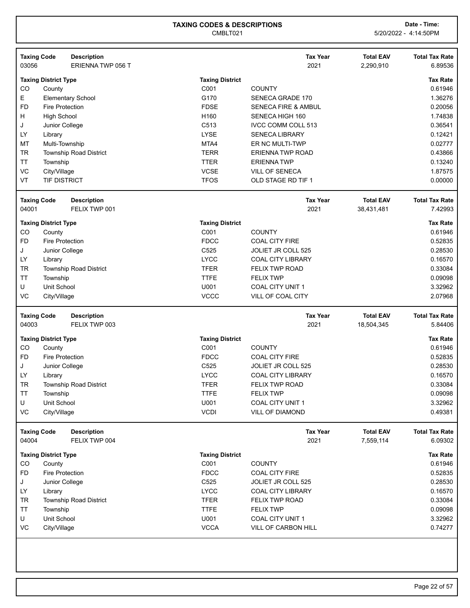| 03056              | <b>Taxing Code</b>          | <b>Description</b><br>ERIENNA TWP 056 T |                        | <b>Tax Year</b><br>2021        | <b>Total EAV</b><br>2,290,910 | <b>Total Tax Rate</b><br>6.89536 |
|--------------------|-----------------------------|-----------------------------------------|------------------------|--------------------------------|-------------------------------|----------------------------------|
|                    | <b>Taxing District Type</b> |                                         | <b>Taxing District</b> |                                |                               | <b>Tax Rate</b>                  |
| CO                 | County                      |                                         | C001                   | <b>COUNTY</b>                  |                               | 0.61946                          |
| E                  |                             | <b>Elementary School</b>                | G170                   | <b>SENECA GRADE 170</b>        |                               | 1.36276                          |
| FD                 | <b>Fire Protection</b>      |                                         | <b>FDSE</b>            | <b>SENECA FIRE &amp; AMBUL</b> |                               | 0.20056                          |
| н                  | <b>High School</b>          |                                         | H <sub>160</sub>       | SENECA HIGH 160                |                               | 1.74838                          |
| J                  | Junior College              |                                         | C513                   | <b>IVCC COMM COLL 513</b>      |                               | 0.36541                          |
| LY                 | Library                     |                                         | <b>LYSE</b>            | <b>SENECA LIBRARY</b>          |                               | 0.12421                          |
| ΜТ                 | Multi-Township              |                                         | MTA4                   | ER NC MULTI-TWP                |                               | 0.02777                          |
| <b>TR</b>          |                             | <b>Township Road District</b>           | <b>TERR</b>            | ERIENNA TWP ROAD               |                               | 0.43866                          |
| TT                 | Township                    |                                         | <b>TTER</b>            | <b>ERIENNATWP</b>              |                               | 0.13240                          |
| VC                 | City/Village                |                                         | <b>VCSE</b>            | <b>VILL OF SENECA</b>          |                               | 1.87575                          |
| VT                 | <b>TIF DISTRICT</b>         |                                         | <b>TFOS</b>            | OLD STAGE RD TIF 1             |                               | 0.00000                          |
| <b>Taxing Code</b> |                             | <b>Description</b>                      |                        | <b>Tax Year</b>                | <b>Total EAV</b>              | <b>Total Tax Rate</b>            |
| 04001              |                             | FELIX TWP 001                           |                        | 2021                           | 38,431,481                    | 7.42993                          |
|                    | <b>Taxing District Type</b> |                                         | <b>Taxing District</b> |                                |                               | <b>Tax Rate</b>                  |
| CO                 | County                      |                                         | C001                   | <b>COUNTY</b>                  |                               | 0.61946                          |
| <b>FD</b>          | <b>Fire Protection</b>      |                                         | <b>FDCC</b>            | <b>COAL CITY FIRE</b>          |                               | 0.52835                          |
| J                  | Junior College              |                                         | C525                   | JOLIET JR COLL 525             |                               | 0.28530                          |
| LY                 | Library                     |                                         | <b>LYCC</b>            | <b>COAL CITY LIBRARY</b>       |                               | 0.16570                          |
| <b>TR</b>          |                             | <b>Township Road District</b>           | <b>TFER</b>            | <b>FELIX TWP ROAD</b>          |                               | 0.33084                          |
| <b>TT</b>          | Township                    |                                         | <b>TTFE</b>            | <b>FELIX TWP</b>               |                               | 0.09098                          |
| U                  | Unit School                 |                                         | U001                   | <b>COAL CITY UNIT 1</b>        |                               | 3.32962                          |
| VC                 | City/Village                |                                         | <b>VCCC</b>            | VILL OF COAL CITY              |                               | 2.07968                          |
|                    |                             |                                         |                        |                                |                               |                                  |
| <b>Taxing Code</b> |                             | <b>Description</b>                      |                        | <b>Tax Year</b>                | <b>Total EAV</b>              | <b>Total Tax Rate</b>            |
| 04003              |                             | FELIX TWP 003                           |                        | 2021                           | 18,504,345                    | 5.84406                          |
|                    | <b>Taxing District Type</b> |                                         | <b>Taxing District</b> |                                |                               | <b>Tax Rate</b>                  |
| CO                 | County                      |                                         | C001                   | <b>COUNTY</b>                  |                               | 0.61946                          |
| FD                 | <b>Fire Protection</b>      |                                         | <b>FDCC</b>            | <b>COAL CITY FIRE</b>          |                               | 0.52835                          |
| J                  | Junior College              |                                         | C525                   | JOLIET JR COLL 525             |                               | 0.28530                          |
| LY                 | Library                     |                                         | <b>LYCC</b>            | <b>COAL CITY LIBRARY</b>       |                               | 0.16570                          |
| <b>TR</b>          |                             | <b>Township Road District</b>           | <b>TFER</b>            | <b>FELIX TWP ROAD</b>          |                               | 0.33084                          |
| TT                 | Township                    |                                         | <b>TTFE</b>            | <b>FELIX TWP</b>               |                               | 0.09098                          |
| U                  | Unit School                 |                                         | U001                   | <b>COAL CITY UNIT 1</b>        |                               | 3.32962                          |
| VC                 | City/Village                |                                         | <b>VCDI</b>            | <b>VILL OF DIAMOND</b>         |                               | 0.49381                          |
| <b>Taxing Code</b> |                             | <b>Description</b>                      |                        | <b>Tax Year</b>                | <b>Total EAV</b>              | <b>Total Tax Rate</b>            |
| 04004              |                             | FELIX TWP 004                           |                        | 2021                           | 7,559,114                     | 6.09302                          |
|                    | <b>Taxing District Type</b> |                                         | <b>Taxing District</b> |                                |                               | <b>Tax Rate</b>                  |
| CO                 | County                      |                                         | C001                   | <b>COUNTY</b>                  |                               | 0.61946                          |
| <b>FD</b>          | <b>Fire Protection</b>      |                                         | <b>FDCC</b>            | <b>COAL CITY FIRE</b>          |                               | 0.52835                          |
| J                  | Junior College              |                                         | C525                   | <b>JOLIET JR COLL 525</b>      |                               | 0.28530                          |
| LY                 | Library                     |                                         | <b>LYCC</b>            | <b>COAL CITY LIBRARY</b>       |                               | 0.16570                          |
| TR                 |                             | <b>Township Road District</b>           | <b>TFER</b>            | <b>FELIX TWP ROAD</b>          |                               | 0.33084                          |
| TΤ                 | Township                    |                                         | <b>TTFE</b>            | <b>FELIX TWP</b>               |                               | 0.09098                          |
| U                  | Unit School                 |                                         | U001                   | COAL CITY UNIT 1               |                               | 3.32962                          |
| VC                 | City/Village                |                                         | <b>VCCA</b>            | VILL OF CARBON HILL            |                               | 0.74277                          |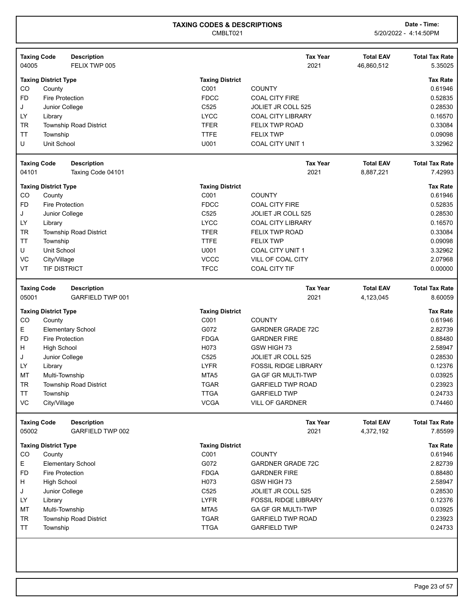|                             |                             |                                     |                        |                             |                                | <b>Total Tax Rate</b> |
|-----------------------------|-----------------------------|-------------------------------------|------------------------|-----------------------------|--------------------------------|-----------------------|
| <b>Taxing Code</b><br>04005 |                             | <b>Description</b><br>FELIX TWP 005 |                        | <b>Tax Year</b><br>2021     | <b>Total EAV</b><br>46,860,512 | 5.35025               |
|                             |                             |                                     |                        |                             |                                |                       |
|                             | <b>Taxing District Type</b> |                                     | <b>Taxing District</b> |                             |                                | <b>Tax Rate</b>       |
| CO                          | County                      |                                     | C001                   | <b>COUNTY</b>               |                                | 0.61946               |
| <b>FD</b>                   | <b>Fire Protection</b>      |                                     | <b>FDCC</b>            | <b>COAL CITY FIRE</b>       |                                | 0.52835               |
| J                           | Junior College              |                                     | C525                   | <b>JOLIET JR COLL 525</b>   |                                | 0.28530               |
| LY                          | Library                     |                                     | <b>LYCC</b>            | <b>COAL CITY LIBRARY</b>    |                                | 0.16570               |
| <b>TR</b>                   |                             | <b>Township Road District</b>       | <b>TFER</b>            | <b>FELIX TWP ROAD</b>       |                                | 0.33084               |
| TT                          | Township                    |                                     | <b>TTFE</b>            | <b>FELIX TWP</b>            |                                | 0.09098               |
| U                           | <b>Unit School</b>          |                                     | U001                   | <b>COAL CITY UNIT 1</b>     |                                | 3.32962               |
| <b>Taxing Code</b>          |                             | <b>Description</b>                  |                        | <b>Tax Year</b>             | <b>Total EAV</b>               | <b>Total Tax Rate</b> |
| 04101                       |                             | Taxing Code 04101                   |                        | 2021                        | 8,887,221                      | 7.42993               |
|                             | <b>Taxing District Type</b> |                                     | <b>Taxing District</b> |                             |                                | <b>Tax Rate</b>       |
| CO                          | County                      |                                     | C001                   | <b>COUNTY</b>               |                                | 0.61946               |
| <b>FD</b>                   | Fire Protection             |                                     | <b>FDCC</b>            | <b>COAL CITY FIRE</b>       |                                | 0.52835               |
| J                           | Junior College              |                                     | C525                   | JOLIET JR COLL 525          |                                | 0.28530               |
| LY                          | Library                     |                                     | <b>LYCC</b>            | <b>COAL CITY LIBRARY</b>    |                                | 0.16570               |
| <b>TR</b>                   |                             | Township Road District              | <b>TFER</b>            | <b>FELIX TWP ROAD</b>       |                                | 0.33084               |
| TT                          | Township                    |                                     | <b>TTFE</b>            | <b>FELIX TWP</b>            |                                | 0.09098               |
| U                           | Unit School                 |                                     | U001                   | <b>COAL CITY UNIT 1</b>     |                                | 3.32962               |
| VC                          | City/Village                |                                     | <b>VCCC</b>            | VILL OF COAL CITY           |                                | 2.07968               |
| VT                          | TIF DISTRICT                |                                     | <b>TFCC</b>            | <b>COAL CITY TIF</b>        |                                | 0.00000               |
| <b>Taxing Code</b>          |                             | <b>Description</b>                  |                        | <b>Tax Year</b>             | <b>Total EAV</b>               | <b>Total Tax Rate</b> |
| 05001                       |                             | <b>GARFIELD TWP 001</b>             |                        | 2021                        | 4,123,045                      | 8.60059               |
|                             | <b>Taxing District Type</b> |                                     | <b>Taxing District</b> |                             |                                | <b>Tax Rate</b>       |
| CO                          | County                      |                                     | C001                   | <b>COUNTY</b>               |                                | 0.61946               |
| Е                           |                             | <b>Elementary School</b>            | G072                   | <b>GARDNER GRADE 72C</b>    |                                | 2.82739               |
| <b>FD</b>                   | Fire Protection             |                                     | <b>FDGA</b>            | <b>GARDNER FIRE</b>         |                                | 0.88480               |
| H                           | <b>High School</b>          |                                     | H073                   | GSW HIGH 73                 |                                | 2.58947               |
| J                           | Junior College              |                                     | C525                   | JOLIET JR COLL 525          |                                | 0.28530               |
| LY                          | Library                     |                                     | <b>LYFR</b>            | <b>FOSSIL RIDGE LIBRARY</b> |                                | 0.12376               |
| MT                          | Multi-Township              |                                     | MTA <sub>5</sub>       | GA GF GR MULTI-TWP          |                                | 0.03925               |
| <b>TR</b>                   |                             | <b>Township Road District</b>       | <b>TGAR</b>            | <b>GARFIELD TWP ROAD</b>    |                                | 0.23923               |
| TT                          | Township                    |                                     | <b>TTGA</b>            | <b>GARFIELD TWP</b>         |                                | 0.24733               |
| VC                          | City/Village                |                                     | <b>VCGA</b>            | <b>VILL OF GARDNER</b>      |                                | 0.74460               |
| <b>Taxing Code</b>          |                             | <b>Description</b>                  |                        | <b>Tax Year</b>             | <b>Total EAV</b>               | <b>Total Tax Rate</b> |
| 05002                       |                             | GARFIELD TWP 002                    |                        | 2021                        | 4,372,192                      | 7.85599               |
|                             | <b>Taxing District Type</b> |                                     | <b>Taxing District</b> |                             |                                | <b>Tax Rate</b>       |
| CO                          | County                      |                                     | C001                   | <b>COUNTY</b>               |                                | 0.61946               |
| Е                           |                             | <b>Elementary School</b>            | G072                   | <b>GARDNER GRADE 72C</b>    |                                | 2.82739               |
| <b>FD</b>                   | <b>Fire Protection</b>      |                                     | <b>FDGA</b>            | <b>GARDNER FIRE</b>         |                                | 0.88480               |
| H                           | <b>High School</b>          |                                     | H073                   | GSW HIGH 73                 |                                | 2.58947               |
| J                           | Junior College              |                                     | C525                   | JOLIET JR COLL 525          |                                | 0.28530               |
| LY                          | Library                     |                                     | <b>LYFR</b>            | <b>FOSSIL RIDGE LIBRARY</b> |                                | 0.12376               |
| MT                          | Multi-Township              |                                     | MTA <sub>5</sub>       | GA GF GR MULTI-TWP          |                                | 0.03925               |
| <b>TR</b>                   |                             | <b>Township Road District</b>       | <b>TGAR</b>            | <b>GARFIELD TWP ROAD</b>    |                                | 0.23923               |
| <b>TT</b>                   | Township                    |                                     | <b>TTGA</b>            | <b>GARFIELD TWP</b>         |                                | 0.24733               |
|                             |                             |                                     |                        |                             |                                |                       |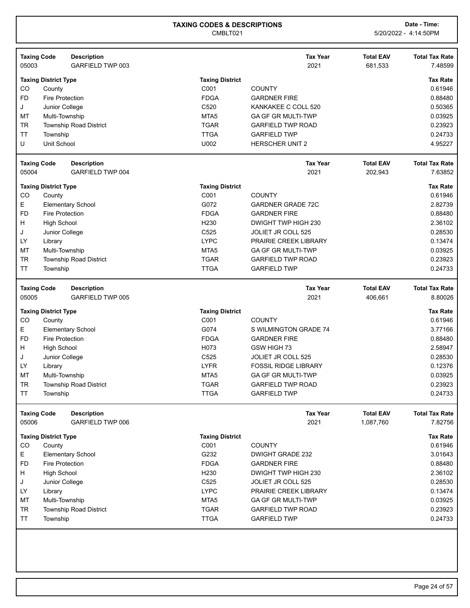| <b>Taxing Code</b>                  | <b>Description</b>            |                        | <b>Tax Year</b>             | <b>Total EAV</b> | <b>Total Tax Rate</b> |
|-------------------------------------|-------------------------------|------------------------|-----------------------------|------------------|-----------------------|
| 05003                               | GARFIELD TWP 003              |                        | 2021                        | 681,533          | 7.48599               |
| <b>Taxing District Type</b>         |                               | <b>Taxing District</b> |                             |                  | <b>Tax Rate</b>       |
| CO<br>County                        |                               | C001                   | <b>COUNTY</b>               |                  | 0.61946               |
| FD<br><b>Fire Protection</b>        |                               | <b>FDGA</b>            | <b>GARDNER FIRE</b>         |                  | 0.88480               |
| Junior College<br>J                 |                               | C <sub>520</sub>       | KANKAKEE C COLL 520         |                  | 0.50365               |
| MT<br>Multi-Township                |                               | MTA <sub>5</sub>       | <b>GA GF GR MULTI-TWP</b>   |                  | 0.03925               |
| <b>TR</b>                           | <b>Township Road District</b> | <b>TGAR</b>            | <b>GARFIELD TWP ROAD</b>    |                  | 0.23923               |
| TT<br>Township                      |                               | <b>TTGA</b>            | <b>GARFIELD TWP</b>         |                  | 0.24733               |
| Unit School<br>U                    |                               | U002                   | <b>HERSCHER UNIT 2</b>      |                  | 4.95227               |
| <b>Taxing Code</b>                  | <b>Description</b>            |                        | <b>Tax Year</b>             | <b>Total EAV</b> | <b>Total Tax Rate</b> |
| 05004                               | <b>GARFIELD TWP 004</b>       |                        | 2021                        | 202,943          | 7.63852               |
| <b>Taxing District Type</b>         |                               | <b>Taxing District</b> |                             |                  | <b>Tax Rate</b>       |
| CO<br>County                        |                               | C001                   | <b>COUNTY</b>               |                  | 0.61946               |
| Е                                   | <b>Elementary School</b>      | G072                   | <b>GARDNER GRADE 72C</b>    |                  | 2.82739               |
| <b>FD</b><br><b>Fire Protection</b> |                               | <b>FDGA</b>            | <b>GARDNER FIRE</b>         |                  | 0.88480               |
| н<br><b>High School</b>             |                               | H <sub>230</sub>       | DWIGHT TWP HIGH 230         |                  | 2.36102               |
| Junior College<br>J                 |                               | C525                   | <b>JOLIET JR COLL 525</b>   |                  | 0.28530               |
| LY<br>Library                       |                               | <b>LYPC</b>            | PRAIRIE CREEK LIBRARY       |                  | 0.13474               |
| MT<br>Multi-Township                |                               | MTA <sub>5</sub>       | GA GF GR MULTI-TWP          |                  | 0.03925               |
| TR                                  | <b>Township Road District</b> | <b>TGAR</b>            | <b>GARFIELD TWP ROAD</b>    |                  | 0.23923               |
| TT<br>Township                      |                               | <b>TTGA</b>            | <b>GARFIELD TWP</b>         |                  | 0.24733               |
| <b>Taxing Code</b>                  | <b>Description</b>            |                        | <b>Tax Year</b>             | <b>Total EAV</b> | <b>Total Tax Rate</b> |
| 05005                               | <b>GARFIELD TWP 005</b>       |                        | 2021                        | 406,661          | 8.80026               |
| <b>Taxing District Type</b>         |                               | <b>Taxing District</b> |                             |                  | <b>Tax Rate</b>       |
| CO<br>County                        |                               | C001                   | <b>COUNTY</b>               |                  | 0.61946               |
| Е                                   | <b>Elementary School</b>      | G074                   | S WILMINGTON GRADE 74       |                  | 3.77166               |
| <b>FD</b><br><b>Fire Protection</b> |                               | <b>FDGA</b>            | <b>GARDNER FIRE</b>         |                  | 0.88480               |
| H<br><b>High School</b>             |                               | H073                   | GSW HIGH 73                 |                  | 2.58947               |
| Junior College<br>J                 |                               | C <sub>525</sub>       | <b>JOLIET JR COLL 525</b>   |                  | 0.28530               |
| LY<br>Library                       |                               | <b>LYFR</b>            | <b>FOSSIL RIDGE LIBRARY</b> |                  | 0.12376               |
| MT<br>Multi-Township                |                               | MTA <sub>5</sub>       | <b>GA GF GR MULTI-TWP</b>   |                  | 0.03925               |
| <b>TR</b>                           | <b>Township Road District</b> | <b>TGAR</b>            | <b>GARFIELD TWP ROAD</b>    |                  | 0.23923               |
| ΤT<br>Township                      |                               | <b>TTGA</b>            | <b>GARFIELD TWP</b>         |                  | 0.24733               |
| <b>Taxing Code</b>                  | <b>Description</b>            |                        | <b>Tax Year</b>             | <b>Total EAV</b> | <b>Total Tax Rate</b> |
| 05006                               | GARFIELD TWP 006              |                        | 2021                        | 1,087,760        | 7.82756               |
| <b>Taxing District Type</b>         |                               | <b>Taxing District</b> |                             |                  | <b>Tax Rate</b>       |
| CO<br>County                        |                               | C001                   | <b>COUNTY</b>               |                  | 0.61946               |
| Е                                   | <b>Elementary School</b>      | G232                   | <b>DWIGHT GRADE 232</b>     |                  | 3.01643               |
| <b>FD</b><br><b>Fire Protection</b> |                               | <b>FDGA</b>            | <b>GARDNER FIRE</b>         |                  | 0.88480               |
| <b>High School</b><br>н             |                               | H <sub>230</sub>       | DWIGHT TWP HIGH 230         |                  | 2.36102               |
| Junior College<br>J                 |                               | C525                   | JOLIET JR COLL 525          |                  | 0.28530               |
| LY<br>Library                       |                               | <b>LYPC</b>            | PRAIRIE CREEK LIBRARY       |                  | 0.13474               |
| MT<br>Multi-Township                |                               | MTA <sub>5</sub>       | GA GF GR MULTI-TWP          |                  | 0.03925               |
| <b>TR</b>                           | Township Road District        | <b>TGAR</b>            | <b>GARFIELD TWP ROAD</b>    |                  | 0.23923               |
| TT<br>Township                      |                               | <b>TTGA</b>            | <b>GARFIELD TWP</b>         |                  | 0.24733               |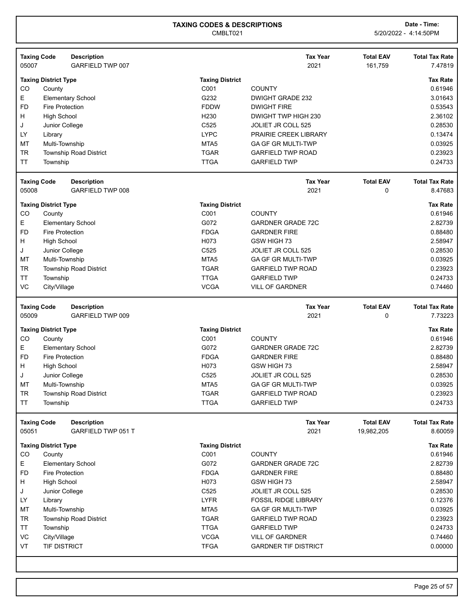|           | <b>Taxing Code</b><br><b>Description</b> |                        | <b>Tax Year</b>           | <b>Total EAV</b> | <b>Total Tax Rate</b> |
|-----------|------------------------------------------|------------------------|---------------------------|------------------|-----------------------|
| 05007     | GARFIELD TWP 007                         |                        | 2021                      | 161,759          | 7.47819               |
|           | <b>Taxing District Type</b>              | <b>Taxing District</b> |                           |                  | <b>Tax Rate</b>       |
| CO        | County                                   | C001                   | <b>COUNTY</b>             |                  | 0.61946               |
| Е         | <b>Elementary School</b>                 | G232                   | <b>DWIGHT GRADE 232</b>   |                  | 3.01643               |
| <b>FD</b> | <b>Fire Protection</b>                   | <b>FDDW</b>            | <b>DWIGHT FIRE</b>        |                  | 0.53543               |
| H         | <b>High School</b>                       | H <sub>230</sub>       | DWIGHT TWP HIGH 230       |                  | 2.36102               |
| J         | Junior College                           | C <sub>525</sub>       | JOLIET JR COLL 525        |                  | 0.28530               |
| LY        | Library                                  | <b>LYPC</b>            | PRAIRIE CREEK LIBRARY     |                  | 0.13474               |
| MT        | Multi-Township                           | MTA <sub>5</sub>       | <b>GA GF GR MULTI-TWP</b> |                  | 0.03925               |
| <b>TR</b> | <b>Township Road District</b>            | <b>TGAR</b>            | <b>GARFIELD TWP ROAD</b>  |                  | 0.23923               |
| <b>TT</b> | Township                                 | <b>TTGA</b>            | <b>GARFIELD TWP</b>       |                  | 0.24733               |
|           | <b>Taxing Code</b><br><b>Description</b> |                        | <b>Tax Year</b>           | <b>Total EAV</b> | <b>Total Tax Rate</b> |

| 05008         | GARFIELD TWP 008              |                        | 2021                      | 8.47683         |
|---------------|-------------------------------|------------------------|---------------------------|-----------------|
|               | <b>Taxing District Type</b>   | <b>Taxing District</b> |                           | <b>Tax Rate</b> |
| <sub>CO</sub> | County                        | C001                   | <b>COUNTY</b>             | 0.61946         |
| E.            | <b>Elementary School</b>      | G072                   | <b>GARDNER GRADE 72C</b>  | 2.82739         |
| FD.           | Fire Protection               | <b>FDGA</b>            | <b>GARDNER FIRE</b>       | 0.88480         |
| H             | High School                   | H073                   | GSW HIGH 73               | 2.58947         |
| J             | Junior College                | C <sub>525</sub>       | <b>JOLIET JR COLL 525</b> | 0.28530         |
| МT            | Multi-Township                | MTA <sub>5</sub>       | <b>GA GF GR MULTI-TWP</b> | 0.03925         |
| <b>TR</b>     | <b>Township Road District</b> | <b>TGAR</b>            | <b>GARFIELD TWP ROAD</b>  | 0.23923         |
| TT            | Township                      | TTGA                   | <b>GARFIELD TWP</b>       | 0.24733         |
| VC.           | City/Village                  | <b>VCGA</b>            | <b>VILL OF GARDNER</b>    | 0.74460         |
|               |                               |                        |                           |                 |

| <b>Taxing Code</b><br>05009 |                             | <b>Description</b><br>GARFIELD TWP 009 |                        | <b>Tax Year</b><br>2021   | <b>Total EAV</b><br>0 | <b>Total Tax Rate</b><br>7.73223 |
|-----------------------------|-----------------------------|----------------------------------------|------------------------|---------------------------|-----------------------|----------------------------------|
|                             | <b>Taxing District Type</b> |                                        | <b>Taxing District</b> |                           |                       | <b>Tax Rate</b>                  |
| CO.                         | County                      |                                        | C <sub>001</sub>       | <b>COUNTY</b>             |                       | 0.61946                          |
| E.                          |                             | <b>Elementary School</b>               | G072                   | <b>GARDNER GRADE 72C</b>  |                       | 2.82739                          |
| FD.                         | Fire Protection             |                                        | <b>FDGA</b>            | <b>GARDNER FIRE</b>       |                       | 0.88480                          |
| H                           | High School                 |                                        | H <sub>0</sub> 73      | GSW HIGH 73               |                       | 2.58947                          |
| J                           | Junior College              |                                        | C <sub>525</sub>       | <b>JOLIET JR COLL 525</b> |                       | 0.28530                          |
| МT                          | Multi-Township              |                                        | MTA <sub>5</sub>       | <b>GA GF GR MULTI-TWP</b> |                       | 0.03925                          |
| TR.                         |                             | <b>Township Road District</b>          | <b>TGAR</b>            | <b>GARFIELD TWP ROAD</b>  |                       | 0.23923                          |
| ТT                          | Township                    |                                        | <b>TTGA</b>            | <b>GARFIELD TWP</b>       |                       | 0.24733                          |

| <b>Taxing Code</b><br>05051 |                             | <b>Description</b><br>GARFIELD TWP 051 T |                        | <b>Tax Year</b><br>2021     | <b>Total EAV</b><br>19,982,205 | <b>Total Tax Rate</b><br>8.60059 |
|-----------------------------|-----------------------------|------------------------------------------|------------------------|-----------------------------|--------------------------------|----------------------------------|
|                             | <b>Taxing District Type</b> |                                          | <b>Taxing District</b> |                             |                                | <b>Tax Rate</b>                  |
| <sub>CO</sub>               | County                      |                                          | C <sub>001</sub>       | <b>COUNTY</b>               |                                | 0.61946                          |
| E.                          |                             | <b>Elementary School</b>                 | G072                   | <b>GARDNER GRADE 72C</b>    |                                | 2.82739                          |
| FD.                         | <b>Fire Protection</b>      |                                          | <b>FDGA</b>            | <b>GARDNER FIRE</b>         |                                | 0.88480                          |
| H                           | High School                 |                                          | H073                   | GSW HIGH 73                 |                                | 2.58947                          |
| J                           | Junior College              |                                          | C <sub>525</sub>       | JOLIET JR COLL 525          |                                | 0.28530                          |
| LY                          | Library                     |                                          | <b>LYFR</b>            | <b>FOSSIL RIDGE LIBRARY</b> |                                | 0.12376                          |
| MT                          | Multi-Township              |                                          | MTA <sub>5</sub>       | <b>GA GF GR MULTI-TWP</b>   |                                | 0.03925                          |
| TR                          |                             | <b>Township Road District</b>            | <b>TGAR</b>            | <b>GARFIELD TWP ROAD</b>    |                                | 0.23923                          |
| TT                          | Township                    |                                          | <b>TTGA</b>            | <b>GARFIELD TWP</b>         |                                | 0.24733                          |
| VC.                         | City/Village                |                                          | <b>VCGA</b>            | <b>VILL OF GARDNER</b>      |                                | 0.74460                          |
| VT                          | <b>TIF DISTRICT</b>         |                                          | <b>TFGA</b>            | <b>GARDNER TIF DISTRICT</b> |                                | 0.00000                          |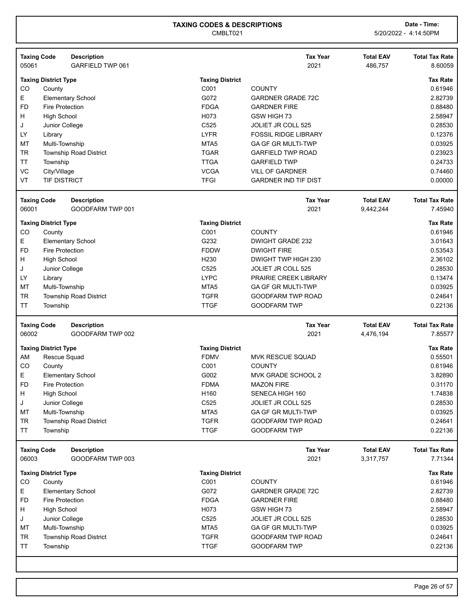| 05061         | <b>Taxing Code</b><br><b>Description</b><br><b>GARFIELD TWP 061</b> |                        | <b>Tax Year</b><br>2021     | <b>Total EAV</b><br>486,757 | <b>Total Tax Rate</b><br>8.60059 |
|---------------|---------------------------------------------------------------------|------------------------|-----------------------------|-----------------------------|----------------------------------|
|               | <b>Taxing District Type</b>                                         | <b>Taxing District</b> |                             |                             | <b>Tax Rate</b>                  |
| CO            | County                                                              | C001                   | <b>COUNTY</b>               |                             | 0.61946                          |
| Е             | <b>Elementary School</b>                                            | G072                   | <b>GARDNER GRADE 72C</b>    |                             | 2.82739                          |
| <b>FD</b>     | <b>Fire Protection</b>                                              | <b>FDGA</b>            | <b>GARDNER FIRE</b>         |                             | 0.88480                          |
| H             | <b>High School</b>                                                  | H073                   | GSW HIGH 73                 |                             | 2.58947                          |
| J             | Junior College                                                      | C <sub>525</sub>       | <b>JOLIET JR COLL 525</b>   |                             | 0.28530                          |
| LY.           | Library                                                             | <b>LYFR</b>            | <b>FOSSIL RIDGE LIBRARY</b> |                             | 0.12376                          |
| <b>MT</b>     | Multi-Township                                                      | MTA <sub>5</sub>       | <b>GA GF GR MULTI-TWP</b>   |                             | 0.03925                          |
| <b>TR</b>     | <b>Township Road District</b>                                       | <b>TGAR</b>            | <b>GARFIELD TWP ROAD</b>    |                             | 0.23923                          |
| <b>TT</b>     | Township                                                            | <b>TTGA</b>            | <b>GARFIELD TWP</b>         |                             | 0.24733                          |
| VC            | City/Village                                                        | <b>VCGA</b>            | <b>VILL OF GARDNER</b>      |                             | 0.74460                          |
| VT            | <b>TIF DISTRICT</b>                                                 | <b>TFGI</b>            | <b>GARDNER IND TIF DIST</b> |                             | 0.00000                          |
|               | <b>Taxing Code</b><br><b>Description</b>                            |                        | <b>Tax Year</b>             | <b>Total EAV</b>            | <b>Total Tax Rate</b>            |
| 06001         | GOODFARM TWP 001                                                    |                        | 2021                        | 9,442,244                   | 7.45940                          |
|               | <b>Taxing District Type</b>                                         | <b>Taxing District</b> |                             |                             | <b>Tax Rate</b>                  |
| <sub>CO</sub> | County                                                              | C <sub>001</sub>       | <b>COUNTY</b>               |                             | 0.61946                          |
| E             | <b>Elementary School</b>                                            | G232                   | <b>DWIGHT GRADE 232</b>     |                             | 3.01643                          |
| <b>FD</b>     | <b>Fire Protection</b>                                              | <b>FDDW</b>            | <b>DWIGHT FIRE</b>          |                             | 0.53543                          |
| H             | <b>High School</b>                                                  | H <sub>230</sub>       | DWIGHT TWP HIGH 230         |                             | 2.36102                          |
| J             | Junior College                                                      | C <sub>525</sub>       | <b>JOLIET JR COLL 525</b>   |                             | 0.28530                          |
| LY            | Library                                                             | <b>LYPC</b>            | PRAIRIE CREEK LIBRARY       |                             | 0.13474                          |
|               | Multi-Township                                                      | MTA <sub>5</sub>       | <b>GA GF GR MULTI-TWP</b>   |                             | 0.03925                          |
| <b>MT</b>     |                                                                     |                        |                             |                             |                                  |
| <b>TR</b>     | <b>Township Road District</b>                                       | <b>TGFR</b>            | <b>GOODFARM TWP ROAD</b>    |                             | 0.24641                          |

|        | <b>Description</b> |                                                                                                                                                                                            | <b>Tax Year</b>           | <b>Total EAV</b>       | <b>Total Tax Rate</b> |
|--------|--------------------|--------------------------------------------------------------------------------------------------------------------------------------------------------------------------------------------|---------------------------|------------------------|-----------------------|
|        | GOODFARM TWP 002   |                                                                                                                                                                                            | 2021                      | 4,476,194              | 7.85577               |
|        |                    |                                                                                                                                                                                            |                           |                        | <b>Tax Rate</b>       |
|        |                    | <b>FDMV</b>                                                                                                                                                                                | <b>MVK RESCUE SQUAD</b>   |                        | 0.55501               |
| County |                    | C001                                                                                                                                                                                       | <b>COUNTY</b>             |                        | 0.61946               |
|        |                    | G002                                                                                                                                                                                       | MVK GRADE SCHOOL 2        |                        | 3.82890               |
|        |                    | <b>FDMA</b>                                                                                                                                                                                | <b>MAZON FIRE</b>         |                        | 0.31170               |
|        |                    | H <sub>160</sub>                                                                                                                                                                           | SENECA HIGH 160           |                        | 1.74838               |
|        |                    | C <sub>525</sub>                                                                                                                                                                           | JOLIET JR COLL 525        |                        | 0.28530               |
|        |                    | MTA <sub>5</sub>                                                                                                                                                                           | <b>GA GF GR MULTI-TWP</b> |                        | 0.03925               |
|        |                    | <b>TGFR</b>                                                                                                                                                                                | <b>GOODFARM TWP ROAD</b>  |                        | 0.24641               |
|        |                    | <b>TTGF</b>                                                                                                                                                                                | <b>GOODFARM TWP</b>       |                        | 0.22136               |
| 06002  | <b>Taxing Code</b> | <b>Taxing District Type</b><br>Rescue Squad<br><b>Elementary School</b><br>Fire Protection<br>High School<br>Junior College<br>Multi-Township<br><b>Township Road District</b><br>Township |                           | <b>Taxing District</b> |                       |

| <b>Taxing Code</b><br>06003 |                             | <b>Description</b><br>GOODFARM TWP 003 |                        | <b>Tax Year</b><br>2021   | <b>Total EAV</b><br>3,317,757 | <b>Total Tax Rate</b><br>7.71344 |
|-----------------------------|-----------------------------|----------------------------------------|------------------------|---------------------------|-------------------------------|----------------------------------|
|                             | <b>Taxing District Type</b> |                                        | <b>Taxing District</b> |                           |                               | <b>Tax Rate</b>                  |
| CO                          | County                      |                                        | C001                   | <b>COUNTY</b>             |                               | 0.61946                          |
| Е                           |                             | <b>Elementary School</b>               | G072                   | <b>GARDNER GRADE 72C</b>  |                               | 2.82739                          |
| FD.                         | Fire Protection             |                                        | <b>FDGA</b>            | <b>GARDNER FIRE</b>       |                               | 0.88480                          |
| H                           | <b>High School</b>          |                                        | H073                   | GSW HIGH 73               |                               | 2.58947                          |
| J                           | Junior College              |                                        | C <sub>525</sub>       | JOLIET JR COLL 525        |                               | 0.28530                          |
| MT                          | Multi-Township              |                                        | MTA <sub>5</sub>       | <b>GA GF GR MULTI-TWP</b> |                               | 0.03925                          |
| <b>TR</b>                   |                             | <b>Township Road District</b>          | <b>TGFR</b>            | <b>GOODFARM TWP ROAD</b>  |                               | 0.24641                          |
| <b>TT</b>                   | Township                    |                                        | <b>TTGF</b>            | <b>GOODFARM TWP</b>       |                               | 0.22136                          |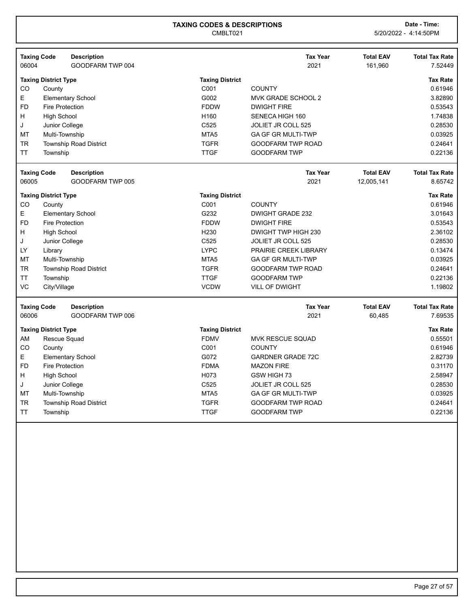| <b>Taxing Code</b> |                             | <b>Description</b>            |                        | <b>Tax Year</b>           | <b>Total EAV</b> | <b>Total Tax Rate</b> |
|--------------------|-----------------------------|-------------------------------|------------------------|---------------------------|------------------|-----------------------|
| 06004              |                             | GOODFARM TWP 004              |                        | 2021                      | 161,960          | 7.52449               |
|                    | <b>Taxing District Type</b> |                               | <b>Taxing District</b> |                           |                  | <b>Tax Rate</b>       |
| CO                 | County                      |                               | C001                   | <b>COUNTY</b>             |                  | 0.61946               |
| E                  |                             | <b>Elementary School</b>      | G002                   | MVK GRADE SCHOOL 2        |                  | 3.82890               |
| <b>FD</b>          | <b>Fire Protection</b>      |                               | <b>FDDW</b>            | <b>DWIGHT FIRE</b>        |                  | 0.53543               |
| H                  | <b>High School</b>          |                               | H <sub>160</sub>       | SENECA HIGH 160           |                  | 1.74838               |
| J                  | Junior College              |                               | C525                   | <b>JOLIET JR COLL 525</b> |                  | 0.28530               |
| MT                 | Multi-Township              |                               | MTA <sub>5</sub>       | <b>GA GF GR MULTI-TWP</b> |                  | 0.03925               |
| <b>TR</b>          |                             | <b>Township Road District</b> | <b>TGFR</b>            | <b>GOODFARM TWP ROAD</b>  |                  | 0.24641               |
| TT                 | Township                    |                               | <b>TTGF</b>            | <b>GOODFARM TWP</b>       |                  | 0.22136               |
| <b>Taxing Code</b> |                             | <b>Description</b>            |                        | <b>Tax Year</b>           | <b>Total EAV</b> | <b>Total Tax Rate</b> |
| 06005              |                             | GOODFARM TWP 005              |                        | 2021                      | 12,005,141       | 8.65742               |
|                    | <b>Taxing District Type</b> |                               | <b>Taxing District</b> |                           |                  | <b>Tax Rate</b>       |
| CO                 | County                      |                               | C001                   | <b>COUNTY</b>             |                  | 0.61946               |
| E                  |                             | <b>Elementary School</b>      | G232                   | DWIGHT GRADE 232          |                  | 3.01643               |
| <b>FD</b>          | <b>Fire Protection</b>      |                               | <b>FDDW</b>            | <b>DWIGHT FIRE</b>        |                  | 0.53543               |
| н                  | <b>High School</b>          |                               | H <sub>230</sub>       | DWIGHT TWP HIGH 230       |                  | 2.36102               |
| J                  | Junior College              |                               | C <sub>525</sub>       | <b>JOLIET JR COLL 525</b> |                  | 0.28530               |
| LY                 | Library                     |                               | <b>LYPC</b>            | PRAIRIE CREEK LIBRARY     |                  | 0.13474               |
| MT                 | Multi-Township              |                               | MTA <sub>5</sub>       | <b>GA GF GR MULTI-TWP</b> |                  | 0.03925               |
| TR                 |                             | <b>Township Road District</b> | <b>TGFR</b>            | <b>GOODFARM TWP ROAD</b>  |                  | 0.24641               |
| <b>TT</b>          | Township                    |                               | <b>TTGF</b>            | <b>GOODFARM TWP</b>       |                  | 0.22136               |
| VC                 | City/Village                |                               | <b>VCDW</b>            | <b>VILL OF DWIGHT</b>     |                  | 1.19802               |
| <b>Taxing Code</b> |                             | <b>Description</b>            |                        | <b>Tax Year</b>           | <b>Total EAV</b> | <b>Total Tax Rate</b> |
| 06006              |                             | GOODFARM TWP 006              |                        | 2021                      | 60,485           | 7.69535               |
|                    | <b>Taxing District Type</b> |                               | <b>Taxing District</b> |                           |                  | <b>Tax Rate</b>       |
| AM                 | Rescue Squad                |                               | <b>FDMV</b>            | <b>MVK RESCUE SQUAD</b>   |                  | 0.55501               |
| CO                 | County                      |                               | C001                   | <b>COUNTY</b>             |                  | 0.61946               |
| E                  |                             | <b>Elementary School</b>      | G072                   | <b>GARDNER GRADE 72C</b>  |                  | 2.82739               |
| <b>FD</b>          | <b>Fire Protection</b>      |                               | <b>FDMA</b>            | <b>MAZON FIRE</b>         |                  | 0.31170               |
| H                  | <b>High School</b>          |                               | H073                   | GSW HIGH 73               |                  | 2.58947               |
| J                  | Junior College              |                               | C <sub>525</sub>       | <b>JOLIET JR COLL 525</b> |                  | 0.28530               |
| MT                 | Multi-Township              |                               | MTA <sub>5</sub>       | <b>GA GF GR MULTI-TWP</b> |                  | 0.03925               |
| <b>TR</b>          |                             | <b>Township Road District</b> | <b>TGFR</b>            | <b>GOODFARM TWP ROAD</b>  |                  | 0.24641               |
|                    |                             |                               |                        |                           |                  |                       |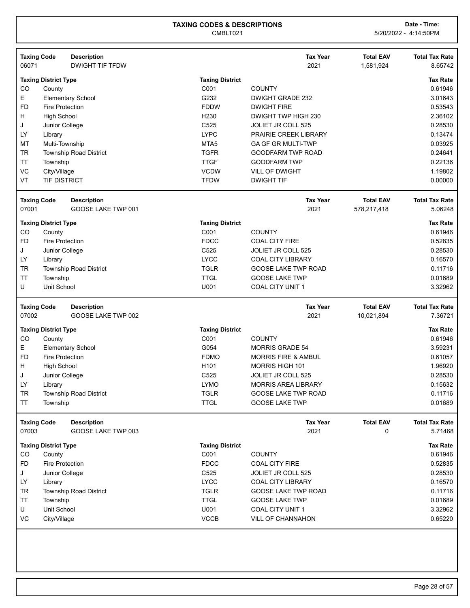| 06071           | <b>Taxing Code</b>                    | <b>Description</b><br><b>DWIGHT TIF TFDW</b> |                                | <b>Tax Year</b><br>2021                          | <b>Total EAV</b><br>1,581,924 | <b>Total Tax Rate</b><br>8.65742                                                                                                            |
|-----------------|---------------------------------------|----------------------------------------------|--------------------------------|--------------------------------------------------|-------------------------------|---------------------------------------------------------------------------------------------------------------------------------------------|
|                 | <b>Taxing District Type</b>           |                                              | <b>Taxing District</b>         |                                                  |                               | <b>Tax Rate</b>                                                                                                                             |
| CO              | County                                |                                              | C001                           | <b>COUNTY</b>                                    |                               | 0.61946                                                                                                                                     |
| E               |                                       | <b>Elementary School</b>                     | G232                           | <b>DWIGHT GRADE 232</b>                          |                               | 3.01643                                                                                                                                     |
| <b>FD</b>       | Fire Protection                       |                                              | <b>FDDW</b>                    | <b>DWIGHT FIRE</b>                               |                               | 0.53543                                                                                                                                     |
| H               | <b>High School</b>                    |                                              | H <sub>230</sub>               | DWIGHT TWP HIGH 230                              |                               | 2.36102                                                                                                                                     |
| J               | Junior College                        |                                              | C525                           | JOLIET JR COLL 525                               |                               | 0.28530                                                                                                                                     |
| LY              | Library                               |                                              | <b>LYPC</b>                    | PRAIRIE CREEK LIBRARY                            |                               | 0.13474                                                                                                                                     |
| MT              | Multi-Township                        |                                              | MTA <sub>5</sub>               | <b>GA GF GR MULTI-TWP</b>                        |                               | 0.03925                                                                                                                                     |
| <b>TR</b>       |                                       | <b>Township Road District</b>                | <b>TGFR</b>                    | <b>GOODFARM TWP ROAD</b>                         |                               | 0.24641                                                                                                                                     |
| <b>TT</b>       | Township                              |                                              | <b>TTGF</b>                    | <b>GOODFARM TWP</b>                              |                               | 0.22136                                                                                                                                     |
| VC              | City/Village                          |                                              | <b>VCDW</b>                    | VILL OF DWIGHT                                   |                               | 1.19802                                                                                                                                     |
| VT              | <b>TIF DISTRICT</b>                   |                                              | <b>TFDW</b>                    | <b>DWIGHT TIF</b>                                |                               | 0.00000                                                                                                                                     |
|                 |                                       |                                              |                                |                                                  |                               |                                                                                                                                             |
|                 | <b>Taxing Code</b>                    | <b>Description</b>                           |                                | <b>Tax Year</b>                                  | <b>Total EAV</b>              | <b>Total Tax Rate</b>                                                                                                                       |
| 07001           |                                       | GOOSE LAKE TWP 001                           |                                | 2021                                             | 578,217,418                   | 5.06248                                                                                                                                     |
|                 | <b>Taxing District Type</b>           |                                              | <b>Taxing District</b>         |                                                  |                               | <b>Tax Rate</b>                                                                                                                             |
| CO              | County                                |                                              | C001                           | <b>COUNTY</b>                                    |                               | 0.61946                                                                                                                                     |
| <b>FD</b>       | <b>Fire Protection</b>                |                                              | <b>FDCC</b>                    | <b>COAL CITY FIRE</b>                            |                               | 0.52835                                                                                                                                     |
| J               | Junior College                        |                                              | C <sub>525</sub>               | JOLIET JR COLL 525                               |                               | 0.28530                                                                                                                                     |
| LY              | Library                               |                                              | <b>LYCC</b>                    | <b>COAL CITY LIBRARY</b>                         |                               | 0.16570                                                                                                                                     |
| <b>TR</b>       |                                       | <b>Township Road District</b>                | <b>TGLR</b>                    | <b>GOOSE LAKE TWP ROAD</b>                       |                               | 0.11716                                                                                                                                     |
| <b>TT</b>       | Township                              |                                              | <b>TTGL</b>                    | <b>GOOSE LAKE TWP</b>                            |                               | 0.01689                                                                                                                                     |
|                 |                                       |                                              |                                |                                                  |                               |                                                                                                                                             |
| U               | Unit School                           |                                              | U001                           | <b>COAL CITY UNIT 1</b>                          |                               | 3.32962                                                                                                                                     |
|                 | <b>Taxing Code</b>                    | <b>Description</b>                           |                                | <b>Tax Year</b>                                  | <b>Total EAV</b>              |                                                                                                                                             |
| 07002           |                                       | GOOSE LAKE TWP 002                           |                                | 2021                                             | 10,021,894                    |                                                                                                                                             |
|                 |                                       |                                              |                                |                                                  |                               |                                                                                                                                             |
| CO              | <b>Taxing District Type</b><br>County |                                              | <b>Taxing District</b><br>C001 | <b>COUNTY</b>                                    |                               |                                                                                                                                             |
| Е               |                                       |                                              | G054                           | <b>MORRIS GRADE 54</b>                           |                               |                                                                                                                                             |
| <b>FD</b>       | <b>Fire Protection</b>                | <b>Elementary School</b>                     | <b>FDMO</b>                    | <b>MORRIS FIRE &amp; AMBUL</b>                   |                               |                                                                                                                                             |
| н               |                                       |                                              | H <sub>101</sub>               | MORRIS HIGH 101                                  |                               |                                                                                                                                             |
| J               | <b>High School</b>                    |                                              | C525                           |                                                  |                               |                                                                                                                                             |
| LY              | Junior College                        |                                              | <b>LYMO</b>                    | JOLIET JR COLL 525<br><b>MORRIS AREA LIBRARY</b> |                               |                                                                                                                                             |
|                 | Library                               |                                              |                                | GOOSE LAKE TWP ROAD                              |                               |                                                                                                                                             |
| TR<br><b>TT</b> | Township                              | Township Road District                       | <b>TGLR</b><br><b>TTGL</b>     | <b>GOOSE LAKE TWP</b>                            |                               | <b>Total Tax Rate</b><br>7.36721<br><b>Tax Rate</b><br>0.61946<br>3.59231<br>0.61057<br>1.96920<br>0.28530<br>0.15632<br>0.11716<br>0.01689 |
|                 |                                       |                                              |                                |                                                  |                               |                                                                                                                                             |
| 07003           | <b>Taxing Code</b>                    | <b>Description</b><br>GOOSE LAKE TWP 003     |                                | <b>Tax Year</b><br>2021                          | <b>Total EAV</b><br>0         | <b>Total Tax Rate</b><br>5.71468                                                                                                            |
|                 | <b>Taxing District Type</b>           |                                              | <b>Taxing District</b>         |                                                  |                               |                                                                                                                                             |
| CO              | County                                |                                              | C001                           | <b>COUNTY</b>                                    |                               |                                                                                                                                             |
| <b>FD</b>       | <b>Fire Protection</b>                |                                              | <b>FDCC</b>                    | <b>COAL CITY FIRE</b>                            |                               |                                                                                                                                             |
| J               | Junior College                        |                                              | C525                           | JOLIET JR COLL 525                               |                               |                                                                                                                                             |
| LY              | Library                               |                                              | <b>LYCC</b>                    | <b>COAL CITY LIBRARY</b>                         |                               |                                                                                                                                             |
|                 |                                       |                                              |                                | <b>GOOSE LAKE TWP ROAD</b>                       |                               |                                                                                                                                             |
| TR<br><b>TT</b> |                                       | Township Road District                       | <b>TGLR</b><br><b>TTGL</b>     | <b>GOOSE LAKE TWP</b>                            |                               |                                                                                                                                             |
| U               | Township<br>Unit School               |                                              | U001                           | COAL CITY UNIT 1                                 |                               | <b>Tax Rate</b><br>0.61946<br>0.52835<br>0.28530<br>0.16570<br>0.11716<br>0.01689<br>3.32962                                                |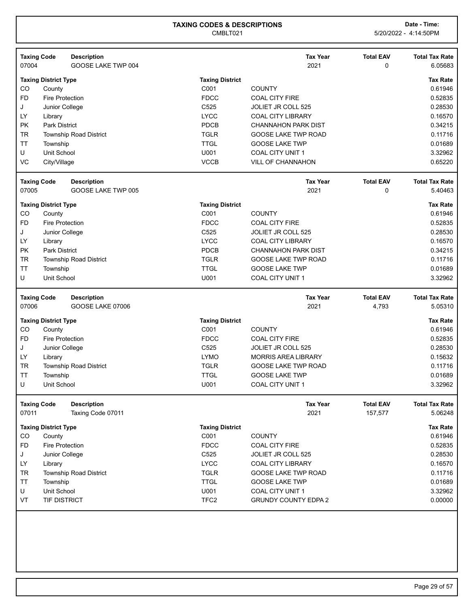| <b>Taxing Code</b> | <b>Description</b>                       |                        | <b>Tax Year</b>             | <b>Total EAV</b> | <b>Total Tax Rate</b> |
|--------------------|------------------------------------------|------------------------|-----------------------------|------------------|-----------------------|
| 07004              | GOOSE LAKE TWP 004                       |                        | 2021                        | 0                | 6.05683               |
|                    | <b>Taxing District Type</b>              | <b>Taxing District</b> |                             |                  | <b>Tax Rate</b>       |
| CO                 | County                                   | C001                   | <b>COUNTY</b>               |                  | 0.61946               |
| <b>FD</b>          | Fire Protection                          | <b>FDCC</b>            | <b>COAL CITY FIRE</b>       |                  | 0.52835               |
| J                  | Junior College                           | C525                   | <b>JOLIET JR COLL 525</b>   |                  | 0.28530               |
| LY                 | Library                                  | <b>LYCC</b>            | <b>COAL CITY LIBRARY</b>    |                  | 0.16570               |
| <b>PK</b>          | <b>Park District</b>                     | PDCB                   | <b>CHANNAHON PARK DIST</b>  |                  | 0.34215               |
| <b>TR</b>          | Township Road District                   | <b>TGLR</b>            | <b>GOOSE LAKE TWP ROAD</b>  |                  | 0.11716               |
| <b>TT</b>          | Township                                 | <b>TTGL</b>            | <b>GOOSE LAKE TWP</b>       |                  | 0.01689               |
| U                  | Unit School                              | U001                   | <b>COAL CITY UNIT 1</b>     |                  | 3.32962               |
| VC                 | City/Village                             | <b>VCCB</b>            | VILL OF CHANNAHON           |                  | 0.65220               |
|                    |                                          |                        |                             |                  |                       |
| <b>Taxing Code</b> | <b>Description</b>                       |                        | <b>Tax Year</b>             | <b>Total EAV</b> | <b>Total Tax Rate</b> |
| 07005              | GOOSE LAKE TWP 005                       |                        | 2021                        | 0                | 5.40463               |
|                    | <b>Taxing District Type</b>              | <b>Taxing District</b> |                             |                  | <b>Tax Rate</b>       |
| CO                 | County                                   | C001                   | <b>COUNTY</b>               |                  | 0.61946               |
| FD.                | <b>Fire Protection</b>                   | <b>FDCC</b>            | <b>COAL CITY FIRE</b>       |                  | 0.52835               |
| J                  | Junior College                           | C525                   | <b>JOLIET JR COLL 525</b>   |                  | 0.28530               |
| LY                 | Library                                  | <b>LYCC</b>            | <b>COAL CITY LIBRARY</b>    |                  | 0.16570               |
| PK                 | <b>Park District</b>                     | PDCB                   | <b>CHANNAHON PARK DIST</b>  |                  | 0.34215               |
| <b>TR</b>          | <b>Township Road District</b>            | <b>TGLR</b>            | <b>GOOSE LAKE TWP ROAD</b>  |                  | 0.11716               |
|                    |                                          |                        |                             |                  |                       |
| <b>TT</b>          | Township                                 | <b>TTGL</b>            | <b>GOOSE LAKE TWP</b>       |                  | 0.01689               |
| U                  | Unit School                              | U001                   | COAL CITY UNIT 1            |                  | 3.32962               |
|                    | <b>Taxing Code</b><br><b>Description</b> |                        | <b>Tax Year</b>             | <b>Total EAV</b> | <b>Total Tax Rate</b> |
| 07006              | GOOSE LAKE 07006                         |                        | 2021                        | 4,793            | 5.05310               |
|                    |                                          |                        |                             |                  |                       |
|                    | <b>Taxing District Type</b>              | <b>Taxing District</b> |                             |                  | <b>Tax Rate</b>       |
| CO                 | County                                   | C001                   | <b>COUNTY</b>               |                  | 0.61946               |
| <b>FD</b>          | <b>Fire Protection</b>                   | <b>FDCC</b>            | <b>COAL CITY FIRE</b>       |                  | 0.52835               |
| J                  | Junior College                           | C525                   | JOLIET JR COLL 525          |                  | 0.28530               |
| LY                 | Library                                  | <b>LYMO</b>            | <b>MORRIS AREA LIBRARY</b>  |                  | 0.15632               |
| <b>TR</b>          | Township Road District                   | <b>TGLR</b>            | <b>GOOSE LAKE TWP ROAD</b>  |                  | 0.11716               |
| <b>TT</b>          | Township                                 | <b>TTGL</b>            | <b>GOOSE LAKE TWP</b>       |                  | 0.01689               |
| U                  | Unit School                              | U001                   | COAL CITY UNIT 1            |                  | 3.32962               |
|                    | <b>Taxing Code</b><br><b>Description</b> |                        | <b>Tax Year</b>             | <b>Total EAV</b> | <b>Total Tax Rate</b> |
| 07011              | Taxing Code 07011                        |                        | 2021                        | 157,577          | 5.06248               |
|                    |                                          |                        |                             |                  |                       |
|                    | <b>Taxing District Type</b>              | <b>Taxing District</b> |                             |                  | <b>Tax Rate</b>       |
| CO                 | County                                   | C001                   | <b>COUNTY</b>               |                  | 0.61946               |
| FD                 | <b>Fire Protection</b>                   | <b>FDCC</b>            | <b>COAL CITY FIRE</b>       |                  | 0.52835               |
| J                  | Junior College                           | C525                   | JOLIET JR COLL 525          |                  | 0.28530               |
| LY                 | Library                                  | <b>LYCC</b>            | <b>COAL CITY LIBRARY</b>    |                  | 0.16570               |
| TR                 | Township Road District                   | <b>TGLR</b>            | <b>GOOSE LAKE TWP ROAD</b>  |                  | 0.11716               |
| TΤ                 | Township                                 | <b>TTGL</b>            | <b>GOOSE LAKE TWP</b>       |                  | 0.01689               |
| U                  | Unit School                              | U001                   | <b>COAL CITY UNIT 1</b>     |                  | 3.32962               |
| VT                 | TIF DISTRICT                             | TFC <sub>2</sub>       | <b>GRUNDY COUNTY EDPA 2</b> |                  | 0.00000               |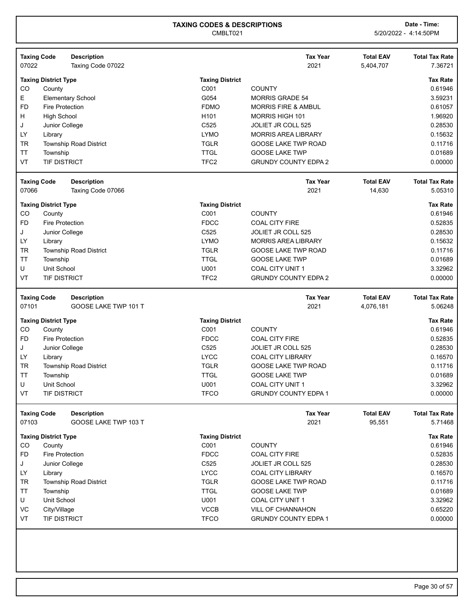|                                                  | <b>Taxing Code</b><br><b>Description</b> |                        | <b>Tax Year</b>                | <b>Total EAV</b> | <b>Total Tax Rate</b>                                          |
|--------------------------------------------------|------------------------------------------|------------------------|--------------------------------|------------------|----------------------------------------------------------------|
| 07022                                            | Taxing Code 07022                        |                        | 2021                           | 5,404,707        | 7.36721                                                        |
|                                                  | <b>Taxing District Type</b>              | <b>Taxing District</b> |                                |                  | <b>Tax Rate</b>                                                |
| CO                                               | County                                   | C001                   | <b>COUNTY</b>                  |                  | 0.61946                                                        |
| Е                                                | <b>Elementary School</b>                 | G054                   | <b>MORRIS GRADE 54</b>         |                  | 3.59231                                                        |
| <b>FD</b>                                        | <b>Fire Protection</b>                   | <b>FDMO</b>            | <b>MORRIS FIRE &amp; AMBUL</b> |                  | 0.61057                                                        |
| н                                                | <b>High School</b>                       | H <sub>101</sub>       | MORRIS HIGH 101                |                  | 1.96920                                                        |
| J                                                | Junior College                           | C525                   | JOLIET JR COLL 525             |                  | 0.28530                                                        |
| LY                                               | Library                                  | <b>LYMO</b>            | <b>MORRIS AREA LIBRARY</b>     |                  | 0.15632                                                        |
| <b>TR</b>                                        | Township Road District                   | <b>TGLR</b>            | <b>GOOSE LAKE TWP ROAD</b>     |                  | 0.11716                                                        |
| <b>TT</b>                                        | Township                                 | <b>TTGL</b>            | <b>GOOSE LAKE TWP</b>          |                  | 0.01689                                                        |
| VT                                               | TIF DISTRICT                             | TFC <sub>2</sub>       | <b>GRUNDY COUNTY EDPA 2</b>    |                  | 0.00000                                                        |
|                                                  | <b>Taxing Code</b><br><b>Description</b> |                        | <b>Tax Year</b>                | <b>Total EAV</b> | <b>Total Tax Rate</b>                                          |
| 07066                                            | Taxing Code 07066                        |                        | 2021                           | 14,630           | 5.05310                                                        |
|                                                  | <b>Taxing District Type</b>              | <b>Taxing District</b> |                                |                  | <b>Tax Rate</b>                                                |
| CO                                               | County                                   | C001                   | <b>COUNTY</b>                  |                  | 0.61946                                                        |
| FD                                               | <b>Fire Protection</b>                   | <b>FDCC</b>            | <b>COAL CITY FIRE</b>          |                  | 0.52835                                                        |
| J                                                | Junior College                           | C525                   | <b>JOLIET JR COLL 525</b>      |                  | 0.28530                                                        |
| LY                                               | Library                                  | <b>LYMO</b>            | <b>MORRIS AREA LIBRARY</b>     |                  | 0.15632                                                        |
| <b>TR</b>                                        | Township Road District                   | <b>TGLR</b>            | <b>GOOSE LAKE TWP ROAD</b>     |                  | 0.11716                                                        |
| $\ensuremath{\mathsf{T}}\ensuremath{\mathsf{T}}$ | Township                                 | <b>TTGL</b>            | <b>GOOSE LAKE TWP</b>          |                  | 0.01689                                                        |
| U                                                | Unit School                              | U001                   | COAL CITY UNIT 1               |                  | 3.32962                                                        |
| VT                                               | TIF DISTRICT                             | TFC <sub>2</sub>       | <b>GRUNDY COUNTY EDPA 2</b>    |                  | 0.00000                                                        |
|                                                  |                                          |                        |                                |                  |                                                                |
|                                                  | <b>Taxing Code</b><br><b>Description</b> |                        | <b>Tax Year</b>                | <b>Total EAV</b> |                                                                |
| 07101                                            | GOOSE LAKE TWP 101 T                     |                        | 2021                           | 4,076,181        |                                                                |
|                                                  | <b>Taxing District Type</b>              | <b>Taxing District</b> |                                |                  | <b>Tax Rate</b>                                                |
| CO                                               | County                                   | C001                   | <b>COUNTY</b>                  |                  | 0.61946                                                        |
| <b>FD</b>                                        | <b>Fire Protection</b>                   | <b>FDCC</b>            | <b>COAL CITY FIRE</b>          |                  | 0.52835                                                        |
| J                                                | Junior College                           | C525                   | <b>JOLIET JR COLL 525</b>      |                  | 0.28530                                                        |
| LY                                               | Library                                  | <b>LYCC</b>            | <b>COAL CITY LIBRARY</b>       |                  | 0.16570                                                        |
| <b>TR</b>                                        | Township Road District                   | <b>TGLR</b>            | <b>GOOSE LAKE TWP ROAD</b>     |                  | 0.11716                                                        |
| <b>TT</b>                                        | Township                                 | <b>TTGL</b>            | <b>GOOSE LAKE TWP</b>          |                  | 0.01689                                                        |
| U                                                | Unit School                              | U001                   | <b>COAL CITY UNIT 1</b>        |                  | 3.32962                                                        |
| VT                                               | TIF DISTRICT                             | <b>TFCO</b>            | <b>GRUNDY COUNTY EDPA 1</b>    |                  | <b>Total Tax Rate</b><br>5.06248<br>0.00000                    |
|                                                  | <b>Taxing Code</b><br><b>Description</b> |                        | <b>Tax Year</b>                | <b>Total EAV</b> | <b>Total Tax Rate</b>                                          |
| 07103                                            | GOOSE LAKE TWP 103 T                     |                        | 2021                           | 95,551           | 5.71468                                                        |
|                                                  | <b>Taxing District Type</b>              | <b>Taxing District</b> |                                |                  | <b>Tax Rate</b>                                                |
| CO                                               | County                                   | C001                   | <b>COUNTY</b>                  |                  |                                                                |
| FD                                               | <b>Fire Protection</b>                   | <b>FDCC</b>            | <b>COAL CITY FIRE</b>          |                  |                                                                |
| J                                                | Junior College                           | C525                   | JOLIET JR COLL 525             |                  |                                                                |
| LY                                               | Library                                  | <b>LYCC</b>            | <b>COAL CITY LIBRARY</b>       |                  |                                                                |
| <b>TR</b>                                        | <b>Township Road District</b>            | <b>TGLR</b>            | GOOSE LAKE TWP ROAD            |                  |                                                                |
| <b>TT</b>                                        | Township                                 | <b>TTGL</b>            | <b>GOOSE LAKE TWP</b>          |                  | 0.61946<br>0.52835<br>0.28530<br>0.16570<br>0.11716<br>0.01689 |
| U                                                | Unit School                              | U001                   | COAL CITY UNIT 1               |                  | 3.32962                                                        |
| VC                                               | City/Village                             | <b>VCCB</b>            | VILL OF CHANNAHON              |                  | 0.65220                                                        |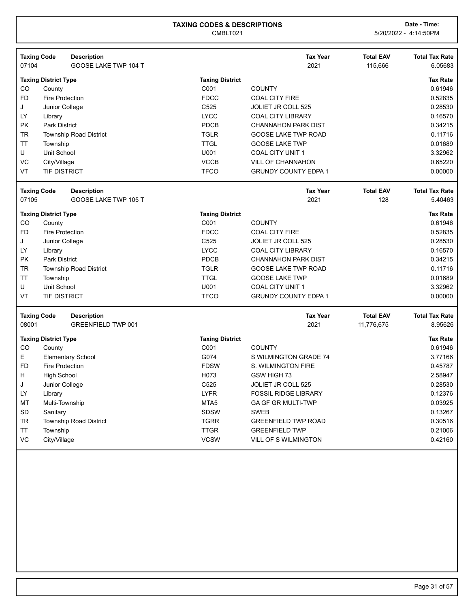| <b>Taxing Code</b> |                             | <b>Description</b>            |                        | <b>Tax Year</b>             | <b>Total EAV</b> | <b>Total Tax Rate</b> |
|--------------------|-----------------------------|-------------------------------|------------------------|-----------------------------|------------------|-----------------------|
| 07104              |                             | GOOSE LAKE TWP 104 T          |                        | 2021                        | 115,666          | 6.05683               |
|                    | <b>Taxing District Type</b> |                               | <b>Taxing District</b> |                             |                  | <b>Tax Rate</b>       |
| CO                 | County                      |                               | C001                   | <b>COUNTY</b>               |                  | 0.61946               |
| <b>FD</b>          | <b>Fire Protection</b>      |                               | <b>FDCC</b>            | <b>COAL CITY FIRE</b>       |                  | 0.52835               |
| J                  | Junior College              |                               | C525                   | JOLIET JR COLL 525          |                  | 0.28530               |
| LY                 | Library                     |                               | <b>LYCC</b>            | <b>COAL CITY LIBRARY</b>    |                  | 0.16570               |
| <b>PK</b>          | <b>Park District</b>        |                               | PDCB                   | <b>CHANNAHON PARK DIST</b>  |                  | 0.34215               |
| <b>TR</b>          |                             | <b>Township Road District</b> | <b>TGLR</b>            | GOOSE LAKE TWP ROAD         |                  | 0.11716               |
| <b>TT</b>          | Township                    |                               | <b>TTGL</b>            | <b>GOOSE LAKE TWP</b>       |                  | 0.01689               |
| U                  | Unit School                 |                               | U001                   | COAL CITY UNIT 1            |                  | 3.32962               |
| VC                 | City/Village                |                               | <b>VCCB</b>            | <b>VILL OF CHANNAHON</b>    |                  | 0.65220               |
| VT                 | <b>TIF DISTRICT</b>         |                               | <b>TFCO</b>            | <b>GRUNDY COUNTY EDPA 1</b> |                  | 0.00000               |
| <b>Taxing Code</b> |                             | <b>Description</b>            |                        | <b>Tax Year</b>             | <b>Total EAV</b> | <b>Total Tax Rate</b> |
| 07105              |                             | GOOSE LAKE TWP 105 T          |                        | 2021                        | 128              | 5.40463               |
|                    |                             |                               |                        |                             |                  |                       |
|                    | <b>Taxing District Type</b> |                               | <b>Taxing District</b> |                             |                  | <b>Tax Rate</b>       |
| CO                 | County                      |                               | C001                   | <b>COUNTY</b>               |                  | 0.61946               |
| <b>FD</b>          | <b>Fire Protection</b>      |                               | <b>FDCC</b>            | <b>COAL CITY FIRE</b>       |                  | 0.52835               |
| J                  | Junior College              |                               | C525                   | <b>JOLIET JR COLL 525</b>   |                  | 0.28530               |
| LY                 | Library                     |                               | <b>LYCC</b>            | <b>COAL CITY LIBRARY</b>    |                  | 0.16570               |
| <b>PK</b>          | <b>Park District</b>        |                               | PDCB                   | <b>CHANNAHON PARK DIST</b>  |                  | 0.34215               |
| <b>TR</b>          |                             | <b>Township Road District</b> | <b>TGLR</b>            | <b>GOOSE LAKE TWP ROAD</b>  |                  | 0.11716               |
| <b>TT</b>          | Township                    |                               | <b>TTGL</b>            | <b>GOOSE LAKE TWP</b>       |                  | 0.01689               |
| U                  | Unit School                 |                               | U001                   | COAL CITY UNIT 1            |                  | 3.32962               |
| VT                 | <b>TIF DISTRICT</b>         |                               | <b>TFCO</b>            | <b>GRUNDY COUNTY EDPA 1</b> |                  | 0.00000               |
| <b>Taxing Code</b> |                             | <b>Description</b>            |                        | <b>Tax Year</b>             | <b>Total EAV</b> | <b>Total Tax Rate</b> |
| 08001              |                             | <b>GREENFIELD TWP 001</b>     |                        | 2021                        | 11,776,675       | 8.95626               |
|                    | <b>Taxing District Type</b> |                               | <b>Taxing District</b> |                             |                  | <b>Tax Rate</b>       |
| CO                 | County                      |                               | C001                   | <b>COUNTY</b>               |                  | 0.61946               |
| E.                 |                             | <b>Elementary School</b>      | G074                   | S WILMINGTON GRADE 74       |                  | 3.77166               |
| <b>FD</b>          | <b>Fire Protection</b>      |                               | <b>FDSW</b>            | S. WILMINGTON FIRE          |                  | 0.45787               |
| н                  | <b>High School</b>          |                               | H073                   | GSW HIGH 73                 |                  | 2.58947               |
| J                  | Junior College              |                               | C525                   | <b>JOLIET JR COLL 525</b>   |                  | 0.28530               |
| LY                 | Library                     |                               | <b>LYFR</b>            | <b>FOSSIL RIDGE LIBRARY</b> |                  | 0.12376               |
| MT                 | Multi-Township              |                               | MTA <sub>5</sub>       | GA GF GR MULTI-TWP          |                  | 0.03925               |
| SD                 | Sanitary                    |                               | <b>SDSW</b>            | <b>SWEB</b>                 |                  | 0.13267               |
| TR                 |                             | <b>Township Road District</b> | <b>TGRR</b>            | <b>GREENFIELD TWP ROAD</b>  |                  | 0.30516               |
| <b>TT</b>          | Township                    |                               | <b>TTGR</b>            | <b>GREENFIELD TWP</b>       |                  | 0.21006               |
| VC                 | City/Village                |                               | <b>VCSW</b>            | VILL OF S WILMINGTON        |                  | 0.42160               |
|                    |                             |                               |                        |                             |                  |                       |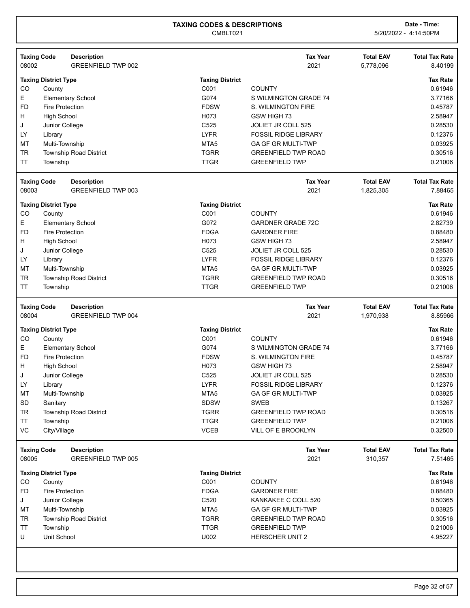| 08002     | <b>Taxing Code</b><br><b>Description</b><br><b>GREENFIELD TWP 002</b> |                        | <b>Tax Year</b><br>2021                         | <b>Total EAV</b><br>5,778,096 | <b>Total Tax Rate</b><br>8.40199 |
|-----------|-----------------------------------------------------------------------|------------------------|-------------------------------------------------|-------------------------------|----------------------------------|
|           | <b>Taxing District Type</b>                                           | <b>Taxing District</b> |                                                 |                               | <b>Tax Rate</b>                  |
| CO        | County                                                                | C001                   | <b>COUNTY</b>                                   |                               | 0.61946                          |
| Е         | <b>Elementary School</b>                                              | G074                   | S WILMINGTON GRADE 74                           |                               | 3.77166                          |
| <b>FD</b> | <b>Fire Protection</b>                                                | <b>FDSW</b>            | S. WILMINGTON FIRE                              |                               | 0.45787                          |
| H         | <b>High School</b>                                                    | H073                   | GSW HIGH 73                                     |                               | 2.58947                          |
| J         | Junior College                                                        | C525                   | JOLIET JR COLL 525                              |                               | 0.28530                          |
| LY        | Library                                                               | <b>LYFR</b>            | <b>FOSSIL RIDGE LIBRARY</b>                     |                               | 0.12376                          |
| MT        | Multi-Township                                                        | MTA <sub>5</sub>       | <b>GA GF GR MULTI-TWP</b>                       |                               | 0.03925                          |
| TR        | <b>Township Road District</b>                                         | <b>TGRR</b>            | <b>GREENFIELD TWP ROAD</b>                      |                               | 0.30516                          |
| <b>TT</b> | Township                                                              | <b>TTGR</b>            | <b>GREENFIELD TWP</b>                           |                               | 0.21006                          |
|           | <b>Taxing Code</b><br><b>Description</b>                              |                        | <b>Tax Year</b>                                 | <b>Total EAV</b>              | <b>Total Tax Rate</b>            |
| 08003     | <b>GREENFIELD TWP 003</b>                                             |                        | 2021                                            | 1,825,305                     | 7.88465                          |
|           | <b>Taxing District Type</b>                                           | <b>Taxing District</b> |                                                 |                               | <b>Tax Rate</b>                  |
| CO        | County                                                                | C001                   | <b>COUNTY</b>                                   |                               | 0.61946                          |
| Е         | <b>Elementary School</b>                                              | G072                   | <b>GARDNER GRADE 72C</b>                        |                               | 2.82739                          |
| <b>FD</b> | <b>Fire Protection</b>                                                | <b>FDGA</b>            | <b>GARDNER FIRE</b>                             |                               | 0.88480                          |
| H         | <b>High School</b>                                                    | H073                   | GSW HIGH 73                                     |                               | 2.58947                          |
| J         | Junior College                                                        | C525                   | JOLIET JR COLL 525                              |                               | 0.28530                          |
| LY        | Library                                                               | <b>LYFR</b>            | <b>FOSSIL RIDGE LIBRARY</b>                     |                               | 0.12376                          |
| MT        | Multi-Township                                                        | MTA <sub>5</sub>       | <b>GA GF GR MULTI-TWP</b>                       |                               | 0.03925                          |
| TR        | Township Road District                                                | <b>TGRR</b>            | <b>GREENFIELD TWP ROAD</b>                      |                               | 0.30516                          |
| <b>TT</b> | Township                                                              | <b>TTGR</b>            | <b>GREENFIELD TWP</b>                           |                               | 0.21006                          |
|           | <b>Taxing Code</b><br><b>Description</b>                              |                        | <b>Tax Year</b>                                 | <b>Total EAV</b>              | <b>Total Tax Rate</b>            |
| 08004     | <b>GREENFIELD TWP 004</b>                                             |                        | 2021                                            | 1,970,938                     | 8.85966                          |
|           | <b>Taxing District Type</b>                                           | <b>Taxing District</b> |                                                 |                               | <b>Tax Rate</b>                  |
| CO        | County                                                                | C001                   | <b>COUNTY</b>                                   |                               | 0.61946                          |
| Е         | <b>Elementary School</b>                                              | G074                   | S WILMINGTON GRADE 74                           |                               | 3.77166                          |
| <b>FD</b> | <b>Fire Protection</b>                                                | <b>FDSW</b>            | S. WILMINGTON FIRE                              |                               | 0.45787                          |
| H         | <b>High School</b>                                                    | H073                   | GSW HIGH 73                                     |                               | 2.58947                          |
| J         | Junior College                                                        | C525                   | JOLIET JR COLL 525                              |                               | 0.28530                          |
| LY        | Library                                                               | <b>LYFR</b>            | <b>FOSSIL RIDGE LIBRARY</b>                     |                               | 0.12376                          |
| MT        | Multi-Township                                                        | MTA <sub>5</sub>       | <b>GA GF GR MULTI-TWP</b>                       |                               | 0.03925                          |
| SD        | Sanitary                                                              | <b>SDSW</b>            | <b>SWEB</b>                                     |                               | 0.13267                          |
| TR        | <b>Township Road District</b>                                         | <b>TGRR</b>            | <b>GREENFIELD TWP ROAD</b>                      |                               | 0.30516                          |
| TT        | Township                                                              | <b>TTGR</b>            | <b>GREENFIELD TWP</b>                           |                               | 0.21006                          |
| VC        | City/Village                                                          | <b>VCEB</b>            | VILL OF E BROOKLYN                              |                               | 0.32500                          |
|           | <b>Taxing Code</b><br><b>Description</b>                              |                        | <b>Tax Year</b>                                 | <b>Total EAV</b>              | <b>Total Tax Rate</b>            |
| 08005     | GREENFIELD TWP 005                                                    |                        | 2021                                            | 310,357                       | 7.51465                          |
|           | <b>Taxing District Type</b>                                           | <b>Taxing District</b> |                                                 |                               | <b>Tax Rate</b>                  |
| CO        | County                                                                | C001                   | <b>COUNTY</b>                                   |                               | 0.61946                          |
| <b>FD</b> | <b>Fire Protection</b>                                                | <b>FDGA</b>            | <b>GARDNER FIRE</b>                             |                               | 0.88480                          |
| J         | Junior College                                                        | C520                   | KANKAKEE C COLL 520                             |                               | 0.50365                          |
| MT        | Multi-Township                                                        | MTA <sub>5</sub>       | <b>GA GF GR MULTI-TWP</b>                       |                               | 0.03925                          |
|           |                                                                       | <b>TGRR</b>            | <b>GREENFIELD TWP ROAD</b>                      |                               | 0.30516                          |
| TR        | <b>Township Road District</b>                                         |                        |                                                 |                               |                                  |
| TT<br>U   | Township<br>Unit School                                               | <b>TTGR</b><br>U002    | <b>GREENFIELD TWP</b><br><b>HERSCHER UNIT 2</b> |                               | 0.21006<br>4.95227               |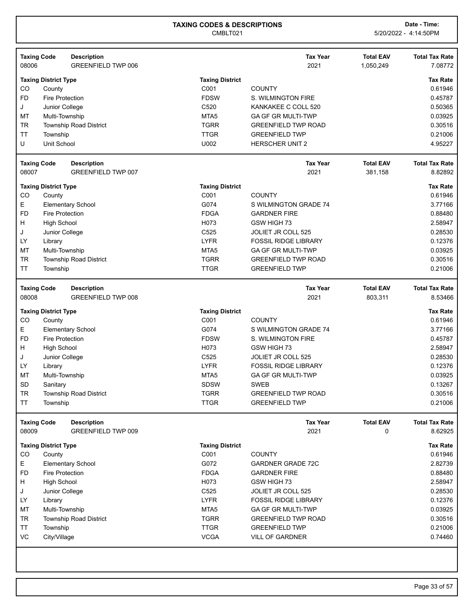| <b>Taxing Code</b><br>08006 |                             | <b>Description</b><br><b>GREENFIELD TWP 006</b> |                        | <b>Tax Year</b><br>2021     | <b>Total EAV</b><br>1,050,249 | <b>Total Tax Rate</b><br>7.08772 |
|-----------------------------|-----------------------------|-------------------------------------------------|------------------------|-----------------------------|-------------------------------|----------------------------------|
|                             | <b>Taxing District Type</b> |                                                 | <b>Taxing District</b> |                             |                               | <b>Tax Rate</b>                  |
| CO                          | County                      |                                                 | C001                   | <b>COUNTY</b>               |                               | 0.61946                          |
| <b>FD</b>                   | <b>Fire Protection</b>      |                                                 | <b>FDSW</b>            | S. WILMINGTON FIRE          |                               | 0.45787                          |
| J                           | Junior College              |                                                 | C520                   | KANKAKEE C COLL 520         |                               | 0.50365                          |
| MT                          | Multi-Township              |                                                 | MTA <sub>5</sub>       | <b>GA GF GR MULTI-TWP</b>   |                               | 0.03925                          |
| TR                          |                             | <b>Township Road District</b>                   | <b>TGRR</b>            | <b>GREENFIELD TWP ROAD</b>  |                               | 0.30516                          |
| <b>TT</b>                   | Township                    |                                                 | <b>TTGR</b>            | <b>GREENFIELD TWP</b>       |                               | 0.21006                          |
| U                           | <b>Unit School</b>          |                                                 | U002                   | <b>HERSCHER UNIT 2</b>      |                               | 4.95227                          |
| <b>Taxing Code</b>          |                             | <b>Description</b>                              |                        | <b>Tax Year</b>             | <b>Total EAV</b>              | <b>Total Tax Rate</b>            |
| 08007                       |                             | <b>GREENFIELD TWP 007</b>                       |                        | 2021                        | 381,158                       | 8.82892                          |
|                             | <b>Taxing District Type</b> |                                                 | <b>Taxing District</b> |                             |                               | <b>Tax Rate</b>                  |
| CO                          | County                      |                                                 | C001                   | <b>COUNTY</b>               |                               | 0.61946                          |
| Е.                          |                             | <b>Elementary School</b>                        | G074                   | S WILMINGTON GRADE 74       |                               | 3.77166                          |
| <b>FD</b>                   | <b>Fire Protection</b>      |                                                 | <b>FDGA</b>            | <b>GARDNER FIRE</b>         |                               | 0.88480                          |
| H                           | <b>High School</b>          |                                                 | H073                   | GSW HIGH 73                 |                               | 2.58947                          |
| J                           | Junior College              |                                                 | C525                   | JOLIET JR COLL 525          |                               | 0.28530                          |
| LY                          | Library                     |                                                 | <b>LYFR</b>            | <b>FOSSIL RIDGE LIBRARY</b> |                               | 0.12376                          |
| MT                          | Multi-Township              |                                                 | MTA <sub>5</sub>       | <b>GA GF GR MULTI-TWP</b>   |                               | 0.03925                          |
| <b>TR</b>                   |                             | <b>Township Road District</b>                   | <b>TGRR</b>            | <b>GREENFIELD TWP ROAD</b>  |                               | 0.30516                          |
| TT                          | Township                    |                                                 | <b>TTGR</b>            | <b>GREENFIELD TWP</b>       |                               | 0.21006                          |
| <b>Taxing Code</b>          |                             | <b>Description</b>                              |                        | <b>Tax Year</b>             | <b>Total EAV</b>              | <b>Total Tax Rate</b>            |
| 08008                       |                             | <b>GREENFIELD TWP 008</b>                       |                        | 2021                        | 803,311                       | 8.53466                          |
|                             | <b>Taxing District Type</b> |                                                 | <b>Taxing District</b> |                             |                               | <b>Tax Rate</b>                  |
| CO                          | County                      |                                                 | C001                   | <b>COUNTY</b>               |                               | 0.61946                          |
| E.                          |                             | <b>Elementary School</b>                        | G074                   | S WILMINGTON GRADE 74       |                               | 3.77166                          |
| <b>FD</b>                   | <b>Fire Protection</b>      |                                                 | <b>FDSW</b>            | S. WILMINGTON FIRE          |                               | 0.45787                          |
| H.                          | <b>High School</b>          |                                                 | H073                   | GSW HIGH 73                 |                               | 2.58947                          |
| J                           | Junior College              |                                                 | C525                   | JOLIET JR COLL 525          |                               | 0.28530                          |
| LY                          | Library                     |                                                 | <b>LYFR</b>            | <b>FOSSIL RIDGE LIBRARY</b> |                               | 0.12376                          |
| MT                          | Multi-Township              |                                                 | MTA <sub>5</sub>       | GA GF GR MULTI-TWP          |                               | 0.03925                          |
| <b>SD</b>                   | Sanitary                    |                                                 | <b>SDSW</b>            | <b>SWEB</b>                 |                               | 0.13267                          |
| TR                          |                             | <b>Township Road District</b>                   | <b>TGRR</b>            | <b>GREENFIELD TWP ROAD</b>  |                               | 0.30516                          |
| TT                          | Township                    |                                                 | <b>TTGR</b>            | <b>GREENFIELD TWP</b>       |                               | 0.21006                          |
| <b>Taxing Code</b>          |                             | <b>Description</b>                              |                        | <b>Tax Year</b>             | <b>Total EAV</b>              | <b>Total Tax Rate</b>            |
| 08009                       |                             | <b>GREENFIELD TWP 009</b>                       |                        | 2021                        | 0                             | 8.62925                          |
|                             | <b>Taxing District Type</b> |                                                 | <b>Taxing District</b> |                             |                               | <b>Tax Rate</b>                  |
| CO                          | County                      |                                                 | C001                   | <b>COUNTY</b>               |                               | 0.61946                          |
| E                           |                             | <b>Elementary School</b>                        | G072                   | <b>GARDNER GRADE 72C</b>    |                               | 2.82739                          |
| <b>FD</b>                   | <b>Fire Protection</b>      |                                                 | <b>FDGA</b>            | <b>GARDNER FIRE</b>         |                               | 0.88480                          |
| H                           | <b>High School</b>          |                                                 | H073                   | GSW HIGH 73                 |                               | 2.58947                          |
| J                           | Junior College              |                                                 | C525                   | JOLIET JR COLL 525          |                               | 0.28530                          |
| LY.                         | Library                     |                                                 | <b>LYFR</b>            | <b>FOSSIL RIDGE LIBRARY</b> |                               | 0.12376                          |
| MT                          | Multi-Township              |                                                 | MTA <sub>5</sub>       | <b>GA GF GR MULTI-TWP</b>   |                               | 0.03925                          |
| <b>TR</b>                   |                             | Township Road District                          | <b>TGRR</b>            | <b>GREENFIELD TWP ROAD</b>  |                               | 0.30516                          |
| <b>TT</b>                   | Township                    |                                                 | <b>TTGR</b>            | <b>GREENFIELD TWP</b>       |                               | 0.21006                          |
| VC                          | City/Village                |                                                 | <b>VCGA</b>            | VILL OF GARDNER             |                               | 0.74460                          |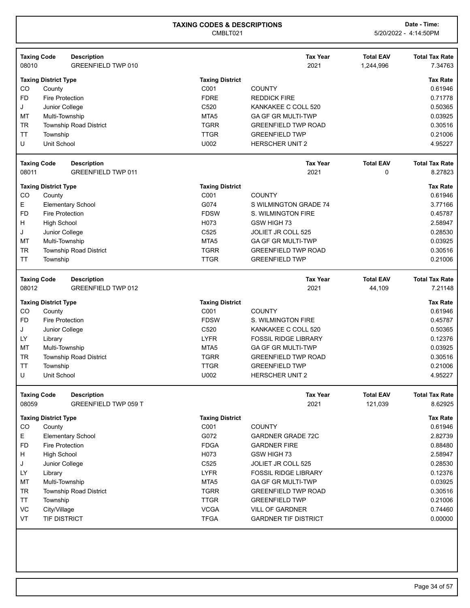| <b>Taxing Code</b> |                             | <b>Description</b>            |                        | <b>Tax Year</b>             | <b>Total EAV</b> | <b>Total Tax Rate</b> |
|--------------------|-----------------------------|-------------------------------|------------------------|-----------------------------|------------------|-----------------------|
| 08010              |                             | <b>GREENFIELD TWP 010</b>     |                        | 2021                        | 1,244,996        | 7.34763               |
|                    | <b>Taxing District Type</b> |                               | <b>Taxing District</b> |                             |                  | <b>Tax Rate</b>       |
| CO                 | County                      |                               | C001                   | <b>COUNTY</b>               |                  | 0.61946               |
| <b>FD</b>          | <b>Fire Protection</b>      |                               | <b>FDRE</b>            | <b>REDDICK FIRE</b>         |                  | 0.71778               |
| J                  | Junior College              |                               | C <sub>520</sub>       | KANKAKEE C COLL 520         |                  | 0.50365               |
| MT                 | Multi-Township              |                               | MTA <sub>5</sub>       | <b>GA GF GR MULTI-TWP</b>   |                  | 0.03925               |
| <b>TR</b>          |                             | Township Road District        | <b>TGRR</b>            | <b>GREENFIELD TWP ROAD</b>  |                  | 0.30516               |
| <b>TT</b>          | Township                    |                               | <b>TTGR</b>            | <b>GREENFIELD TWP</b>       |                  | 0.21006               |
| U                  | <b>Unit School</b>          |                               | U002                   | <b>HERSCHER UNIT 2</b>      |                  | 4.95227               |
| <b>Taxing Code</b> |                             | <b>Description</b>            |                        | <b>Tax Year</b>             | <b>Total EAV</b> | <b>Total Tax Rate</b> |
| 08011              |                             | <b>GREENFIELD TWP 011</b>     |                        | 2021                        | 0                | 8.27823               |
|                    | <b>Taxing District Type</b> |                               | <b>Taxing District</b> |                             |                  | <b>Tax Rate</b>       |
| CO                 | County                      |                               | C001                   | <b>COUNTY</b>               |                  | 0.61946               |
| E.                 |                             | <b>Elementary School</b>      | G074                   | S WILMINGTON GRADE 74       |                  | 3.77166               |
| <b>FD</b>          | <b>Fire Protection</b>      |                               | <b>FDSW</b>            | S. WILMINGTON FIRE          |                  | 0.45787               |
| H                  | <b>High School</b>          |                               | H073                   | GSW HIGH 73                 |                  | 2.58947               |
| J                  | Junior College              |                               | C <sub>525</sub>       | JOLIET JR COLL 525          |                  | 0.28530               |
| MT                 | Multi-Township              |                               | MTA <sub>5</sub>       | <b>GA GF GR MULTI-TWP</b>   |                  | 0.03925               |
| <b>TR</b>          |                             | <b>Township Road District</b> | <b>TGRR</b>            | <b>GREENFIELD TWP ROAD</b>  |                  | 0.30516               |
| <b>TT</b>          | Township                    |                               | <b>TTGR</b>            | <b>GREENFIELD TWP</b>       |                  | 0.21006               |
| <b>Taxing Code</b> |                             | <b>Description</b>            |                        | <b>Tax Year</b>             | <b>Total EAV</b> | <b>Total Tax Rate</b> |
| 08012              |                             | <b>GREENFIELD TWP 012</b>     |                        | 2021                        | 44,109           | 7.21148               |
|                    | <b>Taxing District Type</b> |                               | <b>Taxing District</b> |                             |                  | <b>Tax Rate</b>       |
| CO                 | County                      |                               | C001                   | <b>COUNTY</b>               |                  | 0.61946               |
| <b>FD</b>          | <b>Fire Protection</b>      |                               | <b>FDSW</b>            | S. WILMINGTON FIRE          |                  | 0.45787               |
| J                  | Junior College              |                               | C520                   | KANKAKEE C COLL 520         |                  | 0.50365               |
| LY                 | Library                     |                               | <b>LYFR</b>            | <b>FOSSIL RIDGE LIBRARY</b> |                  | 0.12376               |
| MT                 | Multi-Township              |                               | MTA <sub>5</sub>       | <b>GA GF GR MULTI-TWP</b>   |                  | 0.03925               |
| <b>TR</b>          |                             | Township Road District        | <b>TGRR</b>            | <b>GREENFIELD TWP ROAD</b>  |                  | 0.30516               |
| <b>TT</b>          | Township                    |                               | <b>TTGR</b>            | <b>GREENFIELD TWP</b>       |                  | 0.21006               |
| U                  | Unit School                 |                               | U002                   | HERSCHER UNIT 2             |                  | 4.95227               |
| <b>Taxing Code</b> |                             | <b>Description</b>            |                        | <b>Tax Year</b>             | <b>Total EAV</b> | <b>Total Tax Rate</b> |
| 08059              |                             | GREENFIELD TWP 059 T          |                        | 2021                        | 121,039          | 8.62925               |
|                    | <b>Taxing District Type</b> |                               | <b>Taxing District</b> |                             |                  | <b>Tax Rate</b>       |
| CO                 | County                      |                               | C001                   | <b>COUNTY</b>               |                  | 0.61946               |
| E                  |                             | <b>Elementary School</b>      | G072                   | <b>GARDNER GRADE 72C</b>    |                  | 2.82739               |
| <b>FD</b>          | <b>Fire Protection</b>      |                               | <b>FDGA</b>            | <b>GARDNER FIRE</b>         |                  | 0.88480               |
| Н                  | <b>High School</b>          |                               | H073                   | GSW HIGH 73                 |                  | 2.58947               |
| J                  | Junior College              |                               | C525                   | JOLIET JR COLL 525          |                  | 0.28530               |
| LY.                | Library                     |                               | <b>LYFR</b>            | <b>FOSSIL RIDGE LIBRARY</b> |                  | 0.12376               |
| MT                 | Multi-Township              |                               | MTA <sub>5</sub>       | <b>GA GF GR MULTI-TWP</b>   |                  | 0.03925               |
| <b>TR</b>          |                             | <b>Township Road District</b> | <b>TGRR</b>            | <b>GREENFIELD TWP ROAD</b>  |                  | 0.30516               |
| <b>TT</b>          | Township                    |                               | <b>TTGR</b>            | <b>GREENFIELD TWP</b>       |                  | 0.21006               |
| VC                 | City/Village                |                               | <b>VCGA</b>            | <b>VILL OF GARDNER</b>      |                  | 0.74460               |
| VT                 | TIF DISTRICT                |                               | <b>TFGA</b>            | <b>GARDNER TIF DISTRICT</b> |                  | 0.00000               |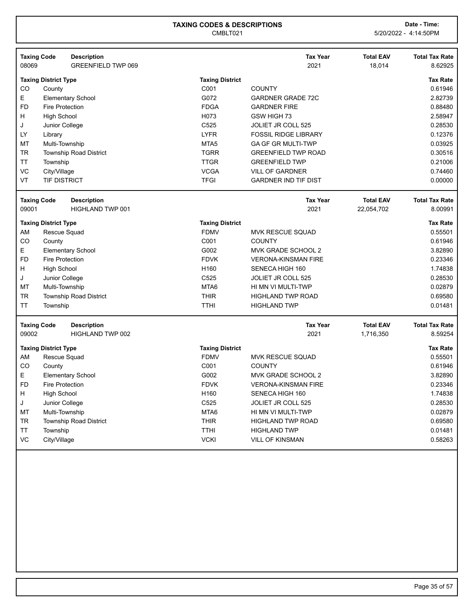CMBLT021 5/20/2022 - 4:14:50PM

| 08069     | <b>Taxing Code</b><br><b>Description</b><br><b>GREENFIELD TWP 069</b> |                        | <b>Tax Year</b><br>2021     | <b>Total EAV</b><br>18,014 | <b>Total Tax Rate</b><br>8.62925 |
|-----------|-----------------------------------------------------------------------|------------------------|-----------------------------|----------------------------|----------------------------------|
|           | <b>Taxing District Type</b>                                           | <b>Taxing District</b> |                             |                            | <b>Tax Rate</b>                  |
| CO        | County                                                                | C001                   | <b>COUNTY</b>               |                            | 0.61946                          |
| E         | <b>Elementary School</b>                                              | G072                   | <b>GARDNER GRADE 72C</b>    |                            | 2.82739                          |
| <b>FD</b> | <b>Fire Protection</b>                                                | <b>FDGA</b>            | <b>GARDNER FIRE</b>         |                            | 0.88480                          |
| Н         | <b>High School</b>                                                    | H073                   | GSW HIGH 73                 |                            | 2.58947                          |
| J         | Junior College                                                        | C525                   | JOLIET JR COLL 525          |                            | 0.28530                          |
| LY        | Library                                                               | <b>LYFR</b>            | <b>FOSSIL RIDGE LIBRARY</b> |                            | 0.12376                          |
| MT        | Multi-Township                                                        | MTA <sub>5</sub>       | <b>GA GF GR MULTI-TWP</b>   |                            | 0.03925                          |
| <b>TR</b> | <b>Township Road District</b>                                         | <b>TGRR</b>            | <b>GREENFIELD TWP ROAD</b>  |                            | 0.30516                          |
| <b>TT</b> | Township                                                              | <b>TTGR</b>            | <b>GREENFIELD TWP</b>       |                            | 0.21006                          |
| VC        | City/Village                                                          | <b>VCGA</b>            | <b>VILL OF GARDNER</b>      |                            | 0.74460                          |
| VT        | <b>TIF DISTRICT</b>                                                   | <b>TFGI</b>            | <b>GARDNER IND TIF DIST</b> |                            | 0.00000                          |
|           | <b>Taxing Code</b><br><b>Description</b>                              |                        | <b>Tax Year</b>             | <b>Total EAV</b>           | <b>Total Tax Rate</b>            |
| 09001     | HIGHLAND TWP 001                                                      |                        | 2021                        | 22,054,702                 | 8.00991                          |
|           | <b>Taxing District Type</b>                                           | <b>Taxing District</b> |                             |                            | <b>Tax Rate</b>                  |
| AM        | Rescue Squad                                                          | <b>FDMV</b>            | MVK RESCUE SQUAD            |                            | 0.55501                          |
| CO        | County                                                                | C001                   | <b>COUNTY</b>               |                            | 0.61946                          |
| E         | <b>Elementary School</b>                                              | G002                   | MVK GRADE SCHOOL 2          |                            | 3.82890                          |
| <b>FD</b> | <b>Fire Protection</b>                                                | <b>FDVK</b>            | <b>VERONA-KINSMAN FIRE</b>  |                            | 0.23346                          |
| Н         | <b>High School</b>                                                    | H160                   | SENECA HIGH 160             |                            | 1.74838                          |
| J         | Junior College                                                        | C525                   | JOLIET JR COLL 525          |                            | 0.28530                          |
| MT        | Multi-Township                                                        | MTA6                   | HI MN VI MULTI-TWP          |                            | 0.02879                          |
| <b>TR</b> | <b>Township Road District</b>                                         | <b>THIR</b>            | <b>HIGHLAND TWP ROAD</b>    |                            | 0.69580                          |
| <b>TT</b> | Township                                                              | <b>TTHI</b>            | <b>HIGHLAND TWP</b>         |                            | 0.01481                          |
|           | <b>Taxing Code</b><br><b>Description</b>                              |                        | <b>Tax Year</b>             | <b>Total EAV</b>           | <b>Total Tax Rate</b>            |
| 09002     | HIGHLAND TWP 002                                                      |                        | 2021                        | 1,716,350                  | 8.59254                          |
|           | <b>Taxing District Type</b>                                           | <b>Taxing District</b> |                             |                            | <b>Tax Rate</b>                  |
| AM        | Rescue Squad                                                          | <b>FDMV</b>            | <b>MVK RESCUE SQUAD</b>     |                            | 0.55501                          |
| CO        | County                                                                | C001                   | <b>COUNTY</b>               |                            | 0.61946                          |

E Elementary School **Elementary School Elementary School** 3.82890 FD Fire Protection **FIRM FIRE** FOVK VERONA-KINSMAN FIRE **FIRM** 1.23346 H High School Number 2012 1.74838 (Number 2013) High School SENECA HIGH 160 J Junior College C525 JOLIET JR COLL 525 0.28530 MT Multi-Township 2002879 TR Township Road District This Contact THIR THIGHLAND TWP ROAD TRUSH THIS CONSIDERED AT A LOSS AND TRUSH TRUSH TRUSH ON THIR TT Township TTHI HIGHLAND TWP 0.01481 VC City/Village City/Village City/Village City/Village City VILL OF KINSMAN VILL OF KINSMAN COMPUTER VILL OF KINSMAN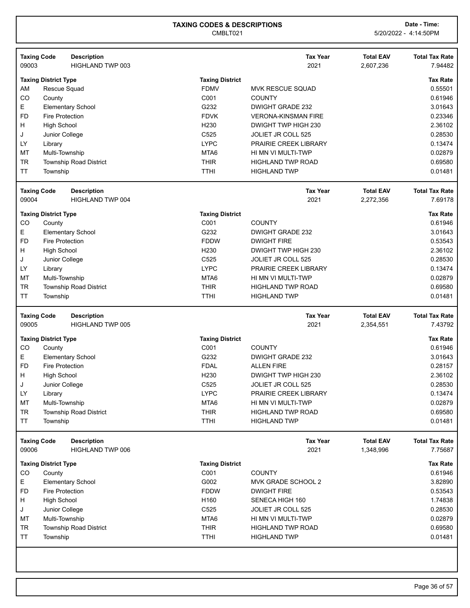| <b>Taxing Code</b><br>09003                                                                                                                                                                                               | <b>Description</b><br>HIGHLAND TWP 003                    |                                                                                                                                        | <b>Tax Year</b><br>2021                                                                                                                                                                                       | <b>Total EAV</b><br>2,607,236 | <b>Total Tax Rate</b><br>7.94482                                                                                   |
|---------------------------------------------------------------------------------------------------------------------------------------------------------------------------------------------------------------------------|-----------------------------------------------------------|----------------------------------------------------------------------------------------------------------------------------------------|---------------------------------------------------------------------------------------------------------------------------------------------------------------------------------------------------------------|-------------------------------|--------------------------------------------------------------------------------------------------------------------|
| <b>Taxing District Type</b><br>AM<br>Rescue Squad<br>CO<br>County<br>E<br><b>FD</b><br><b>Fire Protection</b><br><b>High School</b><br>н<br>J<br>Junior College<br>LY<br>Library                                          | <b>Elementary School</b>                                  | <b>Taxing District</b><br><b>FDMV</b><br>C001<br>G232<br><b>FDVK</b><br>H <sub>230</sub><br>C525<br><b>LYPC</b>                        | <b>MVK RESCUE SQUAD</b><br><b>COUNTY</b><br>DWIGHT GRADE 232<br><b>VERONA-KINSMAN FIRE</b><br>DWIGHT TWP HIGH 230<br>JOLIET JR COLL 525<br>PRAIRIE CREEK LIBRARY                                              |                               | <b>Tax Rate</b><br>0.55501<br>0.61946<br>3.01643<br>0.23346<br>2.36102<br>0.28530<br>0.13474                       |
| MT<br>Multi-Township<br><b>TR</b><br><b>TT</b><br>Township                                                                                                                                                                | <b>Township Road District</b>                             | MTA6<br><b>THIR</b><br><b>TTHI</b>                                                                                                     | HI MN VI MULTI-TWP<br><b>HIGHLAND TWP ROAD</b><br><b>HIGHLAND TWP</b>                                                                                                                                         |                               | 0.02879<br>0.69580<br>0.01481                                                                                      |
| <b>Taxing Code</b><br>09004                                                                                                                                                                                               | <b>Description</b><br>HIGHLAND TWP 004                    |                                                                                                                                        | <b>Tax Year</b><br>2021                                                                                                                                                                                       | <b>Total EAV</b><br>2,272,356 | <b>Total Tax Rate</b><br>7.69178                                                                                   |
| <b>Taxing District Type</b><br>CO<br>County<br>E.<br><b>FD</b><br><b>Fire Protection</b><br>н<br><b>High School</b><br>J<br>Junior College<br>LY<br>Library<br>MT<br>Multi-Township<br><b>TR</b><br><b>TT</b><br>Township | <b>Elementary School</b><br><b>Township Road District</b> | <b>Taxing District</b><br>C001<br>G232<br><b>FDDW</b><br>H <sub>230</sub><br>C525<br><b>LYPC</b><br>MTA6<br><b>THIR</b><br><b>TTHI</b> | <b>COUNTY</b><br>DWIGHT GRADE 232<br><b>DWIGHT FIRE</b><br>DWIGHT TWP HIGH 230<br>JOLIET JR COLL 525<br><b>PRAIRIE CREEK LIBRARY</b><br>HI MN VI MULTI-TWP<br><b>HIGHLAND TWP ROAD</b><br><b>HIGHLAND TWP</b> |                               | <b>Tax Rate</b><br>0.61946<br>3.01643<br>0.53543<br>2.36102<br>0.28530<br>0.13474<br>0.02879<br>0.69580<br>0.01481 |
|                                                                                                                                                                                                                           |                                                           |                                                                                                                                        |                                                                                                                                                                                                               |                               |                                                                                                                    |
| <b>Taxing Code</b><br>09005                                                                                                                                                                                               | <b>Description</b><br><b>HIGHLAND TWP 005</b>             |                                                                                                                                        | <b>Tax Year</b><br>2021                                                                                                                                                                                       | <b>Total EAV</b><br>2,354,551 | <b>Total Tax Rate</b><br>7.43792                                                                                   |
| <b>Taxing District Type</b><br>CO<br>County<br>E.<br><b>FD</b><br><b>Fire Protection</b><br>н<br><b>High School</b><br>Junior College<br>J<br>LY<br>Library<br>MT<br>Multi-Township<br>TR<br>TT<br>Township               | <b>Elementary School</b><br>Township Road District        | <b>Taxing District</b><br>C001<br>G232<br><b>FDAL</b><br>H <sub>230</sub><br>C525<br><b>LYPC</b><br>MTA6<br><b>THIR</b><br><b>TTHI</b> | <b>COUNTY</b><br>DWIGHT GRADE 232<br><b>ALLEN FIRE</b><br>DWIGHT TWP HIGH 230<br>JOLIET JR COLL 525<br>PRAIRIE CREEK LIBRARY<br>HI MN VI MULTI-TWP<br><b>HIGHLAND TWP ROAD</b><br><b>HIGHLAND TWP</b>         |                               | <b>Tax Rate</b><br>0.61946<br>3.01643<br>0.28157<br>2.36102<br>0.28530<br>0.13474<br>0.02879<br>0.69580<br>0.01481 |
| <b>Taxing Code</b><br>09006                                                                                                                                                                                               | <b>Description</b><br>HIGHLAND TWP 006                    |                                                                                                                                        | <b>Tax Year</b><br>2021                                                                                                                                                                                       | <b>Total EAV</b><br>1,348,996 | <b>Total Tax Rate</b><br>7.75687                                                                                   |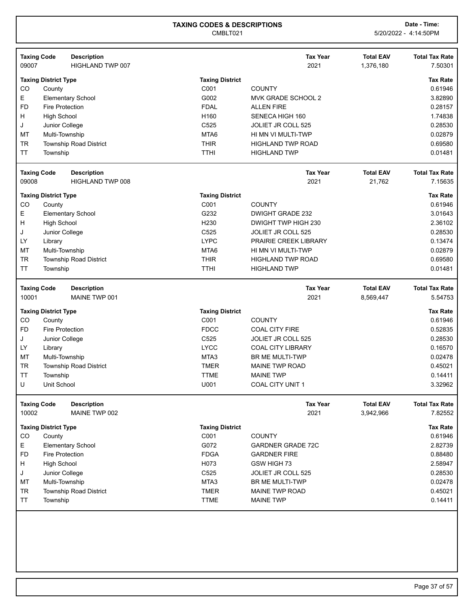| <b>Taxing Code</b><br><b>Description</b>                           |                                | <b>Tax Year</b>                           | <b>Total EAV</b> | <b>Total Tax Rate</b> |
|--------------------------------------------------------------------|--------------------------------|-------------------------------------------|------------------|-----------------------|
| 09007<br>HIGHLAND TWP 007                                          |                                | 2021                                      | 1,376,180        | 7.50301               |
| <b>Taxing District Type</b>                                        | <b>Taxing District</b>         |                                           |                  | <b>Tax Rate</b>       |
| CO<br>County                                                       | C001                           | <b>COUNTY</b>                             |                  | 0.61946               |
| E<br><b>Elementary School</b>                                      | G002                           | MVK GRADE SCHOOL 2                        |                  | 3.82890               |
| <b>FD</b><br><b>Fire Protection</b>                                | <b>FDAL</b>                    | <b>ALLEN FIRE</b>                         |                  | 0.28157               |
| H<br><b>High School</b>                                            | H <sub>160</sub>               | SENECA HIGH 160                           |                  | 1.74838               |
| J<br>Junior College                                                | C525                           | JOLIET JR COLL 525                        |                  | 0.28530               |
| MT<br>Multi-Township                                               | MTA6                           | HI MN VI MULTI-TWP                        |                  | 0.02879               |
| <b>TR</b><br><b>Township Road District</b>                         | <b>THIR</b>                    | <b>HIGHLAND TWP ROAD</b>                  |                  | 0.69580               |
| <b>TT</b><br>Township                                              | <b>TTHI</b>                    | <b>HIGHLAND TWP</b>                       |                  | 0.01481               |
|                                                                    |                                |                                           |                  |                       |
| <b>Taxing Code</b><br><b>Description</b>                           |                                | <b>Tax Year</b>                           | <b>Total EAV</b> | <b>Total Tax Rate</b> |
| 09008<br>HIGHLAND TWP 008                                          |                                | 2021                                      | 21,762           | 7.15635               |
| <b>Taxing District Type</b>                                        | <b>Taxing District</b>         |                                           |                  | <b>Tax Rate</b>       |
| CO<br>County                                                       | C001                           | <b>COUNTY</b>                             |                  | 0.61946               |
| Е<br><b>Elementary School</b>                                      | G232                           | <b>DWIGHT GRADE 232</b>                   |                  | 3.01643               |
| н<br><b>High School</b>                                            | H <sub>230</sub>               | DWIGHT TWP HIGH 230                       |                  | 2.36102               |
| J<br>Junior College                                                | C525                           | JOLIET JR COLL 525                        |                  | 0.28530               |
| LY<br>Library                                                      | <b>LYPC</b>                    | <b>PRAIRIE CREEK LIBRARY</b>              |                  | 0.13474               |
| MT<br>Multi-Township                                               | MTA6                           | HI MN VI MULTI-TWP                        |                  | 0.02879               |
| TR<br>Township Road District                                       | <b>THIR</b>                    | <b>HIGHLAND TWP ROAD</b>                  |                  | 0.69580               |
| TT<br>Township                                                     | <b>TTHI</b>                    | <b>HIGHLAND TWP</b>                       |                  | 0.01481               |
|                                                                    |                                |                                           |                  |                       |
|                                                                    |                                |                                           |                  |                       |
|                                                                    |                                | <b>Tax Year</b>                           | <b>Total EAV</b> | <b>Total Tax Rate</b> |
| <b>Taxing Code</b><br><b>Description</b><br>10001<br>MAINE TWP 001 |                                | 2021                                      | 8,569,447        | 5.54753               |
|                                                                    |                                |                                           |                  |                       |
| <b>Taxing District Type</b>                                        | <b>Taxing District</b>         |                                           |                  | <b>Tax Rate</b>       |
| CO<br>County                                                       | C001                           | <b>COUNTY</b>                             |                  | 0.61946               |
| <b>FD</b><br><b>Fire Protection</b>                                | <b>FDCC</b>                    | <b>COAL CITY FIRE</b>                     |                  | 0.52835               |
| J<br>Junior College                                                | C525                           | JOLIET JR COLL 525                        |                  | 0.28530               |
| LY<br>Library                                                      | <b>LYCC</b>                    | <b>COAL CITY LIBRARY</b>                  |                  | 0.16570               |
| MT<br>Multi-Township                                               | MTA3                           | <b>BR ME MULTI-TWP</b>                    |                  | 0.02478               |
| <b>TR</b><br><b>Township Road District</b>                         | <b>TMER</b>                    | <b>MAINE TWP ROAD</b>                     |                  | 0.45021               |
| <b>TT</b><br>Township                                              | <b>TTME</b>                    | <b>MAINE TWP</b>                          |                  | 0.14411               |
| U<br>Unit School                                                   | U001                           | <b>COAL CITY UNIT 1</b>                   |                  | 3.32962               |
| <b>Taxing Code</b><br><b>Description</b>                           |                                | <b>Tax Year</b>                           | <b>Total EAV</b> | <b>Total Tax Rate</b> |
| 10002<br>MAINE TWP 002                                             |                                | 2021                                      | 3,942,966        | 7.82552               |
|                                                                    |                                |                                           |                  | <b>Tax Rate</b>       |
| <b>Taxing District Type</b>                                        | <b>Taxing District</b><br>C001 | <b>COUNTY</b>                             |                  | 0.61946               |
| CO<br>County                                                       |                                | <b>GARDNER GRADE 72C</b>                  |                  |                       |
| E.<br><b>Elementary School</b>                                     | G072                           |                                           |                  | 2.82739               |
| <b>FD</b><br><b>Fire Protection</b>                                | <b>FDGA</b>                    | <b>GARDNER FIRE</b>                       |                  | 0.88480               |
| H<br><b>High School</b>                                            | H073                           | GSW HIGH 73                               |                  | 2.58947               |
| J<br>Junior College                                                | C525                           | JOLIET JR COLL 525                        |                  | 0.28530               |
| MT<br>Multi-Township                                               | MTA3                           | BR ME MULTI-TWP                           |                  | 0.02478               |
| <b>TR</b><br>Township Road District<br><b>TT</b><br>Township       | <b>TMER</b><br><b>TTME</b>     | <b>MAINE TWP ROAD</b><br><b>MAINE TWP</b> |                  | 0.45021<br>0.14411    |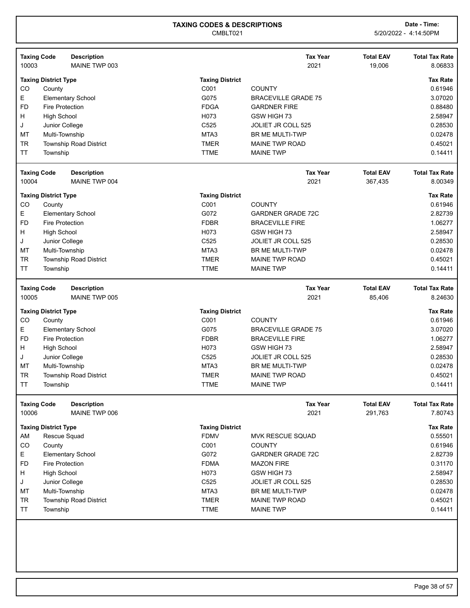| 10003     | <b>Taxing Code</b><br><b>Description</b><br>MAINE TWP 003 |                            | <b>Tax Year</b><br>2021                   | <b>Total EAV</b><br>19,006  | <b>Total Tax Rate</b><br>8.06833 |
|-----------|-----------------------------------------------------------|----------------------------|-------------------------------------------|-----------------------------|----------------------------------|
|           |                                                           |                            |                                           |                             |                                  |
|           | <b>Taxing District Type</b>                               | <b>Taxing District</b>     |                                           |                             | <b>Tax Rate</b>                  |
| CO        | County                                                    | C001                       | <b>COUNTY</b>                             |                             | 0.61946                          |
| Е         | <b>Elementary School</b>                                  | G075                       | <b>BRACEVILLE GRADE 75</b>                |                             | 3.07020                          |
| <b>FD</b> | <b>Fire Protection</b>                                    | <b>FDGA</b>                | <b>GARDNER FIRE</b>                       |                             | 0.88480                          |
| H         | <b>High School</b>                                        | H073                       | GSW HIGH 73                               |                             | 2.58947                          |
| J         | Junior College                                            | C525                       | <b>JOLIET JR COLL 525</b>                 |                             | 0.28530                          |
| MT        | Multi-Township                                            | MTA3                       | <b>BR ME MULTI-TWP</b>                    |                             | 0.02478                          |
| <b>TR</b> | <b>Township Road District</b>                             | <b>TMER</b>                | <b>MAINE TWP ROAD</b>                     |                             | 0.45021                          |
| <b>TT</b> | Township                                                  | <b>TTME</b>                | <b>MAINE TWP</b>                          |                             | 0.14411                          |
|           | <b>Taxing Code</b><br><b>Description</b>                  |                            | <b>Tax Year</b>                           | <b>Total EAV</b>            | <b>Total Tax Rate</b>            |
| 10004     | MAINE TWP 004                                             |                            | 2021                                      | 367,435                     | 8.00349                          |
|           | <b>Taxing District Type</b>                               | <b>Taxing District</b>     |                                           |                             | <b>Tax Rate</b>                  |
| CO        | County                                                    | C001                       | <b>COUNTY</b>                             |                             | 0.61946                          |
| Е         | <b>Elementary School</b>                                  | G072                       | <b>GARDNER GRADE 72C</b>                  |                             | 2.82739                          |
| <b>FD</b> | <b>Fire Protection</b>                                    | <b>FDBR</b>                | <b>BRACEVILLE FIRE</b>                    |                             | 1.06277                          |
| н         | <b>High School</b>                                        | H073                       | GSW HIGH 73                               |                             | 2.58947                          |
| J         | Junior College                                            | C525                       | JOLIET JR COLL 525                        |                             | 0.28530                          |
| MT        | Multi-Township                                            | MTA3                       | <b>BR ME MULTI-TWP</b>                    |                             | 0.02478                          |
| TR        | <b>Township Road District</b>                             | <b>TMER</b>                | <b>MAINE TWP ROAD</b>                     |                             | 0.45021                          |
| <b>TT</b> | Township                                                  | <b>TTME</b>                | <b>MAINE TWP</b>                          |                             | 0.14411                          |
|           |                                                           |                            |                                           |                             |                                  |
|           | <b>Taxing Code</b><br><b>Description</b>                  |                            | <b>Tax Year</b>                           | <b>Total EAV</b>            | <b>Total Tax Rate</b>            |
| 10005     | MAINE TWP 005                                             |                            | 2021                                      | 85,406                      | 8.24630                          |
|           | <b>Taxing District Type</b>                               | <b>Taxing District</b>     |                                           |                             | <b>Tax Rate</b>                  |
| CO        | County                                                    | C001                       | <b>COUNTY</b>                             |                             | 0.61946                          |
| Е         | <b>Elementary School</b>                                  | G075                       | <b>BRACEVILLE GRADE 75</b>                |                             | 3.07020                          |
| <b>FD</b> | <b>Fire Protection</b>                                    | <b>FDBR</b>                | <b>BRACEVILLE FIRE</b>                    |                             | 1.06277                          |
| н         | <b>High School</b>                                        | H073                       | GSW HIGH 73                               |                             | 2.58947                          |
| J         | Junior College                                            |                            |                                           |                             |                                  |
|           |                                                           | C525                       | JOLIET JR COLL 525                        |                             | 0.28530                          |
| MT        | Multi-Township                                            | MTA3                       | BR ME MULTI-TWP                           |                             | 0.02478                          |
| <b>TR</b> | <b>Township Road District</b>                             | <b>TMER</b>                | <b>MAINE TWP ROAD</b>                     |                             | 0.45021                          |
| <b>TT</b> | Township                                                  | <b>TTME</b>                | <b>MAINE TWP</b>                          |                             | 0.14411                          |
|           |                                                           |                            |                                           |                             |                                  |
| 10006     | <b>Taxing Code</b><br><b>Description</b><br>MAINE TWP 006 |                            | <b>Tax Year</b><br>2021                   | <b>Total EAV</b><br>291,763 | <b>Total Tax Rate</b><br>7.80743 |
|           |                                                           |                            |                                           |                             |                                  |
|           | <b>Taxing District Type</b>                               | <b>Taxing District</b>     |                                           |                             | <b>Tax Rate</b>                  |
| AM        | Rescue Squad                                              | <b>FDMV</b>                | <b>MVK RESCUE SQUAD</b>                   |                             | 0.55501                          |
| CO        | County                                                    | C001                       | <b>COUNTY</b>                             |                             | 0.61946                          |
| Е         | <b>Elementary School</b>                                  | G072                       | <b>GARDNER GRADE 72C</b>                  |                             | 2.82739                          |
| <b>FD</b> | <b>Fire Protection</b>                                    | <b>FDMA</b>                | <b>MAZON FIRE</b>                         |                             | 0.31170                          |
| H         | <b>High School</b>                                        | H073                       | GSW HIGH 73                               |                             | 2.58947                          |
| J         | Junior College                                            | C525                       | <b>JOLIET JR COLL 525</b>                 |                             | 0.28530                          |
| MT        | Multi-Township                                            | MTA3                       | <b>BR ME MULTI-TWP</b>                    |                             | 0.02478                          |
| TR<br>TT  | <b>Township Road District</b><br>Township                 | <b>TMER</b><br><b>TTME</b> | <b>MAINE TWP ROAD</b><br><b>MAINE TWP</b> |                             | 0.45021<br>0.14411               |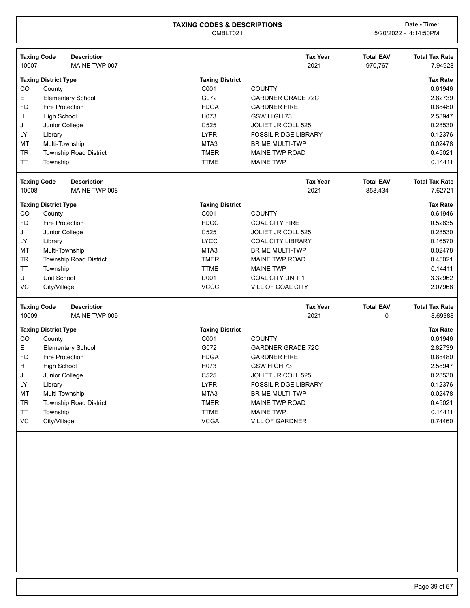|           | <b>Taxing Code</b>          | <b>Description</b>            |                        | <b>Tax Year</b>             | <b>Total EAV</b> | <b>Total Tax Rate</b> |
|-----------|-----------------------------|-------------------------------|------------------------|-----------------------------|------------------|-----------------------|
| 10007     |                             | MAINE TWP 007                 |                        | 2021                        | 970,767          | 7.94928               |
|           | <b>Taxing District Type</b> |                               | <b>Taxing District</b> |                             |                  | <b>Tax Rate</b>       |
| CO        | County                      |                               | C001                   | <b>COUNTY</b>               |                  | 0.61946               |
| E         |                             | <b>Elementary School</b>      | G072                   | <b>GARDNER GRADE 72C</b>    |                  | 2.82739               |
| <b>FD</b> | <b>Fire Protection</b>      |                               | <b>FDGA</b>            | <b>GARDNER FIRE</b>         |                  | 0.88480               |
| Н         | <b>High School</b>          |                               | H073                   | GSW HIGH 73                 |                  | 2.58947               |
| J         | Junior College              |                               | C525                   | <b>JOLIET JR COLL 525</b>   |                  | 0.28530               |
| LY        | Library                     |                               | <b>LYFR</b>            | <b>FOSSIL RIDGE LIBRARY</b> |                  | 0.12376               |
| MT        | Multi-Township              |                               | MTA3                   | <b>BR ME MULTI-TWP</b>      |                  | 0.02478               |
| <b>TR</b> |                             | <b>Township Road District</b> | <b>TMER</b>            | <b>MAINE TWP ROAD</b>       |                  | 0.45021               |
| <b>TT</b> | Township                    |                               | <b>TTME</b>            | <b>MAINE TWP</b>            |                  | 0.14411               |
|           | <b>Taxing Code</b>          | <b>Description</b>            |                        | <b>Tax Year</b>             | <b>Total EAV</b> | <b>Total Tax Rate</b> |
| 10008     |                             | MAINE TWP 008                 |                        | 2021                        | 858,434          | 7.62721               |
|           | <b>Taxing District Type</b> |                               | <b>Taxing District</b> |                             |                  | <b>Tax Rate</b>       |
| CO        | County                      |                               | C001                   | <b>COUNTY</b>               |                  | 0.61946               |
| <b>FD</b> | <b>Fire Protection</b>      |                               | <b>FDCC</b>            | <b>COAL CITY FIRE</b>       |                  | 0.52835               |
| J         | Junior College              |                               | C525                   | <b>JOLIET JR COLL 525</b>   |                  | 0.28530               |
| LY        | Library                     |                               | <b>LYCC</b>            | <b>COAL CITY LIBRARY</b>    |                  | 0.16570               |
| MT        | Multi-Township              |                               | MTA3                   | BR ME MULTI-TWP             |                  | 0.02478               |
| <b>TR</b> |                             | <b>Township Road District</b> | <b>TMER</b>            | <b>MAINE TWP ROAD</b>       |                  | 0.45021               |
| TT        | Township                    |                               | <b>TTME</b>            | <b>MAINE TWP</b>            |                  | 0.14411               |
| U         | Unit School                 |                               | U001                   | COAL CITY UNIT 1            |                  | 3.32962               |
| VC        | City/Village                |                               | <b>VCCC</b>            | VILL OF COAL CITY           |                  | 2.07968               |
|           | <b>Taxing Code</b>          | <b>Description</b>            |                        | <b>Tax Year</b>             | <b>Total EAV</b> | <b>Total Tax Rate</b> |
| 10009     |                             | MAINE TWP 009                 |                        | 2021                        | 0                | 8.69388               |
|           | <b>Taxing District Type</b> |                               | <b>Taxing District</b> |                             |                  | <b>Tax Rate</b>       |
| <b>CO</b> | County                      |                               | C001                   | <b>COUNTY</b>               |                  | 0.61946               |
| E         |                             | <b>Elementary School</b>      | G072                   | <b>GARDNER GRADE 72C</b>    |                  | 2.82739               |
| <b>FD</b> | <b>Fire Protection</b>      |                               | <b>FDGA</b>            | <b>GARDNER FIRE</b>         |                  | 0.88480               |
| H         | <b>High School</b>          |                               | H073                   | GSW HIGH 73                 |                  | 2.58947               |
| J         | Junior College              |                               | C525                   | JOLIET JR COLL 525          |                  | 0.28530               |
| LY        | Library                     |                               | <b>LYFR</b>            | <b>FOSSIL RIDGE LIBRARY</b> |                  | 0.12376               |
| MT        | Multi-Township              |                               | MTA3                   | <b>BR ME MULTI-TWP</b>      |                  | 0.02478               |
| <b>TR</b> |                             | <b>Township Road District</b> | <b>TMER</b>            | <b>MAINE TWP ROAD</b>       |                  | 0.45021               |
| <b>TT</b> | Township                    |                               | <b>TTME</b>            | <b>MAINE TWP</b>            |                  | 0.14411               |
| VC        | City/Village                |                               | <b>VCGA</b>            | <b>VILL OF GARDNER</b>      |                  | 0.74460               |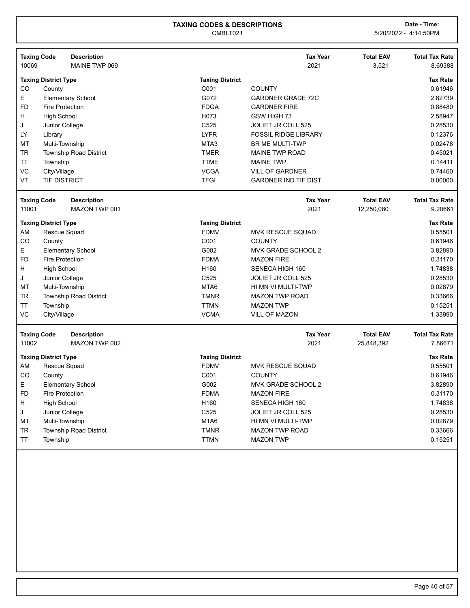|           | <b>Taxing Code</b>          | <b>Description</b>            |                        | <b>Tax Year</b>             | <b>Total EAV</b> | <b>Total Tax Rate</b> |
|-----------|-----------------------------|-------------------------------|------------------------|-----------------------------|------------------|-----------------------|
| 10069     |                             | MAINE TWP 069                 |                        | 2021                        | 3,521            | 8.69388               |
|           | <b>Taxing District Type</b> |                               | <b>Taxing District</b> |                             |                  | Tax Rate              |
| CO.       | County                      |                               | C001                   | <b>COUNTY</b>               |                  | 0.61946               |
| E.        |                             | <b>Elementary School</b>      | G072                   | <b>GARDNER GRADE 72C</b>    |                  | 2.82739               |
| FD.       | Fire Protection             |                               | <b>FDGA</b>            | <b>GARDNER FIRE</b>         |                  | 0.88480               |
| H.        | <b>High School</b>          |                               | H073                   | GSW HIGH 73                 |                  | 2.58947               |
| J         | Junior College              |                               | C <sub>525</sub>       | JOLIET JR COLL 525          |                  | 0.28530               |
| LY        | Library                     |                               | <b>LYFR</b>            | <b>FOSSIL RIDGE LIBRARY</b> |                  | 0.12376               |
| <b>MT</b> | Multi-Township              |                               | MTA3                   | <b>BR ME MULTI-TWP</b>      |                  | 0.02478               |
| TR        |                             | <b>Township Road District</b> | TMER                   | MAINE TWP ROAD              |                  | 0.45021               |
| <b>TT</b> | Township                    |                               | <b>TTME</b>            | <b>MAINE TWP</b>            |                  | 0.14411               |
| VC        | City/Village                |                               | <b>VCGA</b>            | <b>VILL OF GARDNER</b>      |                  | 0.74460               |
| VT        | <b>TIF DISTRICT</b>         |                               | <b>TFGI</b>            | <b>GARDNER IND TIF DIST</b> |                  | 0.00000               |

| <b>Taxing Code</b><br>11001 |                        | <b>Description</b><br>MAZON TWP 001 |                  | <b>Tax Year</b><br>2021 | <b>Total EAV</b><br>12,250,080 | <b>Total Tax Rate</b><br>9.20661 |
|-----------------------------|------------------------|-------------------------------------|------------------|-------------------------|--------------------------------|----------------------------------|
| <b>Taxing District Type</b> |                        | <b>Taxing District</b>              |                  |                         | <b>Tax Rate</b>                |                                  |
| AM                          | Rescue Squad           |                                     | <b>FDMV</b>      | <b>MVK RESCUE SQUAD</b> |                                | 0.55501                          |
| CO.                         | County                 |                                     | C001             | <b>COUNTY</b>           |                                | 0.61946                          |
| E.                          |                        | <b>Elementary School</b>            | G002             | MVK GRADE SCHOOL 2      |                                | 3.82890                          |
| FD.                         | <b>Fire Protection</b> |                                     | <b>FDMA</b>      | <b>MAZON FIRE</b>       |                                | 0.31170                          |
| H                           | <b>High School</b>     |                                     | H <sub>160</sub> | SENECA HIGH 160         |                                | 1.74838                          |
| J                           | Junior College         |                                     | C <sub>525</sub> | JOLIET JR COLL 525      |                                | 0.28530                          |
| МT                          | Multi-Township         |                                     | MTA6             | HI MN VI MULTI-TWP      |                                | 0.02879                          |
| TR                          |                        | <b>Township Road District</b>       | <b>TMNR</b>      | <b>MAZON TWP ROAD</b>   |                                | 0.33666                          |
| TT                          | Township               |                                     | <b>TTMN</b>      | <b>MAZON TWP</b>        |                                | 0.15251                          |
| VC                          | City/Village           |                                     | <b>VCMA</b>      | <b>VILL OF MAZON</b>    |                                | 1.33990                          |
|                             |                        |                                     |                  |                         |                                |                                  |

| MAZON TWP 002<br>11002<br>2021<br>25,848,392<br><b>Taxing District</b><br><b>Taxing District Type</b><br>AM<br>Rescue Squad<br><b>FDMV</b><br><b>MVK RESCUE SQUAD</b><br>CO<br>C <sub>001</sub><br><b>COUNTY</b><br>County | <b>Total Tax Rate</b> |
|----------------------------------------------------------------------------------------------------------------------------------------------------------------------------------------------------------------------------|-----------------------|
|                                                                                                                                                                                                                            | 7.86671               |
|                                                                                                                                                                                                                            | <b>Tax Rate</b>       |
|                                                                                                                                                                                                                            | 0.55501               |
|                                                                                                                                                                                                                            | 0.61946               |
| E<br>MVK GRADE SCHOOL 2<br>G002<br><b>Elementary School</b>                                                                                                                                                                | 3.82890               |
| FD.<br><b>FDMA</b><br>Fire Protection<br><b>MAZON FIRE</b>                                                                                                                                                                 | 0.31170               |
| H<br>H <sub>160</sub><br>High School<br>SENECA HIGH 160                                                                                                                                                                    | 1.74838               |
| Junior College<br>C <sub>525</sub><br>JOLIET JR COLL 525<br>J                                                                                                                                                              | 0.28530               |
| MT<br>MTA6<br>Multi-Township<br>HI MN VI MULTI-TWP                                                                                                                                                                         | 0.02879               |
| <b>TR</b><br><b>Township Road District</b><br><b>TMNR</b><br><b>MAZON TWP ROAD</b>                                                                                                                                         | 0.33666               |
| <b>TT</b><br><b>TTMN</b><br><b>MAZON TWP</b><br>Township                                                                                                                                                                   | 0.15251               |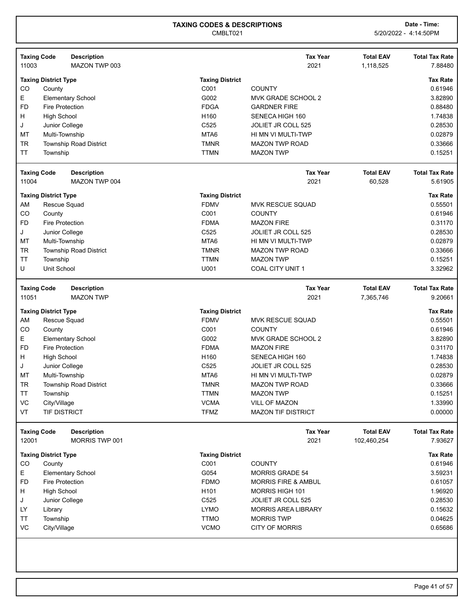|                    | <b>Taxing Code</b>          | <b>Description</b>            |                        | <b>Tax Year</b>                | <b>Total EAV</b> | <b>Total Tax Rate</b> |
|--------------------|-----------------------------|-------------------------------|------------------------|--------------------------------|------------------|-----------------------|
| 11003              |                             | MAZON TWP 003                 |                        | 2021                           | 1,118,525        | 7.88480               |
|                    | <b>Taxing District Type</b> |                               | <b>Taxing District</b> |                                |                  | <b>Tax Rate</b>       |
| CO                 | County                      |                               | C001                   | <b>COUNTY</b>                  |                  | 0.61946               |
| E                  |                             | <b>Elementary School</b>      | G002                   | MVK GRADE SCHOOL 2             |                  | 3.82890               |
| <b>FD</b>          | Fire Protection             |                               | <b>FDGA</b>            | <b>GARDNER FIRE</b>            |                  | 0.88480               |
| н                  | <b>High School</b>          |                               | H160                   | SENECA HIGH 160                |                  | 1.74838               |
| J                  | Junior College              |                               | C525                   | JOLIET JR COLL 525             |                  | 0.28530               |
| МT                 | Multi-Township              |                               | MTA6                   | HI MN VI MULTI-TWP             |                  | 0.02879               |
| <b>TR</b>          |                             | <b>Township Road District</b> | <b>TMNR</b>            | <b>MAZON TWP ROAD</b>          |                  | 0.33666               |
| <b>TT</b>          | Township                    |                               | <b>TTMN</b>            | <b>MAZON TWP</b>               |                  | 0.15251               |
| <b>Taxing Code</b> |                             | <b>Description</b>            |                        | <b>Tax Year</b>                | <b>Total EAV</b> | <b>Total Tax Rate</b> |
| 11004              |                             | MAZON TWP 004                 |                        | 2021                           | 60,528           | 5.61905               |
|                    | <b>Taxing District Type</b> |                               | <b>Taxing District</b> |                                |                  | <b>Tax Rate</b>       |
| AM                 | Rescue Squad                |                               | <b>FDMV</b>            | <b>MVK RESCUE SQUAD</b>        |                  | 0.55501               |
| CO                 | County                      |                               | C001                   | <b>COUNTY</b>                  |                  | 0.61946               |
| <b>FD</b>          | <b>Fire Protection</b>      |                               | <b>FDMA</b>            | <b>MAZON FIRE</b>              |                  | 0.31170               |
| J                  | Junior College              |                               | C525                   | JOLIET JR COLL 525             |                  | 0.28530               |
| MT                 | Multi-Township              |                               | MTA6                   | HI MN VI MULTI-TWP             |                  | 0.02879               |
| <b>TR</b>          |                             | <b>Township Road District</b> | <b>TMNR</b>            | <b>MAZON TWP ROAD</b>          |                  | 0.33666               |
| TT                 | Township                    |                               | <b>TTMN</b>            | <b>MAZON TWP</b>               |                  | 0.15251               |
| U                  | <b>Unit School</b>          |                               | U001                   | COAL CITY UNIT 1               |                  | 3.32962               |
| <b>Taxing Code</b> |                             | <b>Description</b>            |                        | <b>Tax Year</b>                | <b>Total EAV</b> | <b>Total Tax Rate</b> |
| 11051              |                             | <b>MAZON TWP</b>              |                        | 2021                           | 7,365,746        | 9.20661               |
|                    | <b>Taxing District Type</b> |                               | <b>Taxing District</b> |                                |                  | <b>Tax Rate</b>       |
| AM                 | Rescue Squad                |                               | <b>FDMV</b>            | <b>MVK RESCUE SQUAD</b>        |                  | 0.55501               |
| CO                 | County                      |                               | C001                   | <b>COUNTY</b>                  |                  | 0.61946               |
| Ε                  |                             | <b>Elementary School</b>      | G002                   | MVK GRADE SCHOOL 2             |                  | 3.82890               |
| <b>FD</b>          | <b>Fire Protection</b>      |                               | <b>FDMA</b>            | <b>MAZON FIRE</b>              |                  | 0.31170               |
| H                  | <b>High School</b>          |                               | H160                   | SENECA HIGH 160                |                  | 1.74838               |
| J                  | Junior College              |                               | C525                   | JOLIET JR COLL 525             |                  | 0.28530               |
| <b>MT</b>          | Multi-Township              |                               | MTA6                   | HI MN VI MULTI-TWP             |                  | 0.02879               |
| <b>TR</b>          |                             | <b>Township Road District</b> | <b>TMNR</b>            | <b>MAZON TWP ROAD</b>          |                  | 0.33666               |
| <b>TT</b>          | Township                    |                               | <b>TTMN</b>            | <b>MAZON TWP</b>               |                  | 0.15251               |
| VC                 | City/Village                |                               | <b>VCMA</b>            | VILL OF MAZON                  |                  | 1.33990               |
| VT                 | <b>TIF DISTRICT</b>         |                               | <b>TFMZ</b>            | <b>MAZON TIF DISTRICT</b>      |                  | 0.00000               |
| <b>Taxing Code</b> |                             | <b>Description</b>            |                        | <b>Tax Year</b>                | <b>Total EAV</b> | <b>Total Tax Rate</b> |
| 12001              |                             | MORRIS TWP 001                |                        | 2021                           | 102,460,254      | 7.93627               |
|                    | <b>Taxing District Type</b> |                               | <b>Taxing District</b> |                                |                  | <b>Tax Rate</b>       |
| CO                 | County                      |                               | C001                   | <b>COUNTY</b>                  |                  | 0.61946               |
| Е                  |                             | <b>Elementary School</b>      | G054                   | <b>MORRIS GRADE 54</b>         |                  | 3.59231               |
| <b>FD</b>          | <b>Fire Protection</b>      |                               | <b>FDMO</b>            | <b>MORRIS FIRE &amp; AMBUL</b> |                  | 0.61057               |
| H                  | <b>High School</b>          |                               | H <sub>101</sub>       | MORRIS HIGH 101                |                  | 1.96920               |
| J                  | Junior College              |                               | C525                   | <b>JOLIET JR COLL 525</b>      |                  | 0.28530               |
| LY.                | Library                     |                               | <b>LYMO</b>            | <b>MORRIS AREA LIBRARY</b>     |                  | 0.15632               |
| ΤT                 | Township                    |                               | <b>TTMO</b>            | <b>MORRIS TWP</b>              |                  | 0.04625               |
| VC                 | City/Village                |                               | <b>VCMO</b>            | <b>CITY OF MORRIS</b>          |                  | 0.65686               |
|                    |                             |                               |                        |                                |                  |                       |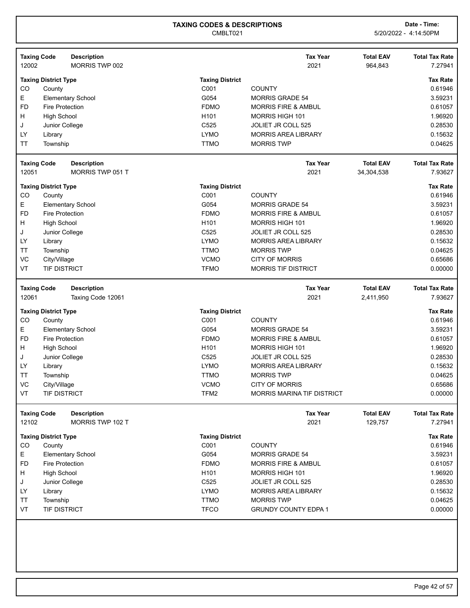|                    | <b>Taxing Code</b><br><b>Description</b> |                                | <b>Tax Year</b>                   | <b>Total EAV</b> | <b>Total Tax Rate</b> |
|--------------------|------------------------------------------|--------------------------------|-----------------------------------|------------------|-----------------------|
| 12002              | MORRIS TWP 002                           |                                | 2021                              | 964,843          | 7.27941               |
|                    |                                          |                                |                                   |                  | <b>Tax Rate</b>       |
| CO                 | <b>Taxing District Type</b><br>County    | <b>Taxing District</b><br>C001 | <b>COUNTY</b>                     |                  | 0.61946               |
| E                  | <b>Elementary School</b>                 | G054                           | <b>MORRIS GRADE 54</b>            |                  | 3.59231               |
| <b>FD</b>          | <b>Fire Protection</b>                   | <b>FDMO</b>                    | <b>MORRIS FIRE &amp; AMBUL</b>    |                  | 0.61057               |
| H                  | <b>High School</b>                       | H101                           | <b>MORRIS HIGH 101</b>            |                  | 1.96920               |
| J                  | Junior College                           | C525                           | JOLIET JR COLL 525                |                  | 0.28530               |
| LY                 |                                          | <b>LYMO</b>                    | <b>MORRIS AREA LIBRARY</b>        |                  | 0.15632               |
| ΤT                 | Library<br>Township                      | <b>TTMO</b>                    | <b>MORRIS TWP</b>                 |                  | 0.04625               |
|                    |                                          |                                |                                   |                  |                       |
|                    | <b>Taxing Code</b><br><b>Description</b> |                                | <b>Tax Year</b>                   | <b>Total EAV</b> | <b>Total Tax Rate</b> |
| 12051              | MORRIS TWP 051 T                         |                                | 2021                              | 34,304,538       | 7.93627               |
|                    |                                          |                                |                                   |                  |                       |
|                    | <b>Taxing District Type</b>              | <b>Taxing District</b>         |                                   |                  | <b>Tax Rate</b>       |
| CO                 | County                                   | C001                           | <b>COUNTY</b>                     |                  | 0.61946               |
| Е                  | <b>Elementary School</b>                 | G054                           | <b>MORRIS GRADE 54</b>            |                  | 3.59231               |
| <b>FD</b>          | <b>Fire Protection</b>                   | <b>FDMO</b>                    | <b>MORRIS FIRE &amp; AMBUL</b>    |                  | 0.61057               |
| н                  | <b>High School</b>                       | H <sub>101</sub>               | MORRIS HIGH 101                   |                  | 1.96920               |
| J                  | Junior College                           | C525                           | JOLIET JR COLL 525                |                  | 0.28530               |
| LY                 | Library                                  | <b>LYMO</b>                    | <b>MORRIS AREA LIBRARY</b>        |                  | 0.15632               |
| <b>TT</b>          | Township                                 | <b>TTMO</b>                    | <b>MORRIS TWP</b>                 |                  | 0.04625               |
| VC                 | City/Village                             | <b>VCMO</b>                    | <b>CITY OF MORRIS</b>             |                  | 0.65686               |
| VT                 | <b>TIF DISTRICT</b>                      | <b>TFMO</b>                    | <b>MORRIS TIF DISTRICT</b>        |                  | 0.00000               |
| <b>Taxing Code</b> | <b>Description</b>                       |                                | <b>Tax Year</b>                   | <b>Total EAV</b> | <b>Total Tax Rate</b> |
|                    |                                          |                                |                                   |                  |                       |
|                    |                                          |                                |                                   |                  |                       |
| 12061              | Taxing Code 12061                        |                                | 2021                              | 2,411,950        | 7.93627               |
|                    | <b>Taxing District Type</b>              | <b>Taxing District</b>         |                                   |                  | <b>Tax Rate</b>       |
| CO                 | County                                   | C001                           | <b>COUNTY</b>                     |                  | 0.61946               |
| E                  | <b>Elementary School</b>                 | G054                           | <b>MORRIS GRADE 54</b>            |                  | 3.59231               |
| <b>FD</b>          | <b>Fire Protection</b>                   | <b>FDMO</b>                    | <b>MORRIS FIRE &amp; AMBUL</b>    |                  | 0.61057               |
| н                  | <b>High School</b>                       | H <sub>101</sub>               | MORRIS HIGH 101                   |                  | 1.96920               |
| J                  | Junior College                           | C525                           | JOLIET JR COLL 525                |                  | 0.28530               |
| LY                 | Library                                  | <b>LYMO</b>                    | <b>MORRIS AREA LIBRARY</b>        |                  | 0.15632               |
| ТT                 | Township                                 | <b>TTMO</b>                    | <b>MORRIS TWP</b>                 |                  | 0.04625               |
| VC                 | City/Village                             | <b>VCMO</b>                    | <b>CITY OF MORRIS</b>             |                  | 0.65686               |
| VT                 | <b>TIF DISTRICT</b>                      | TFM2                           | <b>MORRIS MARINA TIF DISTRICT</b> |                  | 0.00000               |
|                    |                                          |                                |                                   |                  |                       |
|                    | <b>Taxing Code</b><br><b>Description</b> |                                | <b>Tax Year</b>                   | <b>Total EAV</b> | <b>Total Tax Rate</b> |
| 12102              | MORRIS TWP 102 T                         |                                | 2021                              | 129,757          | 7.27941               |
|                    | <b>Taxing District Type</b>              | <b>Taxing District</b>         |                                   |                  | <b>Tax Rate</b>       |
| CO                 | County                                   | C001                           | <b>COUNTY</b>                     |                  | 0.61946               |
| Е                  | <b>Elementary School</b>                 | G054                           | <b>MORRIS GRADE 54</b>            |                  | 3.59231               |
| <b>FD</b>          | <b>Fire Protection</b>                   | <b>FDMO</b>                    | <b>MORRIS FIRE &amp; AMBUL</b>    |                  | 0.61057               |
| H                  | <b>High School</b>                       | H <sub>101</sub>               | MORRIS HIGH 101                   |                  | 1.96920               |
| J                  | Junior College                           | C525                           | JOLIET JR COLL 525                |                  | 0.28530               |
| LY                 | Library                                  | <b>LYMO</b>                    | <b>MORRIS AREA LIBRARY</b>        |                  | 0.15632               |
| <b>TT</b>          | Township                                 | <b>TTMO</b>                    | <b>MORRIS TWP</b>                 |                  | 0.04625               |
| VT                 | <b>TIF DISTRICT</b>                      | <b>TFCO</b>                    | <b>GRUNDY COUNTY EDPA 1</b>       |                  | 0.00000               |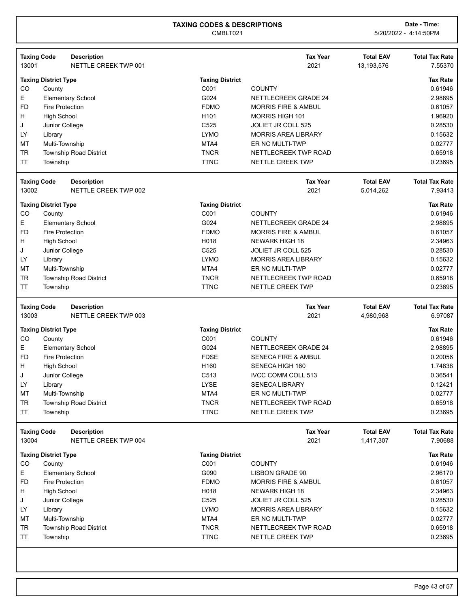| 13001                       | <b>Taxing Code</b>          | <b>Description</b><br>NETTLE CREEK TWP 001 |                            | <b>Tax Year</b><br>2021                         | <b>Total EAV</b><br>13,193,576 | <b>Total Tax Rate</b><br>7.55370 |
|-----------------------------|-----------------------------|--------------------------------------------|----------------------------|-------------------------------------------------|--------------------------------|----------------------------------|
|                             | <b>Taxing District Type</b> |                                            | <b>Taxing District</b>     |                                                 |                                | <b>Tax Rate</b>                  |
| CO                          | County                      |                                            | C001                       | <b>COUNTY</b>                                   |                                | 0.61946                          |
| Е                           |                             | <b>Elementary School</b>                   | G024                       | <b>NETTLECREEK GRADE 24</b>                     |                                | 2.98895                          |
| <b>FD</b>                   | <b>Fire Protection</b>      |                                            | <b>FDMO</b>                | <b>MORRIS FIRE &amp; AMBUL</b>                  |                                | 0.61057                          |
| H                           | <b>High School</b>          |                                            | H <sub>101</sub>           | MORRIS HIGH 101                                 |                                | 1.96920                          |
| J                           | Junior College              |                                            | C <sub>525</sub>           | <b>JOLIET JR COLL 525</b>                       |                                | 0.28530                          |
| LY.                         | Library                     |                                            | <b>LYMO</b>                | <b>MORRIS AREA LIBRARY</b>                      |                                | 0.15632                          |
| МT                          | Multi-Township              |                                            | MTA4                       | ER NC MULTI-TWP                                 |                                | 0.02777                          |
| <b>TR</b>                   |                             | <b>Township Road District</b>              | <b>TNCR</b>                | NETTLECREEK TWP ROAD                            |                                | 0.65918                          |
| <b>TT</b>                   | Township                    |                                            | <b>TTNC</b>                | <b>NETTLE CREEK TWP</b>                         |                                | 0.23695                          |
| <b>Taxing Code</b>          |                             | <b>Description</b>                         |                            | <b>Tax Year</b>                                 | <b>Total EAV</b>               | <b>Total Tax Rate</b>            |
| 13002                       |                             | NETTLE CREEK TWP 002                       |                            | 2021                                            | 5,014,262                      | 7.93413                          |
|                             | <b>Taxing District Type</b> |                                            | <b>Taxing District</b>     |                                                 |                                | <b>Tax Rate</b>                  |
| CO                          | County                      |                                            | C001                       | <b>COUNTY</b>                                   |                                | 0.61946                          |
| Е                           |                             | <b>Elementary School</b>                   | G024                       | <b>NETTLECREEK GRADE 24</b>                     |                                | 2.98895                          |
| <b>FD</b>                   | <b>Fire Protection</b>      |                                            | <b>FDMO</b>                | <b>MORRIS FIRE &amp; AMBUL</b>                  |                                | 0.61057                          |
| H                           | <b>High School</b>          |                                            | H018                       | <b>NEWARK HIGH 18</b>                           |                                | 2.34963                          |
| J                           | Junior College              |                                            | C525                       | JOLIET JR COLL 525                              |                                | 0.28530                          |
| LY                          | Library                     |                                            | <b>LYMO</b>                | <b>MORRIS AREA LIBRARY</b>                      |                                | 0.15632                          |
| MT                          | Multi-Township              |                                            | MTA4                       | ER NC MULTI-TWP                                 |                                | 0.02777                          |
| <b>TR</b>                   |                             | <b>Township Road District</b>              | <b>TNCR</b>                | NETTLECREEK TWP ROAD                            |                                | 0.65918                          |
| <b>TT</b>                   | Township                    |                                            | <b>TTNC</b>                | NETTLE CREEK TWP                                |                                | 0.23695                          |
| <b>Taxing Code</b><br>13003 |                             | <b>Description</b><br>NETTLE CREEK TWP 003 |                            | <b>Tax Year</b><br>2021                         | <b>Total EAV</b><br>4,980,968  | <b>Total Tax Rate</b><br>6.97087 |
|                             | <b>Taxing District Type</b> |                                            | <b>Taxing District</b>     |                                                 |                                | <b>Tax Rate</b>                  |
| CO                          | County                      |                                            | C001                       | <b>COUNTY</b>                                   |                                | 0.61946                          |
| Е                           |                             | <b>Elementary School</b>                   | G024                       | NETTLECREEK GRADE 24                            |                                | 2.98895                          |
| <b>FD</b>                   | <b>Fire Protection</b>      |                                            | <b>FDSE</b>                | <b>SENECA FIRE &amp; AMBUL</b>                  |                                | 0.20056                          |
| н                           |                             |                                            |                            |                                                 |                                |                                  |
|                             |                             |                                            |                            |                                                 |                                |                                  |
|                             | <b>High School</b>          |                                            | H160                       | SENECA HIGH 160                                 |                                | 1.74838                          |
| J                           | Junior College              |                                            | C513                       | <b>IVCC COMM COLL 513</b>                       |                                | 0.36541                          |
| LY                          | Library                     |                                            | <b>LYSE</b>                | <b>SENECA LIBRARY</b>                           |                                | 0.12421                          |
| МT                          | Multi-Township              |                                            | MTA4                       | ER NC MULTI-TWP                                 |                                | 0.02777                          |
| <b>TR</b><br><b>TT</b>      | Township                    | Township Road District                     | <b>TNCR</b><br><b>TTNC</b> | NETTLECREEK TWP ROAD<br><b>NETTLE CREEK TWP</b> |                                | 0.65918<br>0.23695               |
|                             |                             | <b>Description</b>                         |                            | <b>Tax Year</b>                                 | <b>Total EAV</b>               | <b>Total Tax Rate</b>            |
| <b>Taxing Code</b><br>13004 |                             | NETTLE CREEK TWP 004                       |                            | 2021                                            | 1,417,307                      | 7.90688                          |
|                             | <b>Taxing District Type</b> |                                            | <b>Taxing District</b>     |                                                 |                                | <b>Tax Rate</b>                  |
| CO                          | County                      |                                            | C001                       | <b>COUNTY</b>                                   |                                | 0.61946                          |
| E                           |                             | <b>Elementary School</b>                   | G090                       | <b>LISBON GRADE 90</b>                          |                                | 2.96170                          |
| <b>FD</b>                   | Fire Protection             |                                            | <b>FDMO</b>                | <b>MORRIS FIRE &amp; AMBUL</b>                  |                                | 0.61057                          |
| H                           | <b>High School</b>          |                                            | H018                       | <b>NEWARK HIGH 18</b>                           |                                | 2.34963                          |
| J                           | Junior College              |                                            | C525                       | JOLIET JR COLL 525                              |                                | 0.28530                          |
| LY                          | Library                     |                                            | <b>LYMO</b>                | <b>MORRIS AREA LIBRARY</b>                      |                                | 0.15632                          |
| МT                          | Multi-Township              |                                            | MTA4                       | ER NC MULTI-TWP                                 |                                | 0.02777                          |
| <b>TR</b><br><b>TT</b>      |                             | <b>Township Road District</b>              | <b>TNCR</b><br><b>TTNC</b> | NETTLECREEK TWP ROAD                            |                                | 0.65918<br>0.23695               |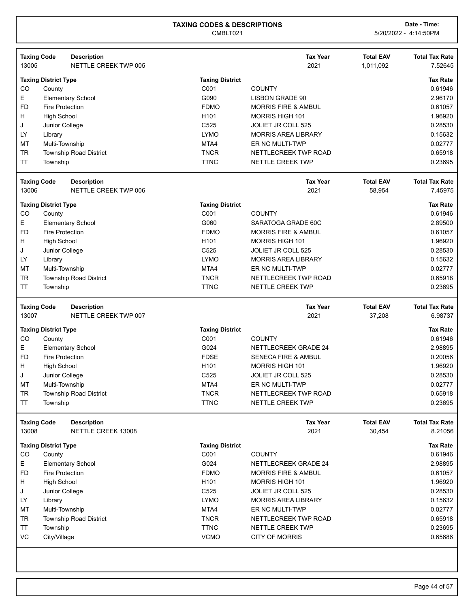| 13005          | <b>Taxing Code</b><br><b>Description</b><br>NETTLE CREEK TWP 005 |                            | <b>Tax Year</b><br>2021                                | <b>Total EAV</b><br>1.011.092 | <b>Total Tax Rate</b><br>7.52645                    |
|----------------|------------------------------------------------------------------|----------------------------|--------------------------------------------------------|-------------------------------|-----------------------------------------------------|
|                |                                                                  |                            |                                                        |                               |                                                     |
|                | <b>Taxing District Type</b>                                      | <b>Taxing District</b>     |                                                        |                               | <b>Tax Rate</b>                                     |
| CO             | County                                                           | C001                       | <b>COUNTY</b>                                          |                               | 0.61946                                             |
| Е              | <b>Elementary School</b>                                         | G090                       | <b>LISBON GRADE 90</b>                                 |                               | 2.96170                                             |
| <b>FD</b>      | <b>Fire Protection</b>                                           | <b>FDMO</b>                | <b>MORRIS FIRE &amp; AMBUL</b>                         |                               | 0.61057                                             |
| H.             | <b>High School</b>                                               | H <sub>101</sub>           | <b>MORRIS HIGH 101</b>                                 |                               | 1.96920                                             |
| J              | Junior College                                                   | C525                       | <b>JOLIET JR COLL 525</b>                              |                               | 0.28530                                             |
| LY             | Library                                                          | <b>LYMO</b>                | <b>MORRIS AREA LIBRARY</b>                             |                               | 0.15632                                             |
| MT             | Multi-Township                                                   | MTA4                       | ER NC MULTI-TWP                                        |                               | 0.02777                                             |
| <b>TR</b>      | <b>Township Road District</b>                                    | <b>TNCR</b>                | NETTLECREEK TWP ROAD                                   |                               | 0.65918                                             |
| <b>TT</b>      | Township                                                         | <b>TTNC</b>                | NETTLE CREEK TWP                                       |                               | 0.23695                                             |
|                | <b>Taxing Code</b><br><b>Description</b>                         |                            | <b>Tax Year</b>                                        | <b>Total EAV</b>              | <b>Total Tax Rate</b>                               |
| 13006          | NETTLE CREEK TWP 006                                             |                            | 2021                                                   | 58,954                        | 7.45975                                             |
|                | <b>Taxing District Type</b>                                      | <b>Taxing District</b>     |                                                        |                               | <b>Tax Rate</b>                                     |
| CO             | County                                                           | C001                       | <b>COUNTY</b>                                          |                               | 0.61946                                             |
| E.             | <b>Elementary School</b>                                         | G060                       | SARATOGA GRADE 60C                                     |                               | 2.89500                                             |
| <b>FD</b>      | <b>Fire Protection</b>                                           | <b>FDMO</b>                | <b>MORRIS FIRE &amp; AMBUL</b>                         |                               | 0.61057                                             |
| H              | <b>High School</b>                                               | H <sub>101</sub>           | MORRIS HIGH 101                                        |                               | 1.96920                                             |
| J              | Junior College                                                   | C525                       | JOLIET JR COLL 525                                     |                               | 0.28530                                             |
| LY             | Library                                                          | <b>LYMO</b>                | <b>MORRIS AREA LIBRARY</b>                             |                               | 0.15632                                             |
| MT             | Multi-Township                                                   | MTA4                       | ER NC MULTI-TWP                                        |                               | 0.02777                                             |
| <b>TR</b>      | <b>Township Road District</b>                                    | <b>TNCR</b>                | NETTLECREEK TWP ROAD                                   |                               | 0.65918                                             |
| <b>TT</b>      | Township                                                         | <b>TTNC</b>                | NETTLE CREEK TWP                                       |                               | 0.23695                                             |
|                |                                                                  |                            |                                                        |                               |                                                     |
|                | <b>Description</b>                                               |                            | <b>Tax Year</b>                                        | <b>Total EAV</b>              | <b>Total Tax Rate</b>                               |
| 13007          | <b>Taxing Code</b><br>NETTLE CREEK TWP 007                       |                            | 2021                                                   | 37,208                        |                                                     |
|                | <b>Taxing District Type</b>                                      | <b>Taxing District</b>     |                                                        |                               | 6.98737<br><b>Tax Rate</b>                          |
| CO             | County                                                           | C001                       | <b>COUNTY</b>                                          |                               | 0.61946                                             |
| Е              | <b>Elementary School</b>                                         | G024                       | NETTLECREEK GRADE 24                                   |                               | 2.98895                                             |
| <b>FD</b>      | <b>Fire Protection</b>                                           | <b>FDSE</b>                | <b>SENECA FIRE &amp; AMBUL</b>                         |                               | 0.20056                                             |
| н              | <b>High School</b>                                               | H <sub>101</sub>           | <b>MORRIS HIGH 101</b>                                 |                               | 1.96920                                             |
| J              | Junior College                                                   | C525                       | <b>JOLIET JR COLL 525</b>                              |                               | 0.28530                                             |
| МT             | Multi-Township                                                   | MTA4                       | ER NC MULTI-TWP                                        |                               | 0.02777                                             |
| <b>TR</b>      | <b>Township Road District</b>                                    | <b>TNCR</b>                | NETTLECREEK TWP ROAD                                   |                               |                                                     |
| <b>TT</b>      | Township                                                         | <b>TTNC</b>                | <b>NETTLE CREEK TWP</b>                                |                               |                                                     |
|                |                                                                  |                            |                                                        |                               | 0.65918<br>0.23695                                  |
| 13008          | <b>Taxing Code</b><br><b>Description</b><br>NETTLE CREEK 13008   |                            | <b>Tax Year</b><br>2021                                | <b>Total EAV</b><br>30,454    |                                                     |
|                |                                                                  |                            |                                                        |                               | <b>Total Tax Rate</b><br>8.21056                    |
|                | <b>Taxing District Type</b>                                      | <b>Taxing District</b>     |                                                        |                               | <b>Tax Rate</b>                                     |
| CO             | County                                                           | C001<br>G024               | <b>COUNTY</b>                                          |                               |                                                     |
| Е<br><b>FD</b> | <b>Elementary School</b><br><b>Fire Protection</b>               | <b>FDMO</b>                | NETTLECREEK GRADE 24<br><b>MORRIS FIRE &amp; AMBUL</b> |                               |                                                     |
| H              |                                                                  |                            | MORRIS HIGH 101                                        |                               | 0.61057<br>1.96920                                  |
|                | <b>High School</b>                                               | H101                       |                                                        |                               |                                                     |
| J<br>LY        | Junior College                                                   | C525                       | JOLIET JR COLL 525                                     |                               | 0.28530                                             |
|                | Library                                                          | <b>LYMO</b>                | <b>MORRIS AREA LIBRARY</b>                             |                               |                                                     |
| MT             | Multi-Township                                                   | MTA4                       | ER NC MULTI-TWP                                        |                               | 0.02777                                             |
| <b>TR</b>      | <b>Township Road District</b>                                    | <b>TNCR</b>                | NETTLECREEK TWP ROAD                                   |                               | 0.65918                                             |
| TT<br>VC       | Township<br>City/Village                                         | <b>TTNC</b><br><b>VCMO</b> | NETTLE CREEK TWP<br><b>CITY OF MORRIS</b>              |                               | 0.61946<br>2.98895<br>0.15632<br>0.23695<br>0.65686 |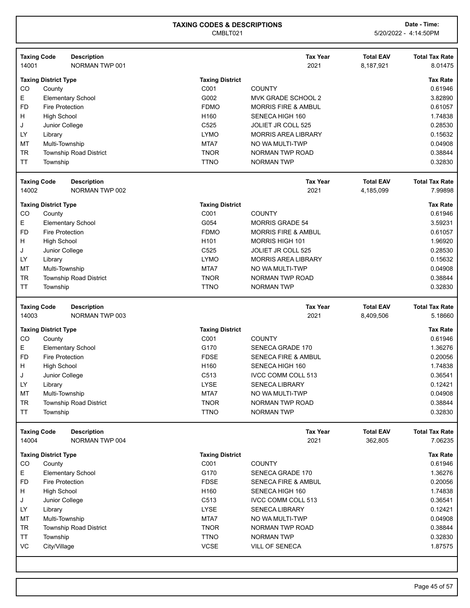| 14001     | <b>Taxing Code</b><br><b>Description</b><br>NORMAN TWP 001 |                        | <b>Tax Year</b><br>2021        | <b>Total EAV</b><br>8,187,921 | <b>Total Tax Rate</b><br>8.01475 |
|-----------|------------------------------------------------------------|------------------------|--------------------------------|-------------------------------|----------------------------------|
|           | <b>Taxing District Type</b>                                | <b>Taxing District</b> |                                |                               | <b>Tax Rate</b>                  |
| CO        | County                                                     | C001                   | <b>COUNTY</b>                  |                               | 0.61946                          |
| Е         | <b>Elementary School</b>                                   | G002                   | MVK GRADE SCHOOL 2             |                               | 3.82890                          |
| <b>FD</b> | <b>Fire Protection</b>                                     | <b>FDMO</b>            | <b>MORRIS FIRE &amp; AMBUL</b> |                               | 0.61057                          |
| н         | <b>High School</b>                                         | H160                   | SENECA HIGH 160                |                               | 1.74838                          |
| J         | Junior College                                             | C525                   | <b>JOLIET JR COLL 525</b>      |                               | 0.28530                          |
| LY        | Library                                                    | <b>LYMO</b>            | <b>MORRIS AREA LIBRARY</b>     |                               | 0.15632                          |
| <b>MT</b> | Multi-Township                                             | MTA7                   | NO WA MULTI-TWP                |                               | 0.04908                          |
| <b>TR</b> | <b>Township Road District</b>                              | <b>TNOR</b>            | <b>NORMAN TWP ROAD</b>         |                               | 0.38844                          |
| <b>TT</b> | Township                                                   | <b>TTNO</b>            | <b>NORMAN TWP</b>              |                               | 0.32830                          |
|           | <b>Taxing Code</b><br><b>Description</b>                   |                        | <b>Tax Year</b>                | <b>Total EAV</b>              | <b>Total Tax Rate</b>            |
| 14002     | NORMAN TWP 002                                             |                        | 2021                           | 4,185,099                     | 7.99898                          |
|           | <b>Taxing District Type</b>                                | <b>Taxing District</b> |                                |                               | <b>Tax Rate</b>                  |
| CO        | County                                                     | C001                   | <b>COUNTY</b>                  |                               | 0.61946                          |
| Е         | <b>Elementary School</b>                                   | G054                   | <b>MORRIS GRADE 54</b>         |                               | 3.59231                          |
| <b>FD</b> | <b>Fire Protection</b>                                     | <b>FDMO</b>            | <b>MORRIS FIRE &amp; AMBUL</b> |                               | 0.61057                          |
| н         | <b>High School</b>                                         | H <sub>101</sub>       | MORRIS HIGH 101                |                               | 1.96920                          |
| J         | Junior College                                             | C525                   | JOLIET JR COLL 525             |                               | 0.28530                          |
| LY        | Library                                                    | <b>LYMO</b>            | <b>MORRIS AREA LIBRARY</b>     |                               | 0.15632                          |
| <b>MT</b> | Multi-Township                                             | MTA7                   | NO WA MULTI-TWP                |                               | 0.04908                          |
| <b>TR</b> | <b>Township Road District</b>                              | <b>TNOR</b>            | NORMAN TWP ROAD                |                               | 0.38844                          |
| <b>TT</b> | Township                                                   | <b>TTNO</b>            | <b>NORMAN TWP</b>              |                               | 0.32830                          |
|           | <b>Taxing Code</b><br><b>Description</b>                   |                        | <b>Tax Year</b>                | <b>Total EAV</b>              | <b>Total Tax Rate</b>            |
| 14003     | NORMAN TWP 003                                             |                        | 2021                           | 8,409,506                     | 5.18660                          |
|           | <b>Taxing District Type</b>                                | <b>Taxing District</b> |                                |                               | <b>Tax Rate</b>                  |
| CO        | County                                                     | C001                   | <b>COUNTY</b>                  |                               | 0.61946                          |
| Е         | <b>Elementary School</b>                                   | G170                   | SENECA GRADE 170               |                               | 1.36276                          |
| FD        | <b>Fire Protection</b>                                     | <b>FDSE</b>            | <b>SENECA FIRE &amp; AMBUL</b> |                               | 0.20056                          |
| н         | <b>High School</b>                                         | H <sub>160</sub>       | SENECA HIGH 160                |                               | 1.74838                          |
| J         | Junior College                                             | C513                   | <b>IVCC COMM COLL 513</b>      |                               | 0.36541                          |
| LY        | Library                                                    | <b>LYSE</b>            | <b>SENECA LIBRARY</b>          |                               | 0.12421                          |
| MT        | Multi-Township                                             | MTA7                   | NO WA MULTI-TWP                |                               | 0.04908                          |
| <b>TR</b> | <b>Township Road District</b>                              | <b>TNOR</b>            | NORMAN TWP ROAD                |                               | 0.38844                          |
| <b>TT</b> | Township                                                   | <b>TTNO</b>            | <b>NORMAN TWP</b>              |                               | 0.32830                          |
|           | <b>Taxing Code</b><br><b>Description</b>                   |                        | <b>Tax Year</b>                | <b>Total EAV</b>              | <b>Total Tax Rate</b>            |
| 14004     | NORMAN TWP 004                                             |                        | 2021                           | 362,805                       | 7.06235                          |
|           | <b>Taxing District Type</b>                                | <b>Taxing District</b> |                                |                               | <b>Tax Rate</b>                  |
| CO        | County                                                     | C001                   | <b>COUNTY</b>                  |                               | 0.61946                          |
| E         | <b>Elementary School</b>                                   | G170                   | SENECA GRADE 170               |                               | 1.36276                          |
| <b>FD</b> | <b>Fire Protection</b>                                     | <b>FDSE</b>            | <b>SENECA FIRE &amp; AMBUL</b> |                               | 0.20056                          |
| н         | <b>High School</b>                                         | H160                   | SENECA HIGH 160                |                               | 1.74838                          |
| J         | Junior College                                             | C513                   | IVCC COMM COLL 513             |                               | 0.36541                          |
| LY        | Library                                                    | <b>LYSE</b>            | <b>SENECA LIBRARY</b>          |                               | 0.12421                          |
| MT        | Multi-Township                                             | MTA7                   | NO WA MULTI-TWP                |                               | 0.04908                          |
|           | <b>Township Road District</b>                              | <b>TNOR</b>            | NORMAN TWP ROAD                |                               | 0.38844                          |
| <b>TR</b> |                                                            |                        |                                |                               |                                  |
| TT        | Township                                                   | <b>TTNO</b>            | <b>NORMAN TWP</b>              |                               | 0.32830                          |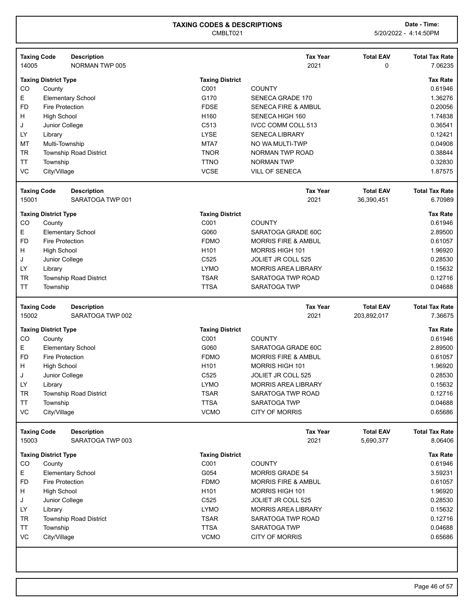| 14005     | <b>Taxing Code</b><br><b>Description</b><br>NORMAN TWP 005 |                        | <b>Tax Year</b><br>2021        | <b>Total EAV</b><br>0 | <b>Total Tax Rate</b><br>7.06235 |
|-----------|------------------------------------------------------------|------------------------|--------------------------------|-----------------------|----------------------------------|
|           | <b>Taxing District Type</b>                                | <b>Taxing District</b> |                                |                       | <b>Tax Rate</b>                  |
| CO        | County                                                     | C001                   | <b>COUNTY</b>                  |                       | 0.61946                          |
| E         | <b>Elementary School</b>                                   | G170                   | <b>SENECA GRADE 170</b>        |                       | 1.36276                          |
| <b>FD</b> | <b>Fire Protection</b>                                     | <b>FDSE</b>            | <b>SENECA FIRE &amp; AMBUL</b> |                       | 0.20056                          |
| H         | <b>High School</b>                                         | H160                   | SENECA HIGH 160                |                       | 1.74838                          |
| J         | Junior College                                             | C513                   | <b>IVCC COMM COLL 513</b>      |                       | 0.36541                          |
| LY        | Library                                                    | <b>LYSE</b>            | <b>SENECA LIBRARY</b>          |                       | 0.12421                          |
| МT        | Multi-Township                                             | MTA7                   | NO WA MULTI-TWP                |                       | 0.04908                          |
| <b>TR</b> | <b>Township Road District</b>                              | <b>TNOR</b>            | NORMAN TWP ROAD                |                       | 0.38844                          |
| <b>TT</b> | Township                                                   | <b>TTNO</b>            | <b>NORMAN TWP</b>              |                       | 0.32830                          |
| VC        | City/Village                                               | <b>VCSE</b>            | <b>VILL OF SENECA</b>          |                       | 1.87575                          |
|           | <b>Taxing Code</b><br><b>Description</b>                   |                        | <b>Tax Year</b>                | <b>Total EAV</b>      | <b>Total Tax Rate</b>            |
| 15001     | SARATOGA TWP 001                                           |                        | 2021                           | 36,390,451            | 6.70989                          |
|           | <b>Taxing District Type</b>                                | <b>Taxing District</b> |                                |                       | <b>Tax Rate</b>                  |
| CO        | County                                                     | C001                   | <b>COUNTY</b>                  |                       | 0.61946                          |
| Е         | <b>Elementary School</b>                                   | G060                   | SARATOGA GRADE 60C             |                       | 2.89500                          |
| <b>FD</b> | <b>Fire Protection</b>                                     | <b>FDMO</b>            | <b>MORRIS FIRE &amp; AMBUL</b> |                       | 0.61057                          |
| H         | <b>High School</b>                                         | H <sub>101</sub>       | <b>MORRIS HIGH 101</b>         |                       | 1.96920                          |
| J         | Junior College                                             | C525                   | JOLIET JR COLL 525             |                       | 0.28530                          |
| LY        | Library                                                    | <b>LYMO</b>            | <b>MORRIS AREA LIBRARY</b>     |                       | 0.15632                          |
| <b>TR</b> | Township Road District                                     | <b>TSAR</b>            | SARATOGA TWP ROAD              |                       | 0.12716                          |
| <b>TT</b> | Township                                                   | <b>TTSA</b>            | <b>SARATOGA TWP</b>            |                       | 0.04688                          |
|           | <b>Taxing Code</b><br><b>Description</b>                   |                        | <b>Tax Year</b>                | <b>Total EAV</b>      | <b>Total Tax Rate</b>            |
|           |                                                            |                        |                                |                       |                                  |
| 15002     | SARATOGA TWP 002                                           |                        | 2021                           | 203,892,017           | 7.36675                          |
|           | <b>Taxing District Type</b>                                | <b>Taxing District</b> |                                |                       | <b>Tax Rate</b>                  |
| CO        | County                                                     | C001                   | <b>COUNTY</b>                  |                       | 0.61946                          |
| E         | <b>Elementary School</b>                                   | G060                   | SARATOGA GRADE 60C             |                       | 2.89500                          |
| <b>FD</b> | <b>Fire Protection</b>                                     | <b>FDMO</b>            | <b>MORRIS FIRE &amp; AMBUL</b> |                       | 0.61057                          |
| H         | <b>High School</b>                                         | H101                   | MORRIS HIGH 101                |                       | 1.96920                          |
| J         | Junior College                                             | C525                   | JOLIET JR COLL 525             |                       | 0.28530                          |
| LY        | Library                                                    | <b>LYMO</b>            | <b>MORRIS AREA LIBRARY</b>     |                       | 0.15632                          |
| TR        | <b>Township Road District</b>                              | <b>TSAR</b>            | SARATOGA TWP ROAD              |                       | 0.12716                          |
| <b>TT</b> | Township                                                   | <b>TTSA</b>            | SARATOGA TWP                   |                       | 0.04688                          |
| VC        | City/Village                                               | <b>VCMO</b>            | <b>CITY OF MORRIS</b>          |                       | 0.65686                          |
|           | <b>Taxing Code</b><br><b>Description</b>                   |                        | <b>Tax Year</b>                | <b>Total EAV</b>      | <b>Total Tax Rate</b>            |
| 15003     | SARATOGA TWP 003                                           |                        | 2021                           | 5,690,377             | 8.06406                          |
|           | <b>Taxing District Type</b>                                | <b>Taxing District</b> |                                |                       | <b>Tax Rate</b>                  |
| CO        | County                                                     | C001                   | <b>COUNTY</b>                  |                       | 0.61946                          |
| E         | <b>Elementary School</b>                                   | G054                   | <b>MORRIS GRADE 54</b>         |                       | 3.59231                          |
| <b>FD</b> | <b>Fire Protection</b>                                     | <b>FDMO</b>            | <b>MORRIS FIRE &amp; AMBUL</b> |                       | 0.61057                          |
| H         | <b>High School</b>                                         | H101                   | <b>MORRIS HIGH 101</b>         |                       | 1.96920                          |
| J         | Junior College                                             | C525                   | JOLIET JR COLL 525             |                       | 0.28530                          |
| LY        | Library                                                    | LYMO                   | <b>MORRIS AREA LIBRARY</b>     |                       | 0.15632                          |
| TR        | <b>Township Road District</b>                              | <b>TSAR</b>            | SARATOGA TWP ROAD              |                       | 0.12716                          |
| TΤ        | Township                                                   | <b>TTSA</b>            | SARATOGA TWP                   |                       | 0.04688                          |
| VC        | City/Village                                               | <b>VCMO</b>            | <b>CITY OF MORRIS</b>          |                       | 0.65686                          |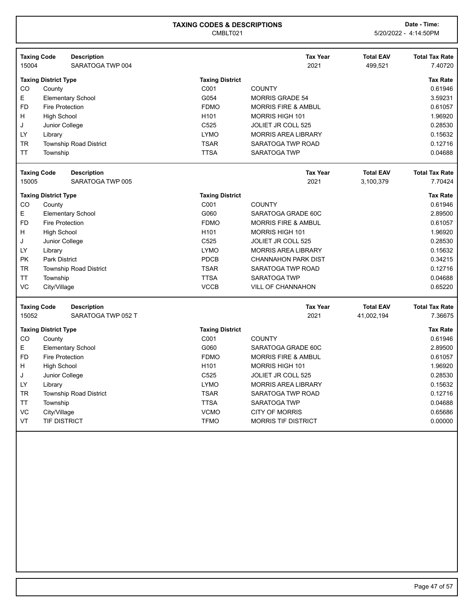| <b>Taxing Code</b><br><b>Description</b><br><b>Tax Year</b><br><b>Total EAV</b><br>15004<br>SARATOGA TWP 004<br>2021<br>499,521<br><b>Taxing District Type</b><br><b>Taxing District</b> | <b>Total Tax Rate</b> |
|------------------------------------------------------------------------------------------------------------------------------------------------------------------------------------------|-----------------------|
|                                                                                                                                                                                          | 7.40720               |
|                                                                                                                                                                                          |                       |
|                                                                                                                                                                                          | <b>Tax Rate</b>       |
| C001<br><b>COUNTY</b><br>CO<br>County                                                                                                                                                    | 0.61946               |
| E<br>G054<br><b>Elementary School</b><br><b>MORRIS GRADE 54</b>                                                                                                                          | 3.59231               |
| <b>FD</b><br><b>FDMO</b><br><b>Fire Protection</b><br><b>MORRIS FIRE &amp; AMBUL</b>                                                                                                     | 0.61057               |
| <b>High School</b><br>H <sub>101</sub><br><b>MORRIS HIGH 101</b><br>н                                                                                                                    | 1.96920               |
| J<br>Junior College<br>C <sub>525</sub><br><b>JOLIET JR COLL 525</b>                                                                                                                     | 0.28530               |
| LY<br><b>LYMO</b><br><b>MORRIS AREA LIBRARY</b><br>Library                                                                                                                               | 0.15632               |
| TR<br><b>Township Road District</b><br><b>TSAR</b><br>SARATOGA TWP ROAD                                                                                                                  | 0.12716               |
| <b>TT</b><br><b>TTSA</b><br><b>SARATOGA TWP</b><br>Township                                                                                                                              | 0.04688               |
| <b>Tax Year</b><br><b>Total EAV</b><br><b>Taxing Code</b><br><b>Description</b>                                                                                                          | <b>Total Tax Rate</b> |
| SARATOGA TWP 005<br>2021<br>15005<br>3,100,379                                                                                                                                           | 7.70424               |
| <b>Taxing District Type</b><br><b>Taxing District</b>                                                                                                                                    | <b>Tax Rate</b>       |
| C001<br>CO<br>County<br><b>COUNTY</b>                                                                                                                                                    | 0.61946               |
| E<br>G060<br>SARATOGA GRADE 60C<br><b>Elementary School</b>                                                                                                                              | 2.89500               |
| <b>FD</b><br><b>Fire Protection</b><br><b>FDMO</b><br><b>MORRIS FIRE &amp; AMBUL</b>                                                                                                     | 0.61057               |
| H<br>H <sub>101</sub><br><b>MORRIS HIGH 101</b><br>High School                                                                                                                           | 1.96920               |
| C525<br>J<br><b>JOLIET JR COLL 525</b><br>Junior College                                                                                                                                 | 0.28530               |
| LY<br><b>LYMO</b><br><b>MORRIS AREA LIBRARY</b><br>Library                                                                                                                               | 0.15632               |
| <b>PK</b><br><b>PDCB</b><br><b>Park District</b><br><b>CHANNAHON PARK DIST</b>                                                                                                           | 0.34215               |
| <b>TR</b><br><b>TSAR</b><br><b>Township Road District</b><br>SARATOGA TWP ROAD                                                                                                           | 0.12716               |
| <b>TTSA</b><br>TT<br><b>SARATOGA TWP</b><br>Township                                                                                                                                     | 0.04688               |
| <b>VC</b><br><b>VCCB</b><br>City/Village<br><b>VILL OF CHANNAHON</b>                                                                                                                     | 0.65220               |
| <b>Taxing Code</b><br><b>Description</b><br><b>Tax Year</b><br><b>Total EAV</b>                                                                                                          | <b>Total Tax Rate</b> |
| 15052<br>SARATOGA TWP 052 T<br>2021<br>41,002,194                                                                                                                                        | 7.36675               |
| <b>Taxing District Type</b><br><b>Taxing District</b>                                                                                                                                    | <b>Tax Rate</b>       |
| CO<br>C001<br><b>COUNTY</b><br>County                                                                                                                                                    | 0.61946               |
| E<br>G060<br><b>Elementary School</b><br>SARATOGA GRADE 60C                                                                                                                              | 2.89500               |
| <b>FD</b><br>Fire Protection<br><b>FDMO</b><br><b>MORRIS FIRE &amp; AMBUL</b>                                                                                                            | 0.61057               |
| H<br>H <sub>101</sub><br><b>MORRIS HIGH 101</b><br>High School                                                                                                                           | 1.96920               |
| C525<br>J<br>Junior College<br><b>JOLIET JR COLL 525</b>                                                                                                                                 | 0.28530               |
| LY<br><b>LYMO</b><br><b>MORRIS AREA LIBRARY</b><br>Library                                                                                                                               | 0.15632               |
| TR<br><b>Township Road District</b><br><b>TSAR</b><br>SARATOGA TWP ROAD                                                                                                                  | 0.12716               |
| <b>TTSA</b><br>TT<br><b>SARATOGA TWP</b><br>Township                                                                                                                                     | 0.04688               |
| VC<br><b>VCMO</b><br>City/Village<br><b>CITY OF MORRIS</b>                                                                                                                               | 0.65686               |
|                                                                                                                                                                                          | 0.00000               |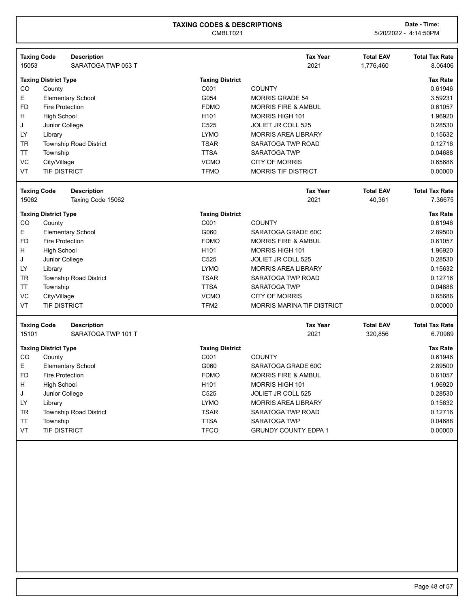| <b>Taxing Code</b> |                             | <b>Description</b><br>SARATOGA TWP 053 T |                        | <b>Tax Year</b><br>2021           | <b>Total EAV</b> | <b>Total Tax Rate</b><br>8.06406 |
|--------------------|-----------------------------|------------------------------------------|------------------------|-----------------------------------|------------------|----------------------------------|
| 15053              |                             |                                          |                        |                                   | 1,776,460        |                                  |
|                    | <b>Taxing District Type</b> |                                          | <b>Taxing District</b> |                                   |                  | <b>Tax Rate</b>                  |
| CO                 | County                      |                                          | C001                   | <b>COUNTY</b>                     |                  | 0.61946                          |
| E                  |                             | <b>Elementary School</b>                 | G054                   | <b>MORRIS GRADE 54</b>            |                  | 3.59231                          |
| <b>FD</b>          | <b>Fire Protection</b>      |                                          | <b>FDMO</b>            | <b>MORRIS FIRE &amp; AMBUL</b>    |                  | 0.61057                          |
| н                  | <b>High School</b>          |                                          | H <sub>101</sub>       | <b>MORRIS HIGH 101</b>            |                  | 1.96920                          |
| J                  | Junior College              |                                          | C <sub>525</sub>       | <b>JOLIET JR COLL 525</b>         |                  | 0.28530                          |
| LY                 | Library                     |                                          | <b>LYMO</b>            | <b>MORRIS AREA LIBRARY</b>        |                  | 0.15632                          |
| <b>TR</b>          |                             | <b>Township Road District</b>            | <b>TSAR</b>            | SARATOGA TWP ROAD                 |                  | 0.12716                          |
| ΤT                 | Township                    |                                          | <b>TTSA</b>            | <b>SARATOGA TWP</b>               |                  | 0.04688                          |
| VC                 | City/Village                |                                          | <b>VCMO</b>            | <b>CITY OF MORRIS</b>             |                  | 0.65686                          |
| VT                 | <b>TIF DISTRICT</b>         |                                          | <b>TFMO</b>            | <b>MORRIS TIF DISTRICT</b>        |                  | 0.00000                          |
| <b>Taxing Code</b> |                             | <b>Description</b>                       |                        | <b>Tax Year</b>                   | <b>Total EAV</b> | <b>Total Tax Rate</b>            |
| 15062              |                             | Taxing Code 15062                        |                        | 2021                              | 40,361           | 7.36675                          |
|                    | <b>Taxing District Type</b> |                                          | <b>Taxing District</b> |                                   |                  | <b>Tax Rate</b>                  |
| CO                 | County                      |                                          | C001                   | <b>COUNTY</b>                     |                  | 0.61946                          |
| E.                 |                             | <b>Elementary School</b>                 | G060                   | SARATOGA GRADE 60C                |                  | 2.89500                          |
| <b>FD</b>          | <b>Fire Protection</b>      |                                          | <b>FDMO</b>            | <b>MORRIS FIRE &amp; AMBUL</b>    |                  | 0.61057                          |
| Η                  | <b>High School</b>          |                                          | H <sub>101</sub>       | <b>MORRIS HIGH 101</b>            |                  | 1.96920                          |
| J                  | Junior College              |                                          | C <sub>525</sub>       | <b>JOLIET JR COLL 525</b>         |                  | 0.28530                          |
| LY                 | Library                     |                                          | <b>LYMO</b>            | <b>MORRIS AREA LIBRARY</b>        |                  | 0.15632                          |
| TR                 |                             | <b>Township Road District</b>            | <b>TSAR</b>            | SARATOGA TWP ROAD                 |                  | 0.12716                          |
| ТT                 | Township                    |                                          | <b>TTSA</b>            | SARATOGA TWP                      |                  | 0.04688                          |
| VC                 | City/Village                |                                          | <b>VCMO</b>            | <b>CITY OF MORRIS</b>             |                  | 0.65686                          |
| VT                 | <b>TIF DISTRICT</b>         |                                          | TFM2                   | <b>MORRIS MARINA TIF DISTRICT</b> |                  | 0.00000                          |
| <b>Taxing Code</b> |                             | <b>Description</b>                       |                        | <b>Tax Year</b>                   | <b>Total EAV</b> | <b>Total Tax Rate</b>            |
| 15101              |                             | SARATOGA TWP 101 T                       |                        | 2021                              | 320,856          | 6.70989                          |
|                    | <b>Taxing District Type</b> |                                          | <b>Taxing District</b> |                                   |                  | <b>Tax Rate</b>                  |
| CO                 | County                      |                                          | C001                   | <b>COUNTY</b>                     |                  | 0.61946                          |
| E                  |                             | <b>Elementary School</b>                 | G060                   | SARATOGA GRADE 60C                |                  | 2.89500                          |
| FD                 | <b>Fire Protection</b>      |                                          | <b>FDMO</b>            | <b>MORRIS FIRE &amp; AMBUL</b>    |                  | 0.61057                          |
| H                  | <b>High School</b>          |                                          | H101                   | <b>MORRIS HIGH 101</b>            |                  | 1.96920                          |
| J                  | Junior College              |                                          | C525                   | JOLIET JR COLL 525                |                  | 0.28530                          |
| LY                 | Library                     |                                          | <b>LYMO</b>            | <b>MORRIS AREA LIBRARY</b>        |                  | 0.15632                          |
| TR                 |                             | <b>Township Road District</b>            | <b>TSAR</b>            | SARATOGA TWP ROAD                 |                  | 0.12716                          |
| ΤT                 | Township                    |                                          | <b>TTSA</b>            | <b>SARATOGA TWP</b>               |                  | 0.04688                          |
| VT                 | <b>TIF DISTRICT</b>         |                                          | <b>TFCO</b>            | <b>GRUNDY COUNTY EDPA 1</b>       |                  | 0.00000                          |
|                    |                             |                                          |                        |                                   |                  |                                  |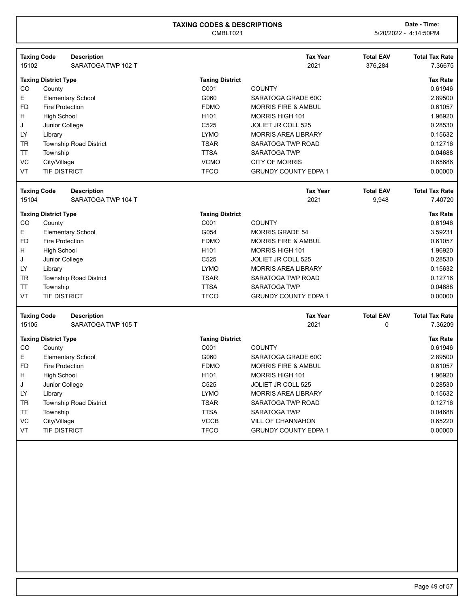|           | <b>Taxing Code</b>          | <b>Description</b>            |                        | <b>Tax Year</b>                | <b>Total EAV</b> | <b>Total Tax Rate</b> |
|-----------|-----------------------------|-------------------------------|------------------------|--------------------------------|------------------|-----------------------|
| 15102     |                             | SARATOGA TWP 102 T            |                        | 2021                           | 376,284          | 7.36675               |
|           | <b>Taxing District Type</b> |                               | <b>Taxing District</b> |                                |                  | <b>Tax Rate</b>       |
| CO        | County                      |                               | C001                   | <b>COUNTY</b>                  |                  | 0.61946               |
| E         |                             | <b>Elementary School</b>      | G060                   | SARATOGA GRADE 60C             |                  | 2.89500               |
| <b>FD</b> | <b>Fire Protection</b>      |                               | <b>FDMO</b>            | <b>MORRIS FIRE &amp; AMBUL</b> |                  | 0.61057               |
| H.        | <b>High School</b>          |                               | H <sub>101</sub>       | <b>MORRIS HIGH 101</b>         |                  | 1.96920               |
| J         | Junior College              |                               | C <sub>525</sub>       | <b>JOLIET JR COLL 525</b>      |                  | 0.28530               |
| LY        | Library                     |                               | <b>LYMO</b>            | <b>MORRIS AREA LIBRARY</b>     |                  | 0.15632               |
| <b>TR</b> |                             | <b>Township Road District</b> | <b>TSAR</b>            | SARATOGA TWP ROAD              |                  | 0.12716               |
| ТT        | Township                    |                               | <b>TTSA</b>            | <b>SARATOGA TWP</b>            |                  | 0.04688               |
| VC        | City/Village                |                               | <b>VCMO</b>            | <b>CITY OF MORRIS</b>          |                  | 0.65686               |
| VT        | <b>TIF DISTRICT</b>         |                               | <b>TFCO</b>            | <b>GRUNDY COUNTY EDPA 1</b>    |                  | 0.00000               |
|           | <b>Taxing Code</b>          | <b>Description</b>            |                        | <b>Tax Year</b>                | <b>Total EAV</b> | <b>Total Tax Rate</b> |
| 15104     |                             | SARATOGA TWP 104 T            |                        | 2021                           | 9,948            | 7.40720               |
|           | <b>Taxing District Type</b> |                               | <b>Taxing District</b> |                                |                  | <b>Tax Rate</b>       |
| CO        | County                      |                               | C001                   | <b>COUNTY</b>                  |                  | 0.61946               |
| E         |                             | <b>Elementary School</b>      | G054                   | <b>MORRIS GRADE 54</b>         |                  | 3.59231               |
| <b>FD</b> | <b>Fire Protection</b>      |                               | <b>FDMO</b>            | <b>MORRIS FIRE &amp; AMBUL</b> |                  | 0.61057               |
| H         | <b>High School</b>          |                               | H <sub>101</sub>       | MORRIS HIGH 101                |                  | 1.96920               |
| J         | Junior College              |                               | C525                   | <b>JOLIET JR COLL 525</b>      |                  | 0.28530               |
| LY        | Library                     |                               | <b>LYMO</b>            | <b>MORRIS AREA LIBRARY</b>     |                  | 0.15632               |
| TR        |                             | <b>Township Road District</b> | <b>TSAR</b>            | SARATOGA TWP ROAD              |                  | 0.12716               |
| ТT        | Township                    |                               | <b>TTSA</b>            | SARATOGA TWP                   |                  | 0.04688               |
| VT        | <b>TIF DISTRICT</b>         |                               | <b>TFCO</b>            | <b>GRUNDY COUNTY EDPA 1</b>    |                  | 0.00000               |
|           | <b>Taxing Code</b>          | <b>Description</b>            |                        | <b>Tax Year</b>                | <b>Total EAV</b> | <b>Total Tax Rate</b> |
| 15105     |                             | SARATOGA TWP 105 T            |                        | 2021                           | 0                | 7.36209               |
|           | <b>Taxing District Type</b> |                               | <b>Taxing District</b> |                                |                  | <b>Tax Rate</b>       |
| CO        | County                      |                               | C001                   | <b>COUNTY</b>                  |                  | 0.61946               |
| E         |                             | <b>Elementary School</b>      | G060                   | SARATOGA GRADE 60C             |                  | 2.89500               |
| <b>FD</b> | <b>Fire Protection</b>      |                               | <b>FDMO</b>            | <b>MORRIS FIRE &amp; AMBUL</b> |                  | 0.61057               |
| н         | <b>High School</b>          |                               | H <sub>101</sub>       | <b>MORRIS HIGH 101</b>         |                  | 1.96920               |
| J         | Junior College              |                               | C525                   | <b>JOLIET JR COLL 525</b>      |                  | 0.28530               |
| LY        | Library                     |                               | <b>LYMO</b>            | <b>MORRIS AREA LIBRARY</b>     |                  | 0.15632               |
| <b>TR</b> |                             | <b>Township Road District</b> | <b>TSAR</b>            | SARATOGA TWP ROAD              |                  | 0.12716               |
| ТT        | Township                    |                               | <b>TTSA</b>            | <b>SARATOGA TWP</b>            |                  | 0.04688               |
| VC        | City/Village                |                               | <b>VCCB</b>            | <b>VILL OF CHANNAHON</b>       |                  | 0.65220               |
| VT        | <b>TIF DISTRICT</b>         |                               | <b>TFCO</b>            | <b>GRUNDY COUNTY EDPA 1</b>    |                  | 0.00000               |
|           |                             |                               |                        |                                |                  |                       |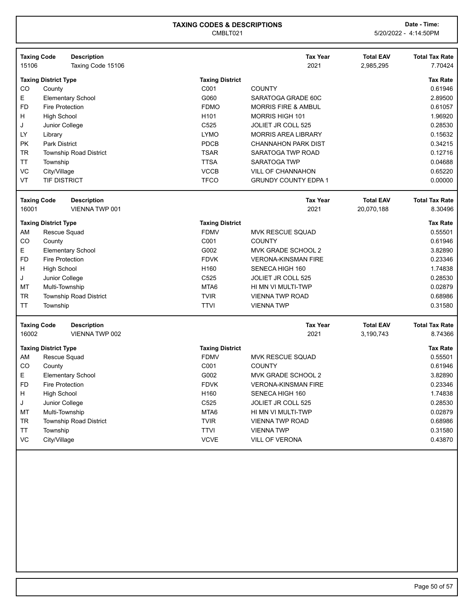|           | <b>Taxing Code</b><br><b>Description</b> |                        | <b>Tax Year</b>                | <b>Total EAV</b> | <b>Total Tax Rate</b> |
|-----------|------------------------------------------|------------------------|--------------------------------|------------------|-----------------------|
| 15106     | Taxing Code 15106                        |                        | 2021                           | 2,985,295        | 7.70424               |
|           | <b>Taxing District Type</b>              | <b>Taxing District</b> |                                |                  | <b>Tax Rate</b>       |
| CO        | County                                   | C001                   | <b>COUNTY</b>                  |                  | 0.61946               |
| E.        | <b>Elementary School</b>                 | G060                   | SARATOGA GRADE 60C             |                  | 2.89500               |
| <b>FD</b> | <b>Fire Protection</b>                   | <b>FDMO</b>            | <b>MORRIS FIRE &amp; AMBUL</b> |                  | 0.61057               |
| H         | <b>High School</b>                       | H <sub>101</sub>       | <b>MORRIS HIGH 101</b>         |                  | 1.96920               |
| J         | Junior College                           | C <sub>525</sub>       | JOLIET JR COLL 525             |                  | 0.28530               |
| LY        | Library                                  | <b>LYMO</b>            | <b>MORRIS AREA LIBRARY</b>     |                  | 0.15632               |
| <b>PK</b> | <b>Park District</b>                     | <b>PDCB</b>            | <b>CHANNAHON PARK DIST</b>     |                  | 0.34215               |
| <b>TR</b> | <b>Township Road District</b>            | <b>TSAR</b>            | SARATOGA TWP ROAD              |                  | 0.12716               |
| <b>TT</b> | Township                                 | <b>TTSA</b>            | <b>SARATOGA TWP</b>            |                  | 0.04688               |
| VC        | City/Village                             | <b>VCCB</b>            | <b>VILL OF CHANNAHON</b>       |                  | 0.65220               |
| VT        | <b>TIF DISTRICT</b>                      | <b>TFCO</b>            | <b>GRUNDY COUNTY EDPA 1</b>    |                  | 0.00000               |
|           | <b>Taxing Code</b><br><b>Description</b> |                        | <b>Tax Year</b>                | <b>Total EAV</b> | <b>Total Tax Rate</b> |
| 16001     | VIENNA TWP 001                           |                        | 2021                           | 20,070,188       | 8.30496               |
|           | <b>Taxing District Type</b>              | <b>Taxing District</b> |                                |                  | <b>Tax Rate</b>       |
| AM        | Rescue Squad                             | <b>FDMV</b>            | MVK RESCUE SQUAD               |                  | 0.55501               |
| CO        | County                                   | C001                   | <b>COUNTY</b>                  |                  | 0.61946               |
| E.        | <b>Elementary School</b>                 | G002                   | MVK GRADE SCHOOL 2             |                  | 3.82890               |
| <b>FD</b> | <b>Fire Protection</b>                   | <b>FDVK</b>            | <b>VERONA-KINSMAN FIRE</b>     |                  | 0.23346               |
| H         | <b>High School</b>                       | H160                   | SENECA HIGH 160                |                  | 1.74838               |
| J         | Junior College                           | C <sub>525</sub>       | JOLIET JR COLL 525             |                  | 0.28530               |
| MT        | Multi-Township                           | MTA6                   | HI MN VI MULTI-TWP             |                  | 0.02879               |
| <b>TR</b> | <b>Township Road District</b>            | <b>TVIR</b>            | <b>VIENNA TWP ROAD</b>         |                  | 0.68986               |
| <b>TT</b> | Township                                 | <b>TTVI</b>            | <b>VIENNA TWP</b>              |                  | 0.31580               |

|           | <b>Taxing Code</b><br><b>Description</b> |                        | <b>Tax Year</b>            | <b>Total EAV</b> | <b>Total Tax Rate</b> |
|-----------|------------------------------------------|------------------------|----------------------------|------------------|-----------------------|
| 16002     | VIENNA TWP 002                           |                        | 2021                       | 3,190,743        | 8.74366               |
|           | <b>Taxing District Type</b>              | <b>Taxing District</b> |                            |                  | <b>Tax Rate</b>       |
| AM        | Rescue Squad                             | <b>FDMV</b>            | <b>MVK RESCUE SQUAD</b>    |                  | 0.55501               |
| CO        | County                                   | C <sub>001</sub>       | <b>COUNTY</b>              |                  | 0.61946               |
| E         | <b>Elementary School</b>                 | G002                   | MVK GRADE SCHOOL 2         |                  | 3.82890               |
| FD.       | Fire Protection                          | <b>FDVK</b>            | <b>VERONA-KINSMAN FIRE</b> |                  | 0.23346               |
| H         | High School                              | H <sub>160</sub>       | SENECA HIGH 160            |                  | 1.74838               |
| J         | Junior College                           | C <sub>525</sub>       | JOLIET JR COLL 525         |                  | 0.28530               |
| MT        | Multi-Township                           | MTA6                   | HI MN VI MULTI-TWP         |                  | 0.02879               |
| <b>TR</b> | <b>Township Road District</b>            | <b>TVIR</b>            | <b>VIENNA TWP ROAD</b>     |                  | 0.68986               |
| <b>TT</b> | Township                                 | <b>TTVI</b>            | <b>VIENNATWP</b>           |                  | 0.31580               |
| VC        | City/Village                             | <b>VCVE</b>            | <b>VILL OF VERONA</b>      |                  | 0.43870               |
|           |                                          |                        |                            |                  |                       |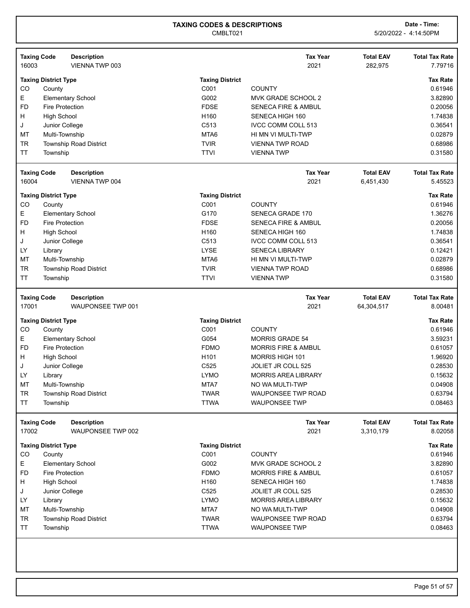| <b>Taxing Code</b><br>16003 | <b>Description</b><br>VIENNA TWP 003    |                            | <b>Tax Year</b><br>2021                    | <b>Total EAV</b><br>282,975    | <b>Total Tax Rate</b><br>7.79716 |
|-----------------------------|-----------------------------------------|----------------------------|--------------------------------------------|--------------------------------|----------------------------------|
|                             | <b>Taxing District Type</b>             | <b>Taxing District</b>     |                                            |                                | <b>Tax Rate</b>                  |
| CO                          | County                                  | C001                       | <b>COUNTY</b>                              |                                | 0.61946                          |
| Е                           | <b>Elementary School</b>                | G002                       | MVK GRADE SCHOOL 2                         |                                | 3.82890                          |
| <b>FD</b>                   | <b>Fire Protection</b>                  | <b>FDSE</b>                | <b>SENECA FIRE &amp; AMBUL</b>             |                                | 0.20056                          |
| н                           | <b>High School</b>                      | H160                       | SENECA HIGH 160                            |                                | 1.74838                          |
| J                           | Junior College                          | C513                       | IVCC COMM COLL 513                         |                                | 0.36541                          |
| <b>MT</b>                   | Multi-Township                          | MTA6                       | HI MN VI MULTI-TWP                         |                                | 0.02879                          |
| <b>TR</b>                   | <b>Township Road District</b>           | <b>TVIR</b>                | <b>VIENNA TWP ROAD</b>                     |                                | 0.68986                          |
| <b>TT</b>                   | Township                                | <b>TTVI</b>                | <b>VIENNATWP</b>                           |                                | 0.31580                          |
| <b>Taxing Code</b>          | <b>Description</b>                      |                            | <b>Tax Year</b>                            | <b>Total EAV</b>               | <b>Total Tax Rate</b>            |
| 16004                       | VIENNA TWP 004                          |                            | 2021                                       | 6,451,430                      | 5.45523                          |
|                             | <b>Taxing District Type</b>             | <b>Taxing District</b>     |                                            |                                | <b>Tax Rate</b>                  |
| CO                          | County                                  | C001                       | <b>COUNTY</b>                              |                                | 0.61946                          |
| Е                           | <b>Elementary School</b>                | G170                       | <b>SENECA GRADE 170</b>                    |                                | 1.36276                          |
| <b>FD</b>                   | <b>Fire Protection</b>                  | <b>FDSE</b>                | <b>SENECA FIRE &amp; AMBUL</b>             |                                | 0.20056                          |
| н                           | <b>High School</b>                      | H160                       | SENECA HIGH 160                            |                                | 1.74838                          |
| J                           | Junior College                          | C513                       | <b>IVCC COMM COLL 513</b>                  |                                | 0.36541                          |
| LY                          | Library                                 | <b>LYSE</b>                | <b>SENECA LIBRARY</b>                      |                                | 0.12421                          |
| MT                          | Multi-Township                          | MTA6                       | HI MN VI MULTI-TWP                         |                                | 0.02879                          |
| <b>TR</b>                   | <b>Township Road District</b>           | <b>TVIR</b>                | <b>VIENNA TWP ROAD</b>                     |                                | 0.68986                          |
| <b>TT</b>                   | Township                                | <b>TTVI</b>                | <b>VIENNATWP</b>                           |                                | 0.31580                          |
| <b>Taxing Code</b><br>17001 | <b>Description</b><br>WAUPONSEE TWP 001 |                            | <b>Tax Year</b><br>2021                    | <b>Total EAV</b><br>64,304,517 | <b>Total Tax Rate</b><br>8.00481 |
|                             | <b>Taxing District Type</b>             | <b>Taxing District</b>     |                                            |                                | <b>Tax Rate</b>                  |
| CO                          | County                                  | C001                       | <b>COUNTY</b>                              |                                | 0.61946                          |
| Е                           | <b>Elementary School</b>                | G054                       | <b>MORRIS GRADE 54</b>                     |                                | 3.59231                          |
| <b>FD</b>                   |                                         |                            |                                            |                                |                                  |
|                             |                                         |                            |                                            |                                |                                  |
|                             | <b>Fire Protection</b>                  | <b>FDMO</b>                | <b>MORRIS FIRE &amp; AMBUL</b>             |                                | 0.61057                          |
| н                           | <b>High School</b>                      | H101                       | <b>MORRIS HIGH 101</b>                     |                                | 1.96920                          |
| J                           | Junior College                          | C <sub>525</sub>           | <b>JOLIET JR COLL 525</b>                  |                                | 0.28530                          |
| LY                          | Library                                 | <b>LYMO</b>                | <b>MORRIS AREA LIBRARY</b>                 |                                | 0.15632                          |
| <b>MT</b>                   | Multi-Township                          | MTA7                       | NO WA MULTI-TWP                            |                                | 0.04908                          |
| TR<br>ΤT                    | Township Road District<br>Township      | <b>TWAR</b><br><b>TTWA</b> | WAUPONSEE TWP ROAD<br><b>WAUPONSEE TWP</b> |                                | 0.63794<br>0.08463               |
|                             | <b>Description</b>                      |                            | <b>Tax Year</b>                            | <b>Total EAV</b>               | <b>Total Tax Rate</b>            |
| <b>Taxing Code</b><br>17002 | WAUPONSEE TWP 002                       |                            | 2021                                       | 3,310,179                      | 8.02058                          |
|                             | <b>Taxing District Type</b>             | <b>Taxing District</b>     |                                            |                                | <b>Tax Rate</b>                  |
| CO                          | County                                  | C001                       | <b>COUNTY</b>                              |                                | 0.61946                          |
| E                           | <b>Elementary School</b>                | G002                       | MVK GRADE SCHOOL 2                         |                                | 3.82890                          |
| <b>FD</b>                   | <b>Fire Protection</b>                  | <b>FDMO</b>                | <b>MORRIS FIRE &amp; AMBUL</b>             |                                | 0.61057                          |
| н                           | <b>High School</b>                      | H160                       | SENECA HIGH 160                            |                                | 1.74838                          |
| J                           | Junior College                          | C525                       | JOLIET JR COLL 525                         |                                | 0.28530                          |
| LY                          |                                         | <b>LYMO</b>                | <b>MORRIS AREA LIBRARY</b>                 |                                | 0.15632                          |
| MT                          | Library                                 | MTA7                       | NO WA MULTI-TWP                            |                                |                                  |
| <b>TR</b>                   | Multi-Township                          | <b>TWAR</b>                |                                            |                                | 0.04908                          |
| <b>TT</b>                   | Township Road District<br>Township      | <b>TTWA</b>                | WAUPONSEE TWP ROAD<br><b>WAUPONSEE TWP</b> |                                | 0.63794<br>0.08463               |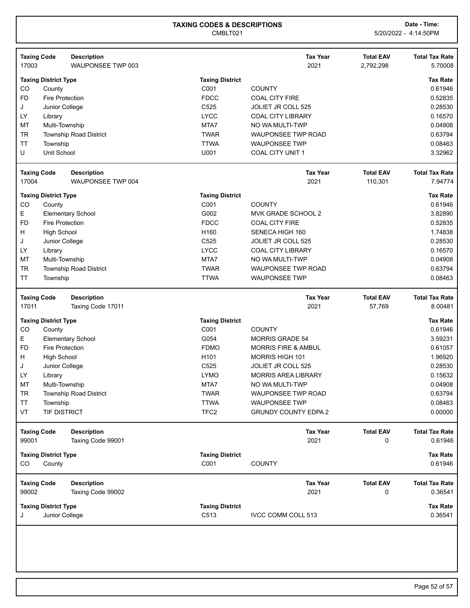| <b>Taxing Code</b>                  | <b>Description</b>            |                        | <b>Tax Year</b>                | <b>Total EAV</b>      | <b>Total Tax Rate</b> |
|-------------------------------------|-------------------------------|------------------------|--------------------------------|-----------------------|-----------------------|
| 17003                               | WAUPONSEE TWP 003             |                        | 2021                           | 2,792,298             | 5.70008               |
| <b>Taxing District Type</b>         |                               | <b>Taxing District</b> |                                |                       | <b>Tax Rate</b>       |
| CO<br>County                        |                               | C001                   | <b>COUNTY</b>                  |                       | 0.61946               |
| FD.<br><b>Fire Protection</b>       |                               | <b>FDCC</b>            | <b>COAL CITY FIRE</b>          |                       | 0.52835               |
| J<br>Junior College                 |                               | C <sub>525</sub>       | JOLIET JR COLL 525             |                       | 0.28530               |
| LY                                  |                               | <b>LYCC</b>            | <b>COAL CITY LIBRARY</b>       |                       | 0.16570               |
| Library<br>MT<br>Multi-Township     |                               | MTA7                   | NO WA MULTI-TWP                |                       | 0.04908               |
|                                     |                               |                        |                                |                       | 0.63794               |
| <b>TR</b>                           | <b>Township Road District</b> | <b>TWAR</b>            | <b>WAUPONSEE TWP ROAD</b>      |                       |                       |
| <b>TT</b><br>Township               |                               | <b>TTWA</b>            | <b>WAUPONSEE TWP</b>           |                       | 0.08463               |
| U<br>Unit School                    |                               | U001                   | <b>COAL CITY UNIT 1</b>        |                       | 3.32962               |
| <b>Taxing Code</b>                  | <b>Description</b>            |                        | <b>Tax Year</b>                | <b>Total EAV</b>      | <b>Total Tax Rate</b> |
| 17004                               | WAUPONSEE TWP 004             |                        | 2021                           | 110,301               | 7.94774               |
| <b>Taxing District Type</b>         |                               | <b>Taxing District</b> |                                |                       | <b>Tax Rate</b>       |
| CO<br>County                        |                               | C001                   | <b>COUNTY</b>                  |                       | 0.61946               |
| Е                                   | <b>Elementary School</b>      | G002                   | MVK GRADE SCHOOL 2             |                       | 3.82890               |
| <b>FD</b><br><b>Fire Protection</b> |                               | <b>FDCC</b>            | <b>COAL CITY FIRE</b>          |                       | 0.52835               |
| <b>High School</b><br>н             |                               | H160                   | SENECA HIGH 160                |                       | 1.74838               |
|                                     |                               | C525                   | JOLIET JR COLL 525             |                       | 0.28530               |
| J<br>Junior College                 |                               |                        |                                |                       |                       |
| LY<br>Library                       |                               | <b>LYCC</b>            | <b>COAL CITY LIBRARY</b>       |                       | 0.16570               |
| MT<br>Multi-Township                |                               | MTA7                   | NO WA MULTI-TWP                |                       | 0.04908               |
| TR                                  | <b>Township Road District</b> | <b>TWAR</b>            | WAUPONSEE TWP ROAD             |                       | 0.63794               |
| TT<br>Township                      |                               | <b>TTWA</b>            | <b>WAUPONSEE TWP</b>           |                       | 0.08463               |
| <b>Taxing Code</b>                  | <b>Description</b>            |                        | <b>Tax Year</b>                | <b>Total EAV</b>      | <b>Total Tax Rate</b> |
|                                     |                               |                        |                                |                       |                       |
| 17011                               | Taxing Code 17011             |                        | 2021                           | 57,769                | 8.00481               |
|                                     |                               |                        |                                |                       |                       |
| <b>Taxing District Type</b>         |                               | <b>Taxing District</b> |                                |                       | <b>Tax Rate</b>       |
| CO<br>County                        |                               | C001                   | <b>COUNTY</b>                  |                       | 0.61946               |
| Е                                   | <b>Elementary School</b>      | G054                   | <b>MORRIS GRADE 54</b>         |                       | 3.59231               |
| <b>FD</b><br><b>Fire Protection</b> |                               | <b>FDMO</b>            | <b>MORRIS FIRE &amp; AMBUL</b> |                       | 0.61057               |
| H<br><b>High School</b>             |                               | H <sub>101</sub>       | <b>MORRIS HIGH 101</b>         |                       | 1.96920               |
| Junior College<br>J                 |                               | C <sub>525</sub>       | JOLIET JR COLL 525             |                       | 0.28530               |
| LY<br>Library                       |                               | <b>LYMO</b>            | <b>MORRIS AREA LIBRARY</b>     |                       | 0.15632               |
| MT<br>Multi-Township                |                               | MTA7                   | NO WA MULTI-TWP                |                       | 0.04908               |
| TR                                  | <b>Township Road District</b> | <b>TWAR</b>            | WAUPONSEE TWP ROAD             |                       | 0.63794               |
| TT<br>Township                      |                               | <b>TTWA</b>            | <b>WAUPONSEE TWP</b>           |                       | 0.08463               |
| VT<br><b>TIF DISTRICT</b>           |                               | TFC <sub>2</sub>       | <b>GRUNDY COUNTY EDPA 2</b>    |                       | 0.00000               |
|                                     |                               |                        |                                |                       |                       |
| <b>Taxing Code</b>                  | <b>Description</b>            |                        | <b>Tax Year</b>                | <b>Total EAV</b><br>0 | <b>Total Tax Rate</b> |
| 99001                               | Taxing Code 99001             |                        | 2021                           |                       | 0.61946               |
| <b>Taxing District Type</b>         |                               | <b>Taxing District</b> |                                |                       | <b>Tax Rate</b>       |
| CO<br>County                        |                               | C001                   | <b>COUNTY</b>                  |                       | 0.61946               |
| <b>Taxing Code</b>                  | <b>Description</b>            |                        | <b>Tax Year</b>                | <b>Total EAV</b>      | <b>Total Tax Rate</b> |
| 99002                               | Taxing Code 99002             |                        | 2021                           | 0                     | 0.36541               |
| <b>Taxing District Type</b>         |                               | <b>Taxing District</b> |                                |                       | <b>Tax Rate</b>       |
| Junior College<br>J                 |                               | C513                   | IVCC COMM COLL 513             |                       | 0.36541               |
|                                     |                               |                        |                                |                       |                       |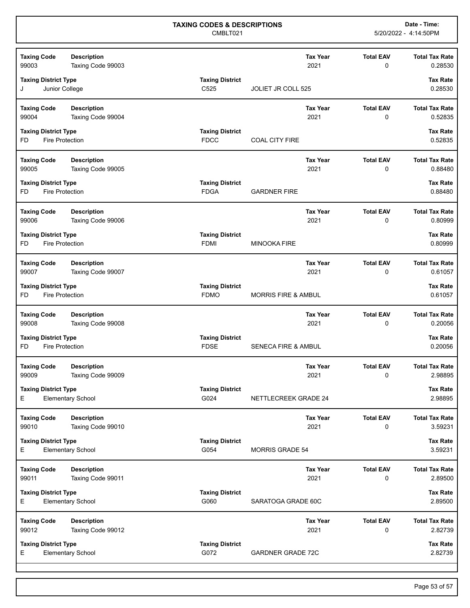| <b>Taxing Code</b><br><b>Description</b><br>99003<br>Taxing Code 99003 |                                       | <b>Tax Year</b><br>2021        | <b>Total EAV</b><br>0           | <b>Total Tax Rate</b><br>0.28530 |
|------------------------------------------------------------------------|---------------------------------------|--------------------------------|---------------------------------|----------------------------------|
| <b>Taxing District Type</b><br>Junior College<br>J                     | <b>Taxing District</b><br>C525        | <b>JOLIET JR COLL 525</b>      |                                 | <b>Tax Rate</b><br>0.28530       |
| <b>Taxing Code</b><br><b>Description</b><br>99004<br>Taxing Code 99004 |                                       | <b>Tax Year</b><br>2021        | <b>Total EAV</b><br>0           | <b>Total Tax Rate</b><br>0.52835 |
| <b>Taxing District Type</b><br><b>Fire Protection</b><br>FD            | <b>Taxing District</b><br><b>FDCC</b> | <b>COAL CITY FIRE</b>          |                                 | <b>Tax Rate</b><br>0.52835       |
| <b>Description</b><br><b>Taxing Code</b><br>99005<br>Taxing Code 99005 |                                       | <b>Tax Year</b><br>2021        | <b>Total EAV</b><br>0           | <b>Total Tax Rate</b><br>0.88480 |
| <b>Taxing District Type</b><br><b>Fire Protection</b><br>FD            | <b>Taxing District</b><br><b>FDGA</b> | <b>GARDNER FIRE</b>            |                                 | <b>Tax Rate</b><br>0.88480       |
| <b>Taxing Code</b><br><b>Description</b><br>99006<br>Taxing Code 99006 |                                       | <b>Tax Year</b><br>2021        | <b>Total EAV</b><br>0           | <b>Total Tax Rate</b><br>0.80999 |
| <b>Taxing District Type</b><br><b>Fire Protection</b><br>FD            | <b>Taxing District</b><br><b>FDMI</b> | <b>MINOOKA FIRE</b>            |                                 | <b>Tax Rate</b><br>0.80999       |
| <b>Taxing Code</b><br><b>Description</b><br>99007<br>Taxing Code 99007 |                                       | <b>Tax Year</b><br>2021        | <b>Total EAV</b><br>$\mathbf 0$ | <b>Total Tax Rate</b><br>0.61057 |
| <b>Taxing District Type</b><br><b>Fire Protection</b><br>FD            | <b>Taxing District</b><br><b>FDMO</b> | <b>MORRIS FIRE &amp; AMBUL</b> |                                 | <b>Tax Rate</b><br>0.61057       |
| <b>Taxing Code</b><br><b>Description</b><br>99008<br>Taxing Code 99008 |                                       | <b>Tax Year</b><br>2021        | <b>Total EAV</b><br>0           | <b>Total Tax Rate</b><br>0.20056 |
| <b>Taxing District Type</b><br>Fire Protection<br>FD                   | <b>Taxing District</b><br><b>FDSE</b> | <b>SENECA FIRE &amp; AMBUL</b> |                                 | <b>Tax Rate</b><br>0.20056       |
| <b>Taxing Code</b><br><b>Description</b><br>99009<br>Taxing Code 99009 |                                       | <b>Tax Year</b><br>2021        | <b>Total EAV</b><br>0           | <b>Total Tax Rate</b><br>2.98895 |
| <b>Taxing District Type</b><br>E.<br><b>Elementary School</b>          | <b>Taxing District</b><br>G024        | NETTLECREEK GRADE 24           |                                 | <b>Tax Rate</b><br>2.98895       |
| <b>Description</b><br><b>Taxing Code</b><br>99010<br>Taxing Code 99010 |                                       | <b>Tax Year</b><br>2021        | <b>Total EAV</b><br>0           | <b>Total Tax Rate</b><br>3.59231 |
| <b>Taxing District Type</b><br>E.<br><b>Elementary School</b>          | <b>Taxing District</b><br>G054        | MORRIS GRADE 54                |                                 | <b>Tax Rate</b><br>3.59231       |
| <b>Taxing Code</b><br><b>Description</b><br>99011<br>Taxing Code 99011 |                                       | <b>Tax Year</b><br>2021        | <b>Total EAV</b><br>0           | <b>Total Tax Rate</b><br>2.89500 |
| <b>Taxing District Type</b><br>Е<br><b>Elementary School</b>           | <b>Taxing District</b><br>G060        | SARATOGA GRADE 60C             |                                 | <b>Tax Rate</b><br>2.89500       |
| <b>Taxing Code</b><br><b>Description</b><br>99012<br>Taxing Code 99012 |                                       | Tax Year<br>2021               | <b>Total EAV</b><br>0           | <b>Total Tax Rate</b><br>2.82739 |
| <b>Taxing District Type</b><br>Е<br><b>Elementary School</b>           | <b>Taxing District</b><br>G072        | <b>GARDNER GRADE 72C</b>       |                                 | Tax Rate<br>2.82739              |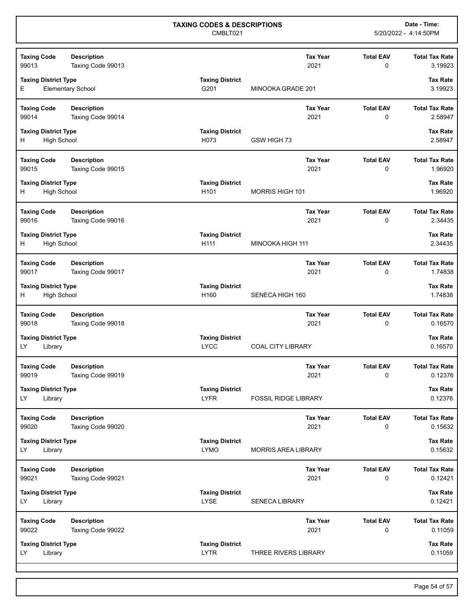| <b>Taxing Code</b>                                      | <b>Description</b>                      |                                            |                             | <b>Tax Year</b>         | <b>Total EAV</b>             | <b>Total Tax Rate</b>            |
|---------------------------------------------------------|-----------------------------------------|--------------------------------------------|-----------------------------|-------------------------|------------------------------|----------------------------------|
| 99013                                                   | Taxing Code 99013                       |                                            |                             | 2021                    | 0                            | 3.19923                          |
| <b>Taxing District Type</b><br>E.                       | <b>Elementary School</b>                | <b>Taxing District</b><br>G201             | MINOOKA GRADE 201           |                         |                              | <b>Tax Rate</b><br>3.19923       |
| <b>Taxing Code</b><br>99014                             | <b>Description</b><br>Taxing Code 99014 |                                            |                             | <b>Tax Year</b><br>2021 | <b>Total EAV</b><br>0        | <b>Total Tax Rate</b><br>2.58947 |
| <b>Taxing District Type</b><br><b>High School</b><br>H  |                                         | <b>Taxing District</b><br>H073             | GSW HIGH 73                 |                         |                              | <b>Tax Rate</b><br>2.58947       |
| <b>Taxing Code</b><br>99015                             | <b>Description</b><br>Taxing Code 99015 |                                            |                             | <b>Tax Year</b><br>2021 | <b>Total EAV</b><br>0        | <b>Total Tax Rate</b><br>1.96920 |
| <b>Taxing District Type</b><br><b>High School</b><br>H. |                                         | <b>Taxing District</b><br>H <sub>101</sub> | <b>MORRIS HIGH 101</b>      |                         |                              | <b>Tax Rate</b><br>1.96920       |
| <b>Taxing Code</b><br>99016                             | <b>Description</b><br>Taxing Code 99016 |                                            |                             | <b>Tax Year</b><br>2021 | <b>Total EAV</b><br>0        | <b>Total Tax Rate</b><br>2.34435 |
| <b>Taxing District Type</b><br>H<br><b>High School</b>  |                                         | <b>Taxing District</b><br>H111             | MINOOKA HIGH 111            |                         |                              | <b>Tax Rate</b><br>2.34435       |
| <b>Taxing Code</b><br>99017                             | <b>Description</b><br>Taxing Code 99017 |                                            |                             | <b>Tax Year</b><br>2021 | <b>Total EAV</b><br>0        | <b>Total Tax Rate</b><br>1.74838 |
| <b>Taxing District Type</b><br>H.<br><b>High School</b> |                                         | <b>Taxing District</b><br>H160             | SENECA HIGH 160             |                         |                              | <b>Tax Rate</b><br>1.74838       |
| <b>Taxing Code</b><br>99018                             | <b>Description</b><br>Taxing Code 99018 |                                            |                             | <b>Tax Year</b><br>2021 | <b>Total EAV</b><br>$\Omega$ | <b>Total Tax Rate</b><br>0.16570 |
| <b>Taxing District Type</b><br>LY.<br>Library           |                                         | <b>Taxing District</b><br><b>LYCC</b>      | <b>COAL CITY LIBRARY</b>    |                         |                              | <b>Tax Rate</b><br>0.16570       |
| <b>Taxing Code</b><br>99019                             | <b>Description</b><br>Taxing Code 99019 |                                            |                             | <b>Tax Year</b><br>2021 | <b>Total EAV</b><br>0        | <b>Total Tax Rate</b><br>0.12376 |
| <b>Taxing District Type</b><br>LY.<br>Library           |                                         | Taxing District<br><b>LYFR</b>             | <b>FOSSIL RIDGE LIBRARY</b> |                         |                              | Tax Rate<br>0.12376              |
| <b>Taxing Code</b><br>99020                             | <b>Description</b><br>Taxing Code 99020 |                                            |                             | <b>Tax Year</b><br>2021 | <b>Total EAV</b><br>0        | <b>Total Tax Rate</b><br>0.15632 |
| <b>Taxing District Type</b><br>LY.<br>Library           |                                         | <b>Taxing District</b><br><b>LYMO</b>      | <b>MORRIS AREA LIBRARY</b>  |                         |                              | <b>Tax Rate</b><br>0.15632       |
| <b>Taxing Code</b><br>99021                             | <b>Description</b><br>Taxing Code 99021 |                                            |                             | <b>Tax Year</b><br>2021 | <b>Total EAV</b><br>0        | <b>Total Tax Rate</b><br>0.12421 |
| <b>Taxing District Type</b><br>LY.<br>Library           |                                         | <b>Taxing District</b><br><b>LYSE</b>      | <b>SENECA LIBRARY</b>       |                         |                              | <b>Tax Rate</b><br>0.12421       |
| <b>Taxing Code</b><br>99022                             | <b>Description</b><br>Taxing Code 99022 |                                            |                             | <b>Tax Year</b><br>2021 | <b>Total EAV</b><br>0        | <b>Total Tax Rate</b><br>0.11059 |
| <b>Taxing District Type</b><br>LY.<br>Library           |                                         | <b>Taxing District</b><br><b>LYTR</b>      | THREE RIVERS LIBRARY        |                         |                              | <b>Tax Rate</b><br>0.11059       |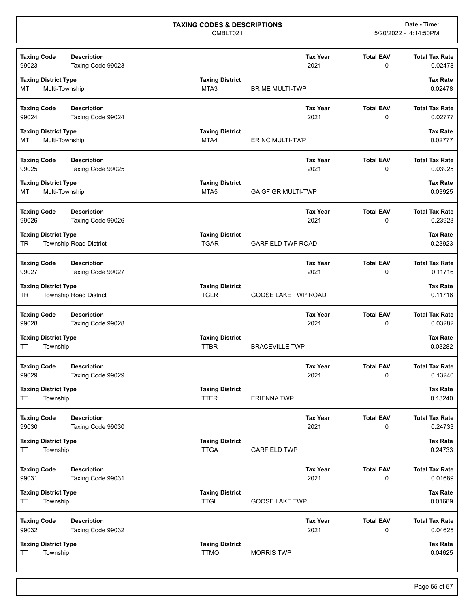| <b>Taxing Code</b>                                  | <b>Description</b>                      |                                            |                            | <b>Tax Year</b>         | <b>Total EAV</b>                | <b>Total Tax Rate</b>            |
|-----------------------------------------------------|-----------------------------------------|--------------------------------------------|----------------------------|-------------------------|---------------------------------|----------------------------------|
| 99023                                               | Taxing Code 99023                       |                                            |                            | 2021                    | 0                               | 0.02478                          |
| <b>Taxing District Type</b><br>MT<br>Multi-Township |                                         | <b>Taxing District</b><br>MTA3             | BR ME MULTI-TWP            |                         |                                 | <b>Tax Rate</b><br>0.02478       |
| <b>Taxing Code</b><br>99024                         | <b>Description</b><br>Taxing Code 99024 |                                            |                            | <b>Tax Year</b><br>2021 | <b>Total EAV</b><br>$\mathbf 0$ | <b>Total Tax Rate</b><br>0.02777 |
| <b>Taxing District Type</b><br>Multi-Township<br>MT |                                         | <b>Taxing District</b><br>MTA4             | ER NC MULTI-TWP            |                         |                                 | <b>Tax Rate</b><br>0.02777       |
| <b>Taxing Code</b><br>99025                         | <b>Description</b><br>Taxing Code 99025 |                                            |                            | <b>Tax Year</b><br>2021 | <b>Total EAV</b><br>0           | <b>Total Tax Rate</b><br>0.03925 |
| <b>Taxing District Type</b><br>Multi-Township<br>МT |                                         | <b>Taxing District</b><br>MTA <sub>5</sub> | <b>GA GF GR MULTI-TWP</b>  |                         |                                 | <b>Tax Rate</b><br>0.03925       |
| <b>Taxing Code</b><br>99026                         | <b>Description</b><br>Taxing Code 99026 |                                            |                            | <b>Tax Year</b><br>2021 | <b>Total EAV</b><br>0           | <b>Total Tax Rate</b><br>0.23923 |
| <b>Taxing District Type</b><br>TR                   | <b>Township Road District</b>           | <b>Taxing District</b><br><b>TGAR</b>      | <b>GARFIELD TWP ROAD</b>   |                         |                                 | <b>Tax Rate</b><br>0.23923       |
| <b>Taxing Code</b><br>99027                         | <b>Description</b><br>Taxing Code 99027 |                                            |                            | <b>Tax Year</b><br>2021 | <b>Total EAV</b><br>0           | <b>Total Tax Rate</b><br>0.11716 |
| <b>Taxing District Type</b><br>TR                   | <b>Township Road District</b>           | <b>Taxing District</b><br><b>TGLR</b>      | <b>GOOSE LAKE TWP ROAD</b> |                         |                                 | <b>Tax Rate</b><br>0.11716       |
| <b>Taxing Code</b><br>99028                         | <b>Description</b><br>Taxing Code 99028 |                                            |                            | <b>Tax Year</b><br>2021 | <b>Total EAV</b><br>0           | <b>Total Tax Rate</b><br>0.03282 |
| <b>Taxing District Type</b><br>Township<br>ΤT       |                                         | <b>Taxing District</b><br><b>TTBR</b>      | <b>BRACEVILLE TWP</b>      |                         |                                 | <b>Tax Rate</b><br>0.03282       |
| <b>Taxing Code</b><br>99029                         | <b>Description</b><br>Taxing Code 99029 |                                            |                            | <b>Tax Year</b><br>2021 | <b>Total EAV</b><br>0           | <b>Total Tax Rate</b><br>0.13240 |
| <b>Taxing District Type</b><br>ΤT<br>Township       |                                         | <b>Taxing District</b><br><b>TTER</b>      | <b>ERIENNATWP</b>          |                         |                                 | <b>Tax Rate</b><br>0.13240       |
| <b>Taxing Code</b><br>99030                         | <b>Description</b><br>Taxing Code 99030 |                                            |                            | <b>Tax Year</b><br>2021 | <b>Total EAV</b><br>0           | <b>Total Tax Rate</b><br>0.24733 |
| <b>Taxing District Type</b><br>TT<br>Township       |                                         | <b>Taxing District</b><br><b>TTGA</b>      | <b>GARFIELD TWP</b>        |                         |                                 | <b>Tax Rate</b><br>0.24733       |
| <b>Taxing Code</b><br>99031                         | <b>Description</b><br>Taxing Code 99031 |                                            |                            | <b>Tax Year</b><br>2021 | <b>Total EAV</b><br>0           | <b>Total Tax Rate</b><br>0.01689 |
| <b>Taxing District Type</b><br>TT<br>Township       |                                         | <b>Taxing District</b><br><b>TTGL</b>      | <b>GOOSE LAKE TWP</b>      |                         |                                 | <b>Tax Rate</b><br>0.01689       |
| <b>Taxing Code</b><br>99032                         | <b>Description</b><br>Taxing Code 99032 |                                            |                            | <b>Tax Year</b><br>2021 | <b>Total EAV</b><br>0           | <b>Total Tax Rate</b><br>0.04625 |
| <b>Taxing District Type</b><br>ΤT<br>Township       |                                         | <b>Taxing District</b><br><b>TTMO</b>      | <b>MORRIS TWP</b>          |                         |                                 | <b>Tax Rate</b><br>0.04625       |
|                                                     |                                         |                                            |                            |                         |                                 |                                  |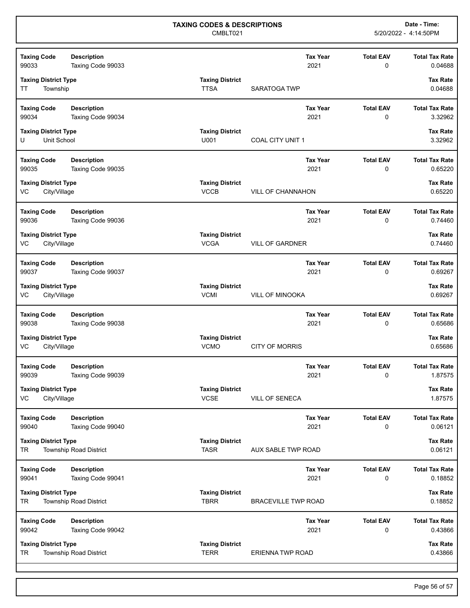| <b>Taxing Code</b><br>99033                       | <b>Description</b><br>Taxing Code 99033 |                                       |                            | <b>Tax Year</b><br>2021 | <b>Total EAV</b><br>0 | <b>Total Tax Rate</b><br>0.04688 |
|---------------------------------------------------|-----------------------------------------|---------------------------------------|----------------------------|-------------------------|-----------------------|----------------------------------|
| <b>Taxing District Type</b><br>Township<br>ТT     |                                         | <b>Taxing District</b><br><b>TTSA</b> | SARATOGA TWP               |                         |                       | <b>Tax Rate</b><br>0.04688       |
| <b>Taxing Code</b><br>99034                       | <b>Description</b><br>Taxing Code 99034 |                                       |                            | <b>Tax Year</b><br>2021 | <b>Total EAV</b><br>0 | <b>Total Tax Rate</b><br>3.32962 |
| <b>Taxing District Type</b><br>Unit School<br>U   |                                         | <b>Taxing District</b><br>U001        | COAL CITY UNIT 1           |                         |                       | <b>Tax Rate</b><br>3.32962       |
| <b>Taxing Code</b><br>99035                       | <b>Description</b><br>Taxing Code 99035 |                                       |                            | <b>Tax Year</b><br>2021 | <b>Total EAV</b><br>0 | <b>Total Tax Rate</b><br>0.65220 |
| <b>Taxing District Type</b><br>VC<br>City/Village |                                         | <b>Taxing District</b><br><b>VCCB</b> | <b>VILL OF CHANNAHON</b>   |                         |                       | <b>Tax Rate</b><br>0.65220       |
| <b>Taxing Code</b><br>99036                       | <b>Description</b><br>Taxing Code 99036 |                                       |                            | <b>Tax Year</b><br>2021 | <b>Total EAV</b><br>0 | <b>Total Tax Rate</b><br>0.74460 |
| <b>Taxing District Type</b><br>VC<br>City/Village |                                         | <b>Taxing District</b><br><b>VCGA</b> | <b>VILL OF GARDNER</b>     |                         |                       | <b>Tax Rate</b><br>0.74460       |
| <b>Taxing Code</b><br>99037                       | <b>Description</b><br>Taxing Code 99037 |                                       |                            | <b>Tax Year</b><br>2021 | <b>Total EAV</b><br>0 | <b>Total Tax Rate</b><br>0.69267 |
| <b>Taxing District Type</b><br>VC<br>City/Village |                                         | <b>Taxing District</b><br><b>VCMI</b> | <b>VILL OF MINOOKA</b>     |                         |                       | <b>Tax Rate</b><br>0.69267       |
| <b>Taxing Code</b><br>99038                       | <b>Description</b><br>Taxing Code 99038 |                                       |                            | <b>Tax Year</b><br>2021 | <b>Total EAV</b><br>0 | <b>Total Tax Rate</b><br>0.65686 |
| <b>Taxing District Type</b><br>City/Village<br>VC |                                         | <b>Taxing District</b><br><b>VCMO</b> | <b>CITY OF MORRIS</b>      |                         |                       | <b>Tax Rate</b><br>0.65686       |
| <b>Taxing Code</b><br>99039                       | <b>Description</b><br>Taxing Code 99039 |                                       |                            | <b>Tax Year</b><br>2021 | <b>Total EAV</b><br>0 | <b>Total Tax Rate</b><br>1.87575 |
| <b>Taxing District Type</b><br>VC<br>City/Village |                                         | <b>Taxing District</b><br><b>VCSE</b> | <b>VILL OF SENECA</b>      |                         |                       | <b>Tax Rate</b><br>1.87575       |
| <b>Taxing Code</b><br>99040                       | <b>Description</b><br>Taxing Code 99040 |                                       |                            | <b>Tax Year</b><br>2021 | <b>Total EAV</b><br>0 | <b>Total Tax Rate</b><br>0.06121 |
| <b>Taxing District Type</b><br>TR                 | <b>Township Road District</b>           | <b>Taxing District</b><br><b>TASR</b> | AUX SABLE TWP ROAD         |                         |                       | <b>Tax Rate</b><br>0.06121       |
| <b>Taxing Code</b><br>99041                       | <b>Description</b><br>Taxing Code 99041 |                                       |                            | <b>Tax Year</b><br>2021 | <b>Total EAV</b><br>0 | <b>Total Tax Rate</b><br>0.18852 |
| <b>Taxing District Type</b><br>TR                 | Township Road District                  | <b>Taxing District</b><br><b>TBRR</b> | <b>BRACEVILLE TWP ROAD</b> |                         |                       | <b>Tax Rate</b><br>0.18852       |
| <b>Taxing Code</b><br>99042                       | <b>Description</b><br>Taxing Code 99042 |                                       |                            | <b>Tax Year</b><br>2021 | <b>Total EAV</b><br>0 | <b>Total Tax Rate</b><br>0.43866 |
| <b>Taxing District Type</b><br>TR                 | <b>Township Road District</b>           | <b>Taxing District</b><br><b>TERR</b> | ERIENNA TWP ROAD           |                         |                       | <b>Tax Rate</b><br>0.43866       |
|                                                   |                                         |                                       |                            |                         |                       |                                  |